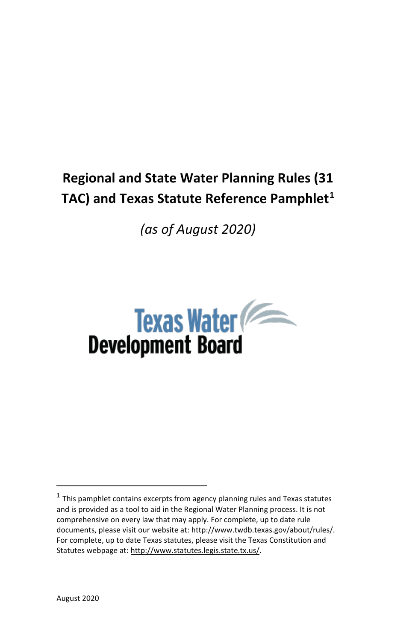# **Regional and State Water Planning Rules (31**  TAC) and Texas Statute Reference Pamphlet<sup>1</sup>

*(as of August 2020)*



 $1$  This pamphlet contains excerpts from agency planning rules and Texas statutes and is provided as a tool to aid in the Regional Water Planning process. It is not comprehensive on every law that may apply. For complete, up to date rule documents, please visit our website at: http://www.twdb.texas.gov/about/rules/. For complete, up to date Texas statutes, please visit the Texas Constitution and Statutes webpage at: http://www.statutes.legis.state.tx.us/.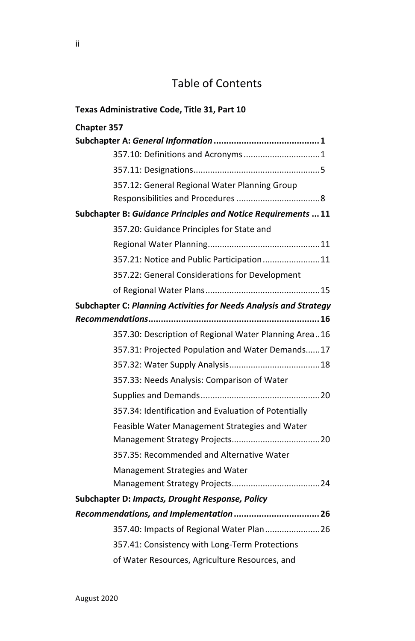# Table of Contents

| Texas Administrative Code, Title 31, Part 10                             |  |  |
|--------------------------------------------------------------------------|--|--|
| Chapter 357                                                              |  |  |
|                                                                          |  |  |
| 357.10: Definitions and Acronyms 1                                       |  |  |
|                                                                          |  |  |
| 357.12: General Regional Water Planning Group                            |  |  |
|                                                                          |  |  |
| Subchapter B: Guidance Principles and Notice Requirements  11            |  |  |
| 357.20: Guidance Principles for State and                                |  |  |
|                                                                          |  |  |
| 357.21: Notice and Public Participation11                                |  |  |
| 357.22: General Considerations for Development                           |  |  |
|                                                                          |  |  |
| <b>Subchapter C: Planning Activities for Needs Analysis and Strategy</b> |  |  |
|                                                                          |  |  |
| 357.30: Description of Regional Water Planning Area16                    |  |  |
| 357.31: Projected Population and Water Demands17                         |  |  |
|                                                                          |  |  |
| 357.33: Needs Analysis: Comparison of Water                              |  |  |
|                                                                          |  |  |
| 357.34: Identification and Evaluation of Potentially                     |  |  |
| Feasible Water Management Strategies and Water                           |  |  |
|                                                                          |  |  |
| 357.35: Recommended and Alternative Water                                |  |  |
| Management Strategies and Water                                          |  |  |
|                                                                          |  |  |
| Subchapter D: Impacts, Drought Response, Policy                          |  |  |
| Recommendations, and Implementation  26                                  |  |  |
|                                                                          |  |  |
| 357.41: Consistency with Long-Term Protections                           |  |  |
| of Water Resources, Agriculture Resources, and                           |  |  |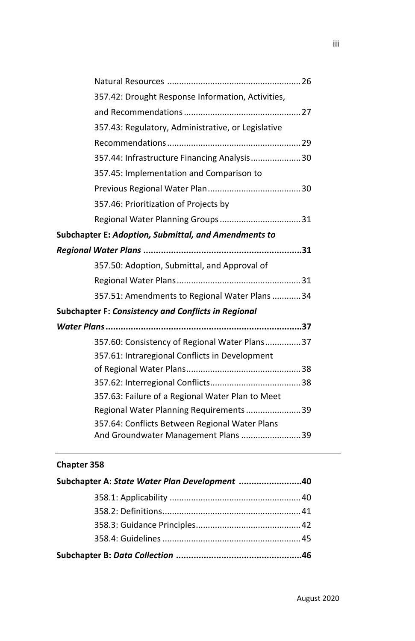| 357.42: Drought Response Information, Activities,          |  |
|------------------------------------------------------------|--|
|                                                            |  |
| 357.43: Regulatory, Administrative, or Legislative         |  |
|                                                            |  |
| 357.44: Infrastructure Financing Analysis30                |  |
| 357.45: Implementation and Comparison to                   |  |
|                                                            |  |
| 357.46: Prioritization of Projects by                      |  |
|                                                            |  |
| Subchapter E: Adoption, Submittal, and Amendments to       |  |
|                                                            |  |
| 357.50: Adoption, Submittal, and Approval of               |  |
|                                                            |  |
| 357.51: Amendments to Regional Water Plans34               |  |
| <b>Subchapter F: Consistency and Conflicts in Regional</b> |  |
|                                                            |  |
| 357.60: Consistency of Regional Water Plans37              |  |
| 357.61: Intraregional Conflicts in Development             |  |
|                                                            |  |
|                                                            |  |
| 357.63: Failure of a Regional Water Plan to Meet           |  |
| Regional Water Planning Requirements 39                    |  |
| 357.64: Conflicts Between Regional Water Plans             |  |
| And Groundwater Management Plans 39                        |  |

# **Chapter 358**

| Subchapter A: State Water Plan Development 40 |  |
|-----------------------------------------------|--|
|                                               |  |
|                                               |  |
|                                               |  |
|                                               |  |
|                                               |  |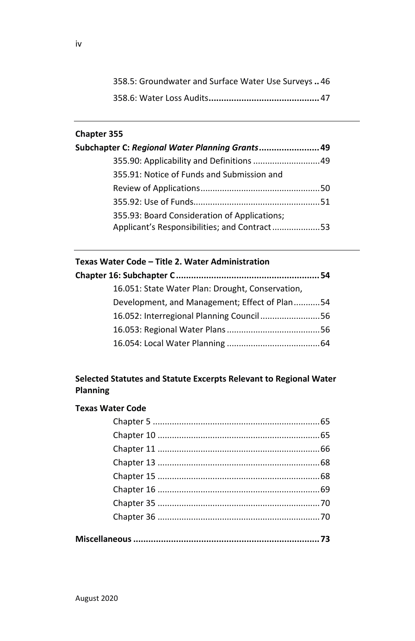| 358.5: Groundwater and Surface Water Use Surveys46 |
|----------------------------------------------------|
|                                                    |

# **Chapter 355**

| Subchapter C: Regional Water Planning Grants 49                                              |  |
|----------------------------------------------------------------------------------------------|--|
| 355.90: Applicability and Definitions  49                                                    |  |
| 355.91: Notice of Funds and Submission and                                                   |  |
|                                                                                              |  |
|                                                                                              |  |
| 355.93: Board Consideration of Applications;<br>Applicant's Responsibilities; and Contract53 |  |

# **Texas Water Code – Title 2. Water Administration**

| 16.051: State Water Plan: Drought, Conservation, |  |
|--------------------------------------------------|--|
| Development, and Management; Effect of Plan54    |  |
| 16.052: Interregional Planning Council 56        |  |
|                                                  |  |
|                                                  |  |

# **Selected Statutes and Statute Excerpts Relevant to Regional Water Planning**

# **Texas Water Code**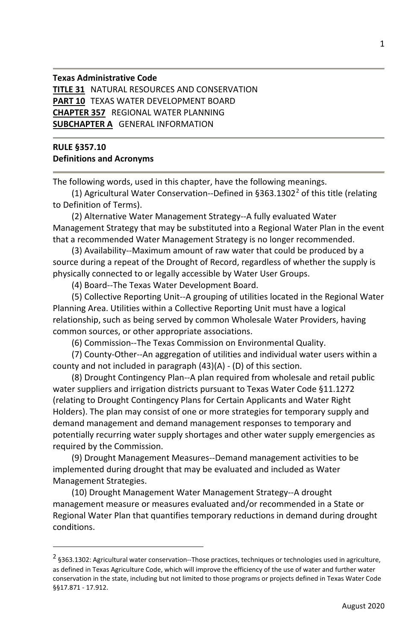#### **Texas Administrative Code TITLE 31** NATURAL RESOURCES AND CONSERVATION **PART 10** TEXAS WATER DEVELOPMENT BOARD **CHAPTER 357** REGIONAL WATER PLANNING **SUBCHAPTER A** GENERAL INFORMATION

#### **RULE §357.10 Definitions and Acronyms**

The following words, used in this chapter, have the following meanings.

(1) Agricultural Water Conservation--Defined in  $\S 363.1302^2$  of this title (relating to Definition of Terms).

(2) Alternative Water Management Strategy--A fully evaluated Water Management Strategy that may be substituted into a Regional Water Plan in the event that a recommended Water Management Strategy is no longer recommended.

(3) Availability--Maximum amount of raw water that could be produced by a source during a repeat of the Drought of Record, regardless of whether the supply is physically connected to or legally accessible by Water User Groups.

(4) Board--The Texas Water Development Board.

(5) Collective Reporting Unit--A grouping of utilities located in the Regional Water Planning Area. Utilities within a Collective Reporting Unit must have a logical relationship, such as being served by common Wholesale Water Providers, having common sources, or other appropriate associations.

(6) Commission--The Texas Commission on Environmental Quality.

(7) County-Other--An aggregation of utilities and individual water users within a county and not included in paragraph (43)(A) - (D) of this section.

(8) Drought Contingency Plan--A plan required from wholesale and retail public water suppliers and irrigation districts pursuant to Texas Water Code §11.1272 (relating to Drought Contingency Plans for Certain Applicants and Water Right Holders). The plan may consist of one or more strategies for temporary supply and demand management and demand management responses to temporary and potentially recurring water supply shortages and other water supply emergencies as required by the Commission.

(9) Drought Management Measures--Demand management activities to be implemented during drought that may be evaluated and included as Water Management Strategies.

(10) Drought Management Water Management Strategy--A drought management measure or measures evaluated and/or recommended in a State or Regional Water Plan that quantifies temporary reductions in demand during drought conditions.

 $2\,$ §363.1302: Agricultural water conservation--Those practices, techniques or technologies used in agriculture, as defined in Texas Agriculture Code, which will improve the efficiency of the use of water and further water conservation in the state, including but not limited to those programs or projects defined in Texas Water Code §§17.871 - 17.912.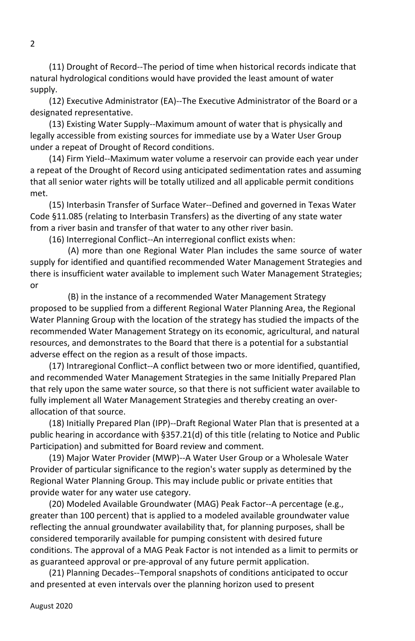(11) Drought of Record--The period of time when historical records indicate that natural hydrological conditions would have provided the least amount of water supply.

(12) Executive Administrator (EA)--The Executive Administrator of the Board or a designated representative.

(13) Existing Water Supply--Maximum amount of water that is physically and legally accessible from existing sources for immediate use by a Water User Group under a repeat of Drought of Record conditions.

(14) Firm Yield--Maximum water volume a reservoir can provide each year under a repeat of the Drought of Record using anticipated sedimentation rates and assuming that all senior water rights will be totally utilized and all applicable permit conditions met.

(15) Interbasin Transfer of Surface Water--Defined and governed in Texas Water Code §11.085 (relating to Interbasin Transfers) as the diverting of any state water from a river basin and transfer of that water to any other river basin.

(16) Interregional Conflict--An interregional conflict exists when:

(A) more than one Regional Water Plan includes the same source of water supply for identified and quantified recommended Water Management Strategies and there is insufficient water available to implement such Water Management Strategies; or

(B) in the instance of a recommended Water Management Strategy proposed to be supplied from a different Regional Water Planning Area, the Regional Water Planning Group with the location of the strategy has studied the impacts of the recommended Water Management Strategy on its economic, agricultural, and natural resources, and demonstrates to the Board that there is a potential for a substantial adverse effect on the region as a result of those impacts.

(17) Intraregional Conflict--A conflict between two or more identified, quantified, and recommended Water Management Strategies in the same Initially Prepared Plan that rely upon the same water source, so that there is not sufficient water available to fully implement all Water Management Strategies and thereby creating an overallocation of that source.

(18) Initially Prepared Plan (IPP)--Draft Regional Water Plan that is presented at a public hearing in accordance with §357.21(d) of this title (relating to Notice and Public Participation) and submitted for Board review and comment.

(19) Major Water Provider (MWP)--A Water User Group or a Wholesale Water Provider of particular significance to the region's water supply as determined by the Regional Water Planning Group. This may include public or private entities that provide water for any water use category.

(20) Modeled Available Groundwater (MAG) Peak Factor--A percentage (e.g., greater than 100 percent) that is applied to a modeled available groundwater value reflecting the annual groundwater availability that, for planning purposes, shall be considered temporarily available for pumping consistent with desired future conditions. The approval of a MAG Peak Factor is not intended as a limit to permits or as guaranteed approval or pre-approval of any future permit application.

(21) Planning Decades--Temporal snapshots of conditions anticipated to occur and presented at even intervals over the planning horizon used to present

 $\mathfrak{p}$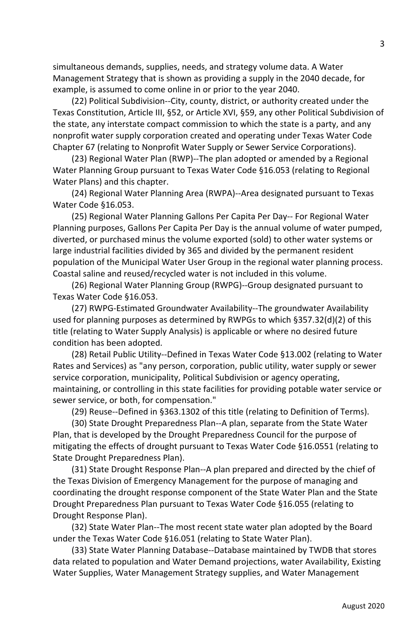simultaneous demands, supplies, needs, and strategy volume data. A Water Management Strategy that is shown as providing a supply in the 2040 decade, for example, is assumed to come online in or prior to the year 2040.

(22) Political Subdivision--City, county, district, or authority created under the Texas Constitution, Article III, §52, or Article XVI, §59, any other Political Subdivision of the state, any interstate compact commission to which the state is a party, and any nonprofit water supply corporation created and operating under Texas Water Code Chapter 67 (relating to Nonprofit Water Supply or Sewer Service Corporations).

(23) Regional Water Plan (RWP)--The plan adopted or amended by a Regional Water Planning Group pursuant to Texas Water Code §16.053 (relating to Regional Water Plans) and this chapter.

(24) Regional Water Planning Area (RWPA)--Area designated pursuant to Texas Water Code §16.053.

(25) Regional Water Planning Gallons Per Capita Per Day-- For Regional Water Planning purposes, Gallons Per Capita Per Day is the annual volume of water pumped, diverted, or purchased minus the volume exported (sold) to other water systems or large industrial facilities divided by 365 and divided by the permanent resident population of the Municipal Water User Group in the regional water planning process. Coastal saline and reused/recycled water is not included in this volume.

(26) Regional Water Planning Group (RWPG)--Group designated pursuant to Texas Water Code §16.053.

(27) RWPG-Estimated Groundwater Availability--The groundwater Availability used for planning purposes as determined by RWPGs to which §357.32(d)(2) of this title (relating to Water Supply Analysis) is applicable or where no desired future condition has been adopted.

(28) Retail Public Utility--Defined in Texas Water Code §13.002 (relating to Water Rates and Services) as "any person, corporation, public utility, water supply or sewer service corporation, municipality, Political Subdivision or agency operating, maintaining, or controlling in this state facilities for providing potable water service or sewer service, or both, for compensation."

(29) Reuse--Defined in §363.1302 of this title (relating to Definition of Terms).

(30) State Drought Preparedness Plan--A plan, separate from the State Water Plan, that is developed by the Drought Preparedness Council for the purpose of mitigating the effects of drought pursuant to Texas Water Code §16.0551 (relating to State Drought Preparedness Plan).

(31) State Drought Response Plan--A plan prepared and directed by the chief of the Texas Division of Emergency Management for the purpose of managing and coordinating the drought response component of the State Water Plan and the State Drought Preparedness Plan pursuant to Texas Water Code §16.055 (relating to Drought Response Plan).

(32) State Water Plan--The most recent state water plan adopted by the Board under the Texas Water Code §16.051 (relating to State Water Plan).

(33) State Water Planning Database--Database maintained by TWDB that stores data related to population and Water Demand projections, water Availability, Existing Water Supplies, Water Management Strategy supplies, and Water Management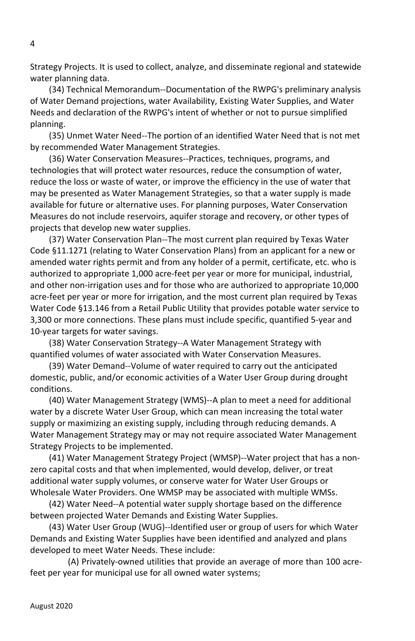Strategy Projects. It is used to collect, analyze, and disseminate regional and statewide water planning data.

(34) Technical Memorandum--Documentation of the RWPG's preliminary analysis of Water Demand projections, water Availability, Existing Water Supplies, and Water Needs and declaration of the RWPG's intent of whether or not to pursue simplified planning.

(35) Unmet Water Need--The portion of an identified Water Need that is not met by recommended Water Management Strategies.

(36) Water Conservation Measures--Practices, techniques, programs, and technologies that will protect water resources, reduce the consumption of water, reduce the loss or waste of water, or improve the efficiency in the use of water that may be presented as Water Management Strategies, so that a water supply is made available for future or alternative uses. For planning purposes, Water Conservation Measures do not include reservoirs, aquifer storage and recovery, or other types of projects that develop new water supplies.

(37) Water Conservation Plan--The most current plan required by Texas Water Code §11.1271 (relating to Water Conservation Plans) from an applicant for a new or amended water rights permit and from any holder of a permit, certificate, etc. who is authorized to appropriate 1,000 acre-feet per year or more for municipal, industrial, and other non-irrigation uses and for those who are authorized to appropriate 10,000 acre-feet per year or more for irrigation, and the most current plan required by Texas Water Code §13.146 from a Retail Public Utility that provides potable water service to 3,300 or more connections. These plans must include specific, quantified 5-year and 10-year targets for water savings.

(38) Water Conservation Strategy--A Water Management Strategy with quantified volumes of water associated with Water Conservation Measures.

(39) Water Demand--Volume of water required to carry out the anticipated domestic, public, and/or economic activities of a Water User Group during drought conditions.

(40) Water Management Strategy (WMS)--A plan to meet a need for additional water by a discrete Water User Group, which can mean increasing the total water supply or maximizing an existing supply, including through reducing demands. A Water Management Strategy may or may not require associated Water Management Strategy Projects to be implemented.

(41) Water Management Strategy Project (WMSP)--Water project that has a nonzero capital costs and that when implemented, would develop, deliver, or treat additional water supply volumes, or conserve water for Water User Groups or Wholesale Water Providers. One WMSP may be associated with multiple WMSs.

(42) Water Need--A potential water supply shortage based on the difference between projected Water Demands and Existing Water Supplies.

(43) Water User Group (WUG)--Identified user or group of users for which Water Demands and Existing Water Supplies have been identified and analyzed and plans developed to meet Water Needs. These include:

(A) Privately-owned utilities that provide an average of more than 100 acrefeet per year for municipal use for all owned water systems;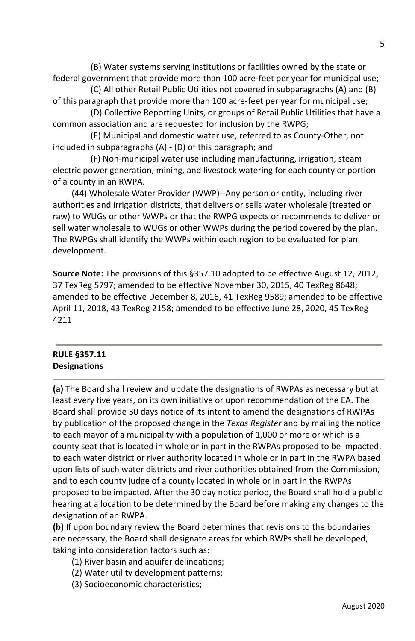(B) Water systems serving institutions or facilities owned by the state or federal government that provide more than 100 acre-feet per year for municipal use;

 (C) All other Retail Public Utilities not covered in subparagraphs (A) and (B) of this paragraph that provide more than 100 acre-feet per year for municipal use;

 (D) Collective Reporting Units, or groups of Retail Public Utilities that have a common association and are requested for inclusion by the RWPG;

 (E) Municipal and domestic water use, referred to as County-Other, not included in subparagraphs (A) - (D) of this paragraph; and

 (F) Non-municipal water use including manufacturing, irrigation, steam electric power generation, mining, and livestock watering for each county or portion of a county in an RWPA.

(44) Wholesale Water Provider (WWP)--Any person or entity, including river authorities and irrigation districts, that delivers or sells water wholesale (treated or raw) to WUGs or other WWPs or that the RWPG expects or recommends to deliver or sell water wholesale to WUGs or other WWPs during the period covered by the plan. The RWPGs shall identify the WWPs within each region to be evaluated for plan development.

**Source Note:** The provisions of this §357.10 adopted to be effective August 12, 2012, 37 TexReg 5797; amended to be effective November 30, 2015, 40 TexReg 8648; amended to be effective December 8, 2016, 41 TexReg 9589; amended to be effective April 11, 2018, 43 TexReg 2158; amended to be effective June 28, 2020, 45 TexReg 4211

#### **RULE §357.11 Designations**

**(a)** The Board shall review and update the designations of RWPAs as necessary but at least every five years, on its own initiative or upon recommendation of the EA. The Board shall provide 30 days notice of its intent to amend the designations of RWPAs by publication of the proposed change in the *Texas Register* and by mailing the notice to each mayor of a municipality with a population of 1,000 or more or which is a county seat that is located in whole or in part in the RWPAs proposed to be impacted, to each water district or river authority located in whole or in part in the RWPA based upon lists of such water districts and river authorities obtained from the Commission, and to each county judge of a county located in whole or in part in the RWPAs proposed to be impacted. After the 30 day notice period, the Board shall hold a public hearing at a location to be determined by the Board before making any changes to the designation of an RWPA.

**(b)** If upon boundary review the Board determines that revisions to the boundaries are necessary, the Board shall designate areas for which RWPs shall be developed, taking into consideration factors such as:

- (1) River basin and aquifer delineations;
- (2) Water utility development patterns;
- (3) Socioeconomic characteristics;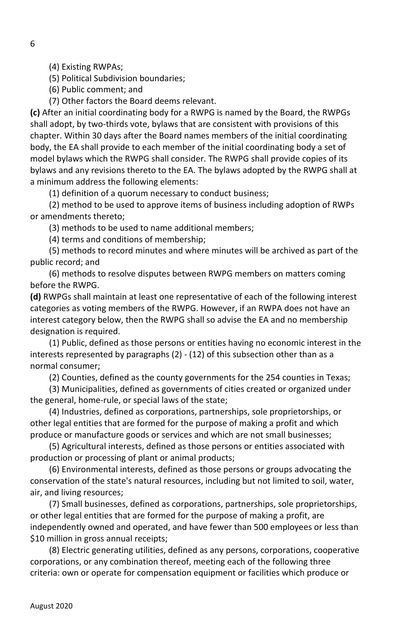(4) Existing RWPAs;

(5) Political Subdivision boundaries;

(6) Public comment; and

(7) Other factors the Board deems relevant.

**(c)** After an initial coordinating body for a RWPG is named by the Board, the RWPGs shall adopt, by two-thirds vote, bylaws that are consistent with provisions of this chapter. Within 30 days after the Board names members of the initial coordinating body, the EA shall provide to each member of the initial coordinating body a set of model bylaws which the RWPG shall consider. The RWPG shall provide copies of its bylaws and any revisions thereto to the EA. The bylaws adopted by the RWPG shall at a minimum address the following elements:

(1) definition of a quorum necessary to conduct business;

(2) method to be used to approve items of business including adoption of RWPs or amendments thereto;

(3) methods to be used to name additional members;

(4) terms and conditions of membership;

(5) methods to record minutes and where minutes will be archived as part of the public record; and

(6) methods to resolve disputes between RWPG members on matters coming before the RWPG.

**(d)** RWPGs shall maintain at least one representative of each of the following interest categories as voting members of the RWPG. However, if an RWPA does not have an interest category below, then the RWPG shall so advise the EA and no membership designation is required.

(1) Public, defined as those persons or entities having no economic interest in the interests represented by paragraphs (2) - (12) of this subsection other than as a normal consumer;

(2) Counties, defined as the county governments for the 254 counties in Texas;

(3) Municipalities, defined as governments of cities created or organized under the general, home-rule, or special laws of the state;

(4) Industries, defined as corporations, partnerships, sole proprietorships, or other legal entities that are formed for the purpose of making a profit and which produce or manufacture goods or services and which are not small businesses;

(5) Agricultural interests, defined as those persons or entities associated with production or processing of plant or animal products;

(6) Environmental interests, defined as those persons or groups advocating the conservation of the state's natural resources, including but not limited to soil, water, air, and living resources;

(7) Small businesses, defined as corporations, partnerships, sole proprietorships, or other legal entities that are formed for the purpose of making a profit, are independently owned and operated, and have fewer than 500 employees or less than \$10 million in gross annual receipts;

(8) Electric generating utilities, defined as any persons, corporations, cooperative corporations, or any combination thereof, meeting each of the following three criteria: own or operate for compensation equipment or facilities which produce or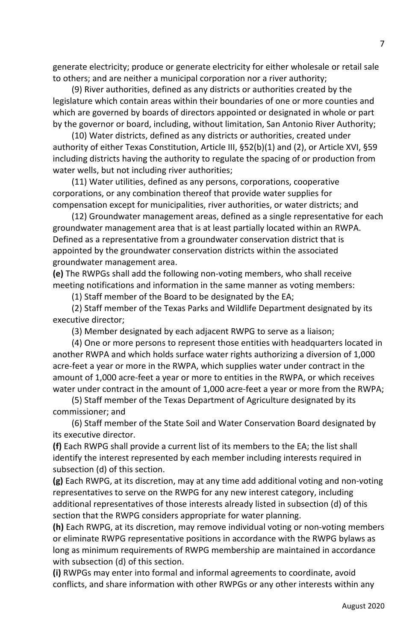generate electricity; produce or generate electricity for either wholesale or retail sale to others; and are neither a municipal corporation nor a river authority;

(9) River authorities, defined as any districts or authorities created by the legislature which contain areas within their boundaries of one or more counties and which are governed by boards of directors appointed or designated in whole or part by the governor or board, including, without limitation, San Antonio River Authority;

(10) Water districts, defined as any districts or authorities, created under authority of either Texas Constitution, Article III, §52(b)(1) and (2), or Article XVI, §59 including districts having the authority to regulate the spacing of or production from water wells, but not including river authorities;

(11) Water utilities, defined as any persons, corporations, cooperative corporations, or any combination thereof that provide water supplies for compensation except for municipalities, river authorities, or water districts; and

(12) Groundwater management areas, defined as a single representative for each groundwater management area that is at least partially located within an RWPA. Defined as a representative from a groundwater conservation district that is appointed by the groundwater conservation districts within the associated groundwater management area.

**(e)** The RWPGs shall add the following non-voting members, who shall receive meeting notifications and information in the same manner as voting members:

(1) Staff member of the Board to be designated by the EA;

(2) Staff member of the Texas Parks and Wildlife Department designated by its executive director;

(3) Member designated by each adjacent RWPG to serve as a liaison;

(4) One or more persons to represent those entities with headquarters located in another RWPA and which holds surface water rights authorizing a diversion of 1,000 acre-feet a year or more in the RWPA, which supplies water under contract in the amount of 1,000 acre-feet a year or more to entities in the RWPA, or which receives water under contract in the amount of 1,000 acre-feet a year or more from the RWPA;

(5) Staff member of the Texas Department of Agriculture designated by its commissioner; and

 (6) Staff member of the State Soil and Water Conservation Board designated by its executive director.

**(f)** Each RWPG shall provide a current list of its members to the EA; the list shall identify the interest represented by each member including interests required in subsection (d) of this section.

**(g)** Each RWPG, at its discretion, may at any time add additional voting and non-voting representatives to serve on the RWPG for any new interest category, including additional representatives of those interests already listed in subsection (d) of this section that the RWPG considers appropriate for water planning.

**(h)** Each RWPG, at its discretion, may remove individual voting or non-voting members or eliminate RWPG representative positions in accordance with the RWPG bylaws as long as minimum requirements of RWPG membership are maintained in accordance with subsection (d) of this section.

**(i)** RWPGs may enter into formal and informal agreements to coordinate, avoid conflicts, and share information with other RWPGs or any other interests within any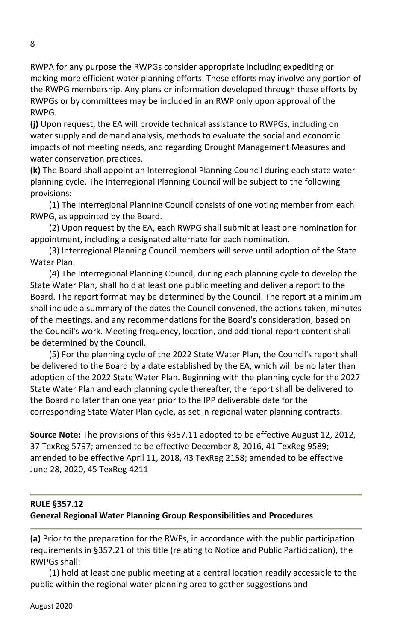RWPA for any purpose the RWPGs consider appropriate including expediting or making more efficient water planning efforts. These efforts may involve any portion of the RWPG membership. Any plans or information developed through these efforts by RWPGs or by committees may be included in an RWP only upon approval of the RWPG.

**(j)** Upon request, the EA will provide technical assistance to RWPGs, including on water supply and demand analysis, methods to evaluate the social and economic impacts of not meeting needs, and regarding Drought Management Measures and water conservation practices.

**(k)** The Board shall appoint an Interregional Planning Council during each state water planning cycle. The Interregional Planning Council will be subject to the following provisions:

(1) The Interregional Planning Council consists of one voting member from each RWPG, as appointed by the Board.

(2) Upon request by the EA, each RWPG shall submit at least one nomination for appointment, including a designated alternate for each nomination.

(3) Interregional Planning Council members will serve until adoption of the State Water Plan.

(4) The Interregional Planning Council, during each planning cycle to develop the State Water Plan, shall hold at least one public meeting and deliver a report to the Board. The report format may be determined by the Council. The report at a minimum shall include a summary of the dates the Council convened, the actions taken, minutes of the meetings, and any recommendations for the Board's consideration, based on the Council's work. Meeting frequency, location, and additional report content shall be determined by the Council.

(5) For the planning cycle of the 2022 State Water Plan, the Council's report shall be delivered to the Board by a date established by the EA, which will be no later than adoption of the 2022 State Water Plan. Beginning with the planning cycle for the 2027 State Water Plan and each planning cycle thereafter, the report shall be delivered to the Board no later than one year prior to the IPP deliverable date for the corresponding State Water Plan cycle, as set in regional water planning contracts.

**Source Note:** The provisions of this §357.11 adopted to be effective August 12, 2012, 37 TexReg 5797; amended to be effective December 8, 2016, 41 TexReg 9589; amended to be effective April 11, 2018, 43 TexReg 2158; amended to be effective June 28, 2020, 45 TexReg 4211

#### **RULE §357.12 General Regional Water Planning Group Responsibilities and Procedures**

**(a)** Prior to the preparation for the RWPs, in accordance with the public participation requirements in §357.21 of this title (relating to Notice and Public Participation), the RWPGs shall:

(1) hold at least one public meeting at a central location readily accessible to the public within the regional water planning area to gather suggestions and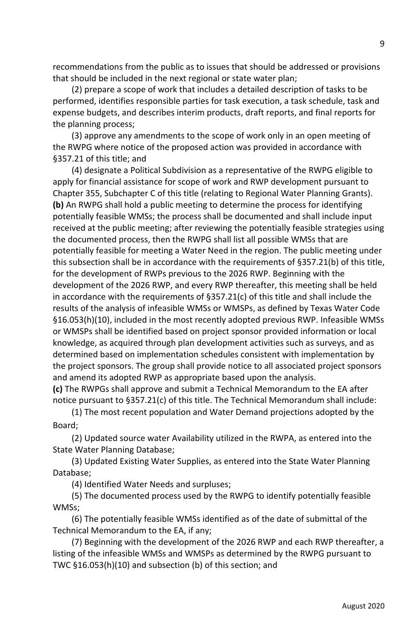recommendations from the public as to issues that should be addressed or provisions that should be included in the next regional or state water plan;

(2) prepare a scope of work that includes a detailed description of tasks to be performed, identifies responsible parties for task execution, a task schedule, task and expense budgets, and describes interim products, draft reports, and final reports for the planning process;

(3) approve any amendments to the scope of work only in an open meeting of the RWPG where notice of the proposed action was provided in accordance with §357.21 of this title; and

(4) designate a Political Subdivision as a representative of the RWPG eligible to apply for financial assistance for scope of work and RWP development pursuant to Chapter 355, Subchapter C of this title (relating to Regional Water Planning Grants). **(b)** An RWPG shall hold a public meeting to determine the process for identifying potentially feasible WMSs; the process shall be documented and shall include input received at the public meeting; after reviewing the potentially feasible strategies using the documented process, then the RWPG shall list all possible WMSs that are potentially feasible for meeting a Water Need in the region. The public meeting under this subsection shall be in accordance with the requirements of §357.21(b) of this title, for the development of RWPs previous to the 2026 RWP. Beginning with the development of the 2026 RWP, and every RWP thereafter, this meeting shall be held in accordance with the requirements of  $\S 357.21(c)$  of this title and shall include the results of the analysis of infeasible WMSs or WMSPs, as defined by Texas Water Code §16.053(h)(10), included in the most recently adopted previous RWP. Infeasible WMSs or WMSPs shall be identified based on project sponsor provided information or local knowledge, as acquired through plan development activities such as surveys, and as determined based on implementation schedules consistent with implementation by the project sponsors. The group shall provide notice to all associated project sponsors and amend its adopted RWP as appropriate based upon the analysis.

**(c)** The RWPGs shall approve and submit a Technical Memorandum to the EA after notice pursuant to §357.21(c) of this title. The Technical Memorandum shall include:

(1) The most recent population and Water Demand projections adopted by the Board;

(2) Updated source water Availability utilized in the RWPA, as entered into the State Water Planning Database;

(3) Updated Existing Water Supplies, as entered into the State Water Planning Database;

(4) Identified Water Needs and surpluses;

(5) The documented process used by the RWPG to identify potentially feasible WMSs;

(6) The potentially feasible WMSs identified as of the date of submittal of the Technical Memorandum to the EA, if any;

(7) Beginning with the development of the 2026 RWP and each RWP thereafter, a listing of the infeasible WMSs and WMSPs as determined by the RWPG pursuant to TWC §16.053(h)(10) and subsection (b) of this section; and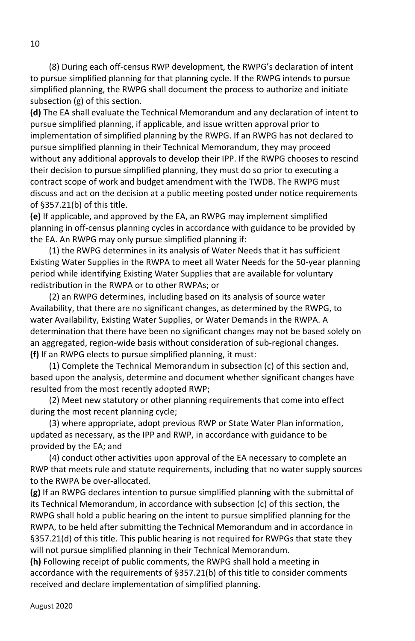(8) During each off-census RWP development, the RWPG's declaration of intent to pursue simplified planning for that planning cycle. If the RWPG intends to pursue simplified planning, the RWPG shall document the process to authorize and initiate subsection (g) of this section.

**(d)** The EA shall evaluate the Technical Memorandum and any declaration of intent to pursue simplified planning, if applicable, and issue written approval prior to implementation of simplified planning by the RWPG. If an RWPG has not declared to pursue simplified planning in their Technical Memorandum, they may proceed without any additional approvals to develop their IPP. If the RWPG chooses to rescind their decision to pursue simplified planning, they must do so prior to executing a contract scope of work and budget amendment with the TWDB. The RWPG must discuss and act on the decision at a public meeting posted under notice requirements of §357.21(b) of this title.

**(e)** If applicable, and approved by the EA, an RWPG may implement simplified planning in off-census planning cycles in accordance with guidance to be provided by the EA. An RWPG may only pursue simplified planning if:

(1) the RWPG determines in its analysis of Water Needs that it has sufficient Existing Water Supplies in the RWPA to meet all Water Needs for the 50-year planning period while identifying Existing Water Supplies that are available for voluntary redistribution in the RWPA or to other RWPAs; or

(2) an RWPG determines, including based on its analysis of source water Availability, that there are no significant changes, as determined by the RWPG, to water Availability, Existing Water Supplies, or Water Demands in the RWPA. A determination that there have been no significant changes may not be based solely on an aggregated, region-wide basis without consideration of sub-regional changes. **(f)** If an RWPG elects to pursue simplified planning, it must:

(1) Complete the Technical Memorandum in subsection (c) of this section and, based upon the analysis, determine and document whether significant changes have resulted from the most recently adopted RWP;

(2) Meet new statutory or other planning requirements that come into effect during the most recent planning cycle;

(3) where appropriate, adopt previous RWP or State Water Plan information, updated as necessary, as the IPP and RWP, in accordance with guidance to be provided by the EA; and

(4) conduct other activities upon approval of the EA necessary to complete an RWP that meets rule and statute requirements, including that no water supply sources to the RWPA be over-allocated.

**(g)** If an RWPG declares intention to pursue simplified planning with the submittal of its Technical Memorandum, in accordance with subsection (c) of this section, the RWPG shall hold a public hearing on the intent to pursue simplified planning for the RWPA, to be held after submitting the Technical Memorandum and in accordance in §357.21(d) of this title. This public hearing is not required for RWPGs that state they will not pursue simplified planning in their Technical Memorandum.

**(h)** Following receipt of public comments, the RWPG shall hold a meeting in accordance with the requirements of §357.21(b) of this title to consider comments received and declare implementation of simplified planning.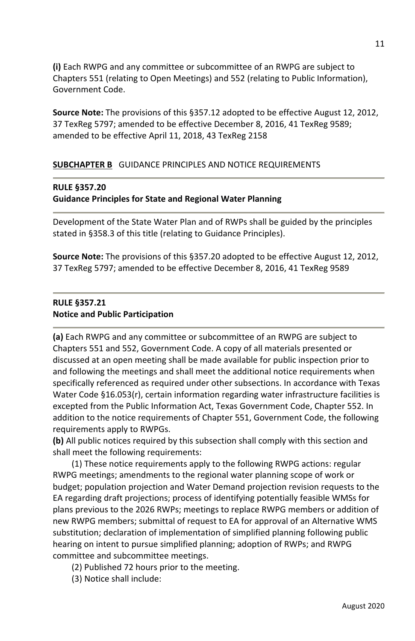**(i)** Each RWPG and any committee or subcommittee of an RWPG are subject to Chapters 551 (relating to Open Meetings) and 552 (relating to Public Information), Government Code.

**Source Note:** The provisions of this §357.12 adopted to be effective August 12, 2012, 37 TexReg 5797; amended to be effective December 8, 2016, 41 TexReg 9589; amended to be effective April 11, 2018, 43 TexReg 2158

#### **SUBCHAPTER B** GUIDANCE PRINCIPLES AND NOTICE REQUIREMENTS

#### **RULE §357.20**

#### **Guidance Principles for State and Regional Water Planning**

Development of the State Water Plan and of RWPs shall be guided by the principles stated in §358.3 of this title (relating to Guidance Principles).

**Source Note:** The provisions of this §357.20 adopted to be effective August 12, 2012, 37 TexReg 5797; amended to be effective December 8, 2016, 41 TexReg 9589

#### **RULE §357.21 Notice and Public Participation**

**(a)** Each RWPG and any committee or subcommittee of an RWPG are subject to Chapters 551 and 552, Government Code. A copy of all materials presented or discussed at an open meeting shall be made available for public inspection prior to and following the meetings and shall meet the additional notice requirements when specifically referenced as required under other subsections. In accordance with Texas Water Code §16.053(r), certain information regarding water infrastructure facilities is excepted from the Public Information Act, Texas Government Code, Chapter 552. In addition to the notice requirements of Chapter 551, Government Code, the following requirements apply to RWPGs.

**(b)** All public notices required by this subsection shall comply with this section and shall meet the following requirements:

(1) These notice requirements apply to the following RWPG actions: regular RWPG meetings; amendments to the regional water planning scope of work or budget; population projection and Water Demand projection revision requests to the EA regarding draft projections; process of identifying potentially feasible WMSs for plans previous to the 2026 RWPs; meetings to replace RWPG members or addition of new RWPG members; submittal of request to EA for approval of an Alternative WMS substitution; declaration of implementation of simplified planning following public hearing on intent to pursue simplified planning; adoption of RWPs; and RWPG committee and subcommittee meetings.

- (2) Published 72 hours prior to the meeting.
- (3) Notice shall include: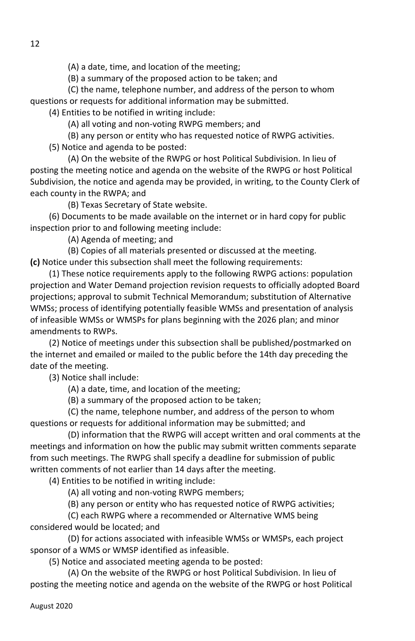(A) a date, time, and location of the meeting;

(B) a summary of the proposed action to be taken; and

 (C) the name, telephone number, and address of the person to whom questions or requests for additional information may be submitted.

(4) Entities to be notified in writing include:

(A) all voting and non-voting RWPG members; and

 (B) any person or entity who has requested notice of RWPG activities. (5) Notice and agenda to be posted:

 (A) On the website of the RWPG or host Political Subdivision. In lieu of posting the meeting notice and agenda on the website of the RWPG or host Political Subdivision, the notice and agenda may be provided, in writing, to the County Clerk of each county in the RWPA; and

(B) Texas Secretary of State website.

(6) Documents to be made available on the internet or in hard copy for public inspection prior to and following meeting include:

(A) Agenda of meeting; and

(B) Copies of all materials presented or discussed at the meeting.

**(c)** Notice under this subsection shall meet the following requirements:

(1) These notice requirements apply to the following RWPG actions: population projection and Water Demand projection revision requests to officially adopted Board projections; approval to submit Technical Memorandum; substitution of Alternative WMSs; process of identifying potentially feasible WMSs and presentation of analysis of infeasible WMSs or WMSPs for plans beginning with the 2026 plan; and minor amendments to RWPs.

(2) Notice of meetings under this subsection shall be published/postmarked on the internet and emailed or mailed to the public before the 14th day preceding the date of the meeting.

(3) Notice shall include:

(A) a date, time, and location of the meeting;

(B) a summary of the proposed action to be taken;

 (C) the name, telephone number, and address of the person to whom questions or requests for additional information may be submitted; and

 (D) information that the RWPG will accept written and oral comments at the meetings and information on how the public may submit written comments separate from such meetings. The RWPG shall specify a deadline for submission of public written comments of not earlier than 14 days after the meeting.

(4) Entities to be notified in writing include:

(A) all voting and non-voting RWPG members;

(B) any person or entity who has requested notice of RWPG activities;

 (C) each RWPG where a recommended or Alternative WMS being considered would be located; and

 (D) for actions associated with infeasible WMSs or WMSPs, each project sponsor of a WMS or WMSP identified as infeasible.

(5) Notice and associated meeting agenda to be posted:

 (A) On the website of the RWPG or host Political Subdivision. In lieu of posting the meeting notice and agenda on the website of the RWPG or host Political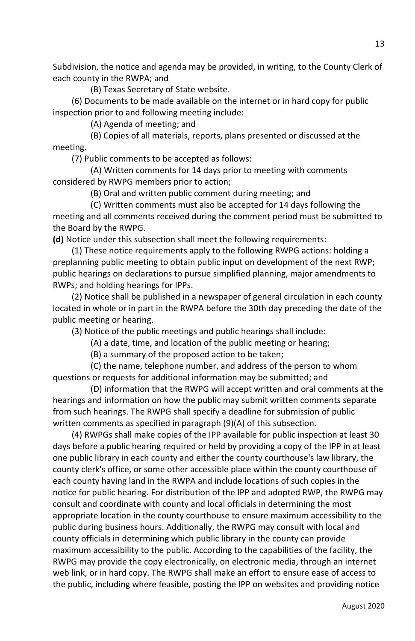Subdivision, the notice and agenda may be provided, in writing, to the County Clerk of each county in the RWPA; and

(B) Texas Secretary of State website.

(6) Documents to be made available on the internet or in hard copy for public inspection prior to and following meeting include:

(A) Agenda of meeting; and

 (B) Copies of all materials, reports, plans presented or discussed at the meeting.

(7) Public comments to be accepted as follows:

 (A) Written comments for 14 days prior to meeting with comments considered by RWPG members prior to action;

(B) Oral and written public comment during meeting; and

 (C) Written comments must also be accepted for 14 days following the meeting and all comments received during the comment period must be submitted to the Board by the RWPG.

**(d)** Notice under this subsection shall meet the following requirements:

(1) These notice requirements apply to the following RWPG actions: holding a preplanning public meeting to obtain public input on development of the next RWP; public hearings on declarations to pursue simplified planning, major amendments to RWPs; and holding hearings for IPPs.

(2) Notice shall be published in a newspaper of general circulation in each county located in whole or in part in the RWPA before the 30th day preceding the date of the public meeting or hearing.

(3) Notice of the public meetings and public hearings shall include:

(A) a date, time, and location of the public meeting or hearing;

(B) a summary of the proposed action to be taken;

 (C) the name, telephone number, and address of the person to whom questions or requests for additional information may be submitted; and

 (D) information that the RWPG will accept written and oral comments at the hearings and information on how the public may submit written comments separate from such hearings. The RWPG shall specify a deadline for submission of public written comments as specified in paragraph (9)(A) of this subsection.

(4) RWPGs shall make copies of the IPP available for public inspection at least 30 days before a public hearing required or held by providing a copy of the IPP in at least one public library in each county and either the county courthouse's law library, the county clerk's office, or some other accessible place within the county courthouse of each county having land in the RWPA and include locations of such copies in the notice for public hearing. For distribution of the IPP and adopted RWP, the RWPG may consult and coordinate with county and local officials in determining the most appropriate location in the county courthouse to ensure maximum accessibility to the public during business hours. Additionally, the RWPG may consult with local and county officials in determining which public library in the county can provide maximum accessibility to the public. According to the capabilities of the facility, the RWPG may provide the copy electronically, on electronic media, through an internet web link, or in hard copy. The RWPG shall make an effort to ensure ease of access to the public, including where feasible, posting the IPP on websites and providing notice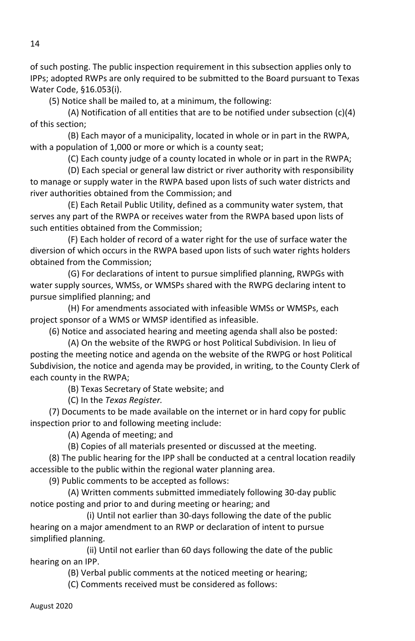of such posting. The public inspection requirement in this subsection applies only to IPPs; adopted RWPs are only required to be submitted to the Board pursuant to Texas Water Code, §16.053(i).

(5) Notice shall be mailed to, at a minimum, the following:

 (A) Notification of all entities that are to be notified under subsection (c)(4) of this section;

 (B) Each mayor of a municipality, located in whole or in part in the RWPA, with a population of 1,000 or more or which is a county seat;

(C) Each county judge of a county located in whole or in part in the RWPA;

 (D) Each special or general law district or river authority with responsibility to manage or supply water in the RWPA based upon lists of such water districts and river authorities obtained from the Commission; and

 (E) Each Retail Public Utility, defined as a community water system, that serves any part of the RWPA or receives water from the RWPA based upon lists of such entities obtained from the Commission;

 (F) Each holder of record of a water right for the use of surface water the diversion of which occurs in the RWPA based upon lists of such water rights holders obtained from the Commission;

 (G) For declarations of intent to pursue simplified planning, RWPGs with water supply sources, WMSs, or WMSPs shared with the RWPG declaring intent to pursue simplified planning; and

 (H) For amendments associated with infeasible WMSs or WMSPs, each project sponsor of a WMS or WMSP identified as infeasible.

(6) Notice and associated hearing and meeting agenda shall also be posted:

 (A) On the website of the RWPG or host Political Subdivision. In lieu of posting the meeting notice and agenda on the website of the RWPG or host Political Subdivision, the notice and agenda may be provided, in writing, to the County Clerk of each county in the RWPA;

(B) Texas Secretary of State website; and

(C) In the *Texas Register.* 

(7) Documents to be made available on the internet or in hard copy for public inspection prior to and following meeting include:

(A) Agenda of meeting; and

(B) Copies of all materials presented or discussed at the meeting.

(8) The public hearing for the IPP shall be conducted at a central location readily accessible to the public within the regional water planning area.

(9) Public comments to be accepted as follows:

 (A) Written comments submitted immediately following 30-day public notice posting and prior to and during meeting or hearing; and

 (i) Until not earlier than 30-days following the date of the public hearing on a major amendment to an RWP or declaration of intent to pursue simplified planning.

 (ii) Until not earlier than 60 days following the date of the public hearing on an IPP.

(B) Verbal public comments at the noticed meeting or hearing;

(C) Comments received must be considered as follows: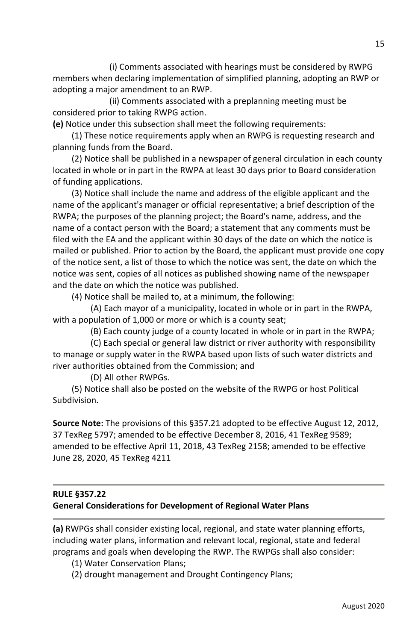(i) Comments associated with hearings must be considered by RWPG members when declaring implementation of simplified planning, adopting an RWP or adopting a major amendment to an RWP.

 (ii) Comments associated with a preplanning meeting must be considered prior to taking RWPG action.

**(e)** Notice under this subsection shall meet the following requirements:

(1) These notice requirements apply when an RWPG is requesting research and planning funds from the Board.

(2) Notice shall be published in a newspaper of general circulation in each county located in whole or in part in the RWPA at least 30 days prior to Board consideration of funding applications.

(3) Notice shall include the name and address of the eligible applicant and the name of the applicant's manager or official representative; a brief description of the RWPA; the purposes of the planning project; the Board's name, address, and the name of a contact person with the Board; a statement that any comments must be filed with the EA and the applicant within 30 days of the date on which the notice is mailed or published. Prior to action by the Board, the applicant must provide one copy of the notice sent, a list of those to which the notice was sent, the date on which the notice was sent, copies of all notices as published showing name of the newspaper and the date on which the notice was published.

(4) Notice shall be mailed to, at a minimum, the following:

 (A) Each mayor of a municipality, located in whole or in part in the RWPA, with a population of 1,000 or more or which is a county seat;

(B) Each county judge of a county located in whole or in part in the RWPA;

 (C) Each special or general law district or river authority with responsibility to manage or supply water in the RWPA based upon lists of such water districts and river authorities obtained from the Commission; and

(D) All other RWPGs.

(5) Notice shall also be posted on the website of the RWPG or host Political Subdivision.

**Source Note:** The provisions of this §357.21 adopted to be effective August 12, 2012, 37 TexReg 5797; amended to be effective December 8, 2016, 41 TexReg 9589; amended to be effective April 11, 2018, 43 TexReg 2158; amended to be effective June 28, 2020, 45 TexReg 4211

# **RULE §357.22 General Considerations for Development of Regional Water Plans**

**(a)** RWPGs shall consider existing local, regional, and state water planning efforts, including water plans, information and relevant local, regional, state and federal programs and goals when developing the RWP. The RWPGs shall also consider:

- (1) Water Conservation Plans;
- (2) drought management and Drought Contingency Plans;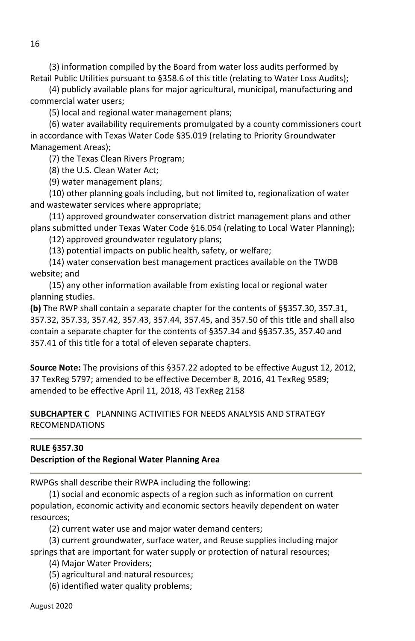(3) information compiled by the Board from water loss audits performed by Retail Public Utilities pursuant to §358.6 of this title (relating to Water Loss Audits);

(4) publicly available plans for major agricultural, municipal, manufacturing and commercial water users;

(5) local and regional water management plans;

(6) water availability requirements promulgated by a county commissioners court in accordance with Texas Water Code §35.019 (relating to Priority Groundwater Management Areas);

(7) the Texas Clean Rivers Program;

(8) the U.S. Clean Water Act;

(9) water management plans;

(10) other planning goals including, but not limited to, regionalization of water and wastewater services where appropriate;

(11) approved groundwater conservation district management plans and other plans submitted under Texas Water Code §16.054 (relating to Local Water Planning);

(12) approved groundwater regulatory plans;

(13) potential impacts on public health, safety, or welfare;

 (14) water conservation best management practices available on the TWDB website; and

(15) any other information available from existing local or regional water planning studies.

**(b)** The RWP shall contain a separate chapter for the contents of §§357.30, 357.31, 357.32, 357.33, 357.42, 357.43, 357.44, 357.45, and 357.50 of this title and shall also contain a separate chapter for the contents of §357.34 and §§357.35, 357.40 and 357.41 of this title for a total of eleven separate chapters.

**Source Note:** The provisions of this §357.22 adopted to be effective August 12, 2012, 37 TexReg 5797; amended to be effective December 8, 2016, 41 TexReg 9589; amended to be effective April 11, 2018, 43 TexReg 2158

**SUBCHAPTER C** PLANNING ACTIVITIES FOR NEEDS ANALYSIS AND STRATEGY RECOMENDATIONS

#### **RULE §357.30**

#### **Description of the Regional Water Planning Area**

RWPGs shall describe their RWPA including the following:

(1) social and economic aspects of a region such as information on current population, economic activity and economic sectors heavily dependent on water resources;

(2) current water use and major water demand centers;

(3) current groundwater, surface water, and Reuse supplies including major springs that are important for water supply or protection of natural resources;

(4) Major Water Providers;

(5) agricultural and natural resources;

(6) identified water quality problems;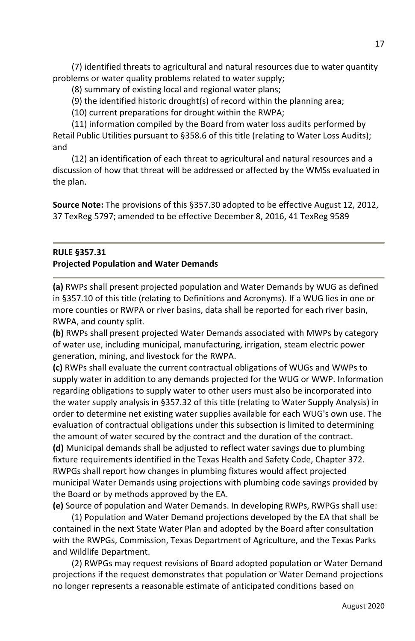(7) identified threats to agricultural and natural resources due to water quantity problems or water quality problems related to water supply;

(8) summary of existing local and regional water plans;

(9) the identified historic drought(s) of record within the planning area;

(10) current preparations for drought within the RWPA;

(11) information compiled by the Board from water loss audits performed by Retail Public Utilities pursuant to §358.6 of this title (relating to Water Loss Audits); and

(12) an identification of each threat to agricultural and natural resources and a discussion of how that threat will be addressed or affected by the WMSs evaluated in the plan.

**Source Note:** The provisions of this §357.30 adopted to be effective August 12, 2012, 37 TexReg 5797; amended to be effective December 8, 2016, 41 TexReg 9589

# **RULE §357.31 Projected Population and Water Demands**

**(a)** RWPs shall present projected population and Water Demands by WUG as defined in §357.10 of this title (relating to Definitions and Acronyms). If a WUG lies in one or more counties or RWPA or river basins, data shall be reported for each river basin, RWPA, and county split.

**(b)** RWPs shall present projected Water Demands associated with MWPs by category of water use, including municipal, manufacturing, irrigation, steam electric power generation, mining, and livestock for the RWPA.

**(c)** RWPs shall evaluate the current contractual obligations of WUGs and WWPs to supply water in addition to any demands projected for the WUG or WWP. Information regarding obligations to supply water to other users must also be incorporated into the water supply analysis in §357.32 of this title (relating to Water Supply Analysis) in order to determine net existing water supplies available for each WUG's own use. The evaluation of contractual obligations under this subsection is limited to determining the amount of water secured by the contract and the duration of the contract. **(d)** Municipal demands shall be adjusted to reflect water savings due to plumbing fixture requirements identified in the Texas Health and Safety Code, Chapter 372. RWPGs shall report how changes in plumbing fixtures would affect projected municipal Water Demands using projections with plumbing code savings provided by the Board or by methods approved by the EA.

**(e)** Source of population and Water Demands. In developing RWPs, RWPGs shall use:

(1) Population and Water Demand projections developed by the EA that shall be contained in the next State Water Plan and adopted by the Board after consultation with the RWPGs, Commission, Texas Department of Agriculture, and the Texas Parks and Wildlife Department.

(2) RWPGs may request revisions of Board adopted population or Water Demand projections if the request demonstrates that population or Water Demand projections no longer represents a reasonable estimate of anticipated conditions based on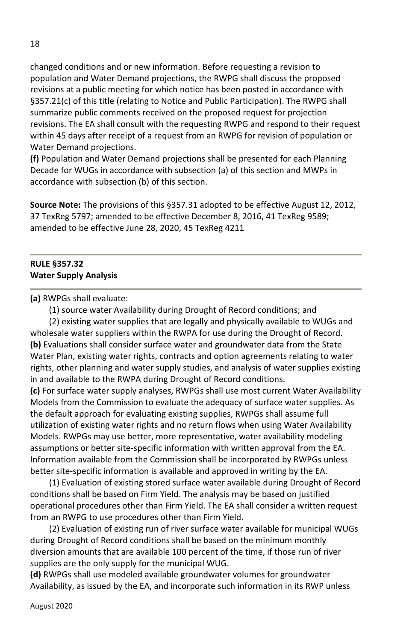changed conditions and or new information. Before requesting a revision to population and Water Demand projections, the RWPG shall discuss the proposed revisions at a public meeting for which notice has been posted in accordance with §357.21(c) of this title (relating to Notice and Public Participation). The RWPG shall summarize public comments received on the proposed request for projection revisions. The EA shall consult with the requesting RWPG and respond to their request within 45 days after receipt of a request from an RWPG for revision of population or Water Demand projections.

**(f)** Population and Water Demand projections shall be presented for each Planning Decade for WUGs in accordance with subsection (a) of this section and MWPs in accordance with subsection (b) of this section.

**Source Note:** The provisions of this §357.31 adopted to be effective August 12, 2012, 37 TexReg 5797; amended to be effective December 8, 2016, 41 TexReg 9589; amended to be effective June 28, 2020, 45 TexReg 4211

#### **RULE §357.32 Water Supply Analysis**

**(a)** RWPGs shall evaluate:

(1) source water Availability during Drought of Record conditions; and

(2) existing water supplies that are legally and physically available to WUGs and wholesale water suppliers within the RWPA for use during the Drought of Record. **(b)** Evaluations shall consider surface water and groundwater data from the State Water Plan, existing water rights, contracts and option agreements relating to water rights, other planning and water supply studies, and analysis of water supplies existing in and available to the RWPA during Drought of Record conditions.

**(c)** For surface water supply analyses, RWPGs shall use most current Water Availability Models from the Commission to evaluate the adequacy of surface water supplies. As the default approach for evaluating existing supplies, RWPGs shall assume full utilization of existing water rights and no return flows when using Water Availability Models. RWPGs may use better, more representative, water availability modeling assumptions or better site-specific information with written approval from the EA. Information available from the Commission shall be incorporated by RWPGs unless better site-specific information is available and approved in writing by the EA.

(1) Evaluation of existing stored surface water available during Drought of Record conditions shall be based on Firm Yield. The analysis may be based on justified operational procedures other than Firm Yield. The EA shall consider a written request from an RWPG to use procedures other than Firm Yield.

(2) Evaluation of existing run of river surface water available for municipal WUGs during Drought of Record conditions shall be based on the minimum monthly diversion amounts that are available 100 percent of the time, if those run of river supplies are the only supply for the municipal WUG.

**(d)** RWPGs shall use modeled available groundwater volumes for groundwater Availability, as issued by the EA, and incorporate such information in its RWP unless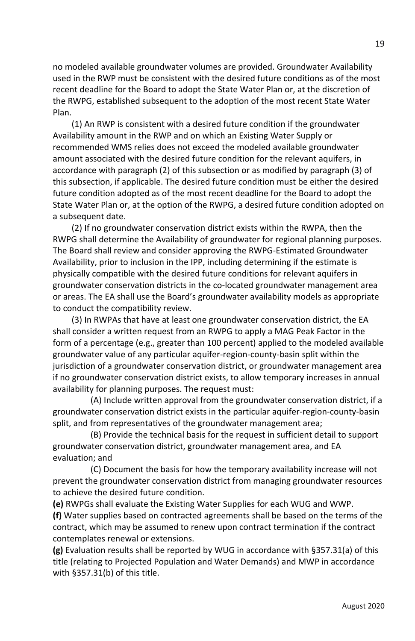no modeled available groundwater volumes are provided. Groundwater Availability used in the RWP must be consistent with the desired future conditions as of the most recent deadline for the Board to adopt the State Water Plan or, at the discretion of the RWPG, established subsequent to the adoption of the most recent State Water Plan.

(1) An RWP is consistent with a desired future condition if the groundwater Availability amount in the RWP and on which an Existing Water Supply or recommended WMS relies does not exceed the modeled available groundwater amount associated with the desired future condition for the relevant aquifers, in accordance with paragraph (2) of this subsection or as modified by paragraph (3) of this subsection, if applicable. The desired future condition must be either the desired future condition adopted as of the most recent deadline for the Board to adopt the State Water Plan or, at the option of the RWPG, a desired future condition adopted on a subsequent date.

(2) If no groundwater conservation district exists within the RWPA, then the RWPG shall determine the Availability of groundwater for regional planning purposes. The Board shall review and consider approving the RWPG-Estimated Groundwater Availability, prior to inclusion in the IPP, including determining if the estimate is physically compatible with the desired future conditions for relevant aquifers in groundwater conservation districts in the co-located groundwater management area or areas. The EA shall use the Board's groundwater availability models as appropriate to conduct the compatibility review.

(3) In RWPAs that have at least one groundwater conservation district, the EA shall consider a written request from an RWPG to apply a MAG Peak Factor in the form of a percentage (e.g., greater than 100 percent) applied to the modeled available groundwater value of any particular aquifer-region-county-basin split within the jurisdiction of a groundwater conservation district, or groundwater management area if no groundwater conservation district exists, to allow temporary increases in annual availability for planning purposes. The request must:

 (A) Include written approval from the groundwater conservation district, if a groundwater conservation district exists in the particular aquifer-region-county-basin split, and from representatives of the groundwater management area;

 (B) Provide the technical basis for the request in sufficient detail to support groundwater conservation district, groundwater management area, and EA evaluation; and

 (C) Document the basis for how the temporary availability increase will not prevent the groundwater conservation district from managing groundwater resources to achieve the desired future condition.

**(e)** RWPGs shall evaluate the Existing Water Supplies for each WUG and WWP.

**(f)** Water supplies based on contracted agreements shall be based on the terms of the contract, which may be assumed to renew upon contract termination if the contract contemplates renewal or extensions.

**(g)** Evaluation results shall be reported by WUG in accordance with §357.31(a) of this title (relating to Projected Population and Water Demands) and MWP in accordance with §357.31(b) of this title.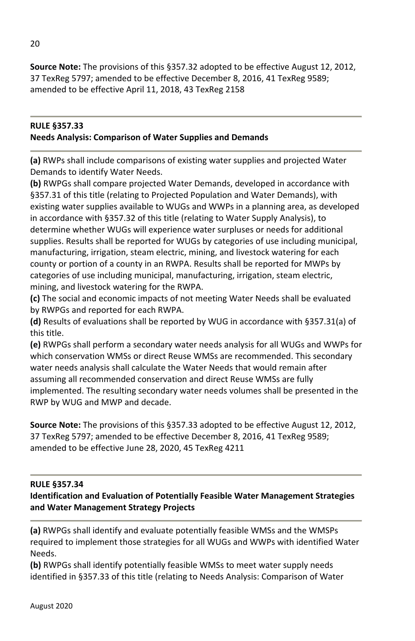**Source Note:** The provisions of this §357.32 adopted to be effective August 12, 2012, 37 TexReg 5797; amended to be effective December 8, 2016, 41 TexReg 9589; amended to be effective April 11, 2018, 43 TexReg 2158

#### **RULE §357.33 Needs Analysis: Comparison of Water Supplies and Demands**

**(a)** RWPs shall include comparisons of existing water supplies and projected Water Demands to identify Water Needs.

**(b)** RWPGs shall compare projected Water Demands, developed in accordance with §357.31 of this title (relating to Projected Population and Water Demands), with existing water supplies available to WUGs and WWPs in a planning area, as developed in accordance with §357.32 of this title (relating to Water Supply Analysis), to determine whether WUGs will experience water surpluses or needs for additional supplies. Results shall be reported for WUGs by categories of use including municipal, manufacturing, irrigation, steam electric, mining, and livestock watering for each county or portion of a county in an RWPA. Results shall be reported for MWPs by categories of use including municipal, manufacturing, irrigation, steam electric, mining, and livestock watering for the RWPA.

**(c)** The social and economic impacts of not meeting Water Needs shall be evaluated by RWPGs and reported for each RWPA.

**(d)** Results of evaluations shall be reported by WUG in accordance with §357.31(a) of this title.

**(e)** RWPGs shall perform a secondary water needs analysis for all WUGs and WWPs for which conservation WMSs or direct Reuse WMSs are recommended. This secondary water needs analysis shall calculate the Water Needs that would remain after assuming all recommended conservation and direct Reuse WMSs are fully implemented. The resulting secondary water needs volumes shall be presented in the RWP by WUG and MWP and decade.

**Source Note:** The provisions of this §357.33 adopted to be effective August 12, 2012, 37 TexReg 5797; amended to be effective December 8, 2016, 41 TexReg 9589; amended to be effective June 28, 2020, 45 TexReg 4211

#### **RULE §357.34**

# **Identification and Evaluation of Potentially Feasible Water Management Strategies and Water Management Strategy Projects**

**(a)** RWPGs shall identify and evaluate potentially feasible WMSs and the WMSPs required to implement those strategies for all WUGs and WWPs with identified Water Needs.

**(b)** RWPGs shall identify potentially feasible WMSs to meet water supply needs identified in §357.33 of this title (relating to Needs Analysis: Comparison of Water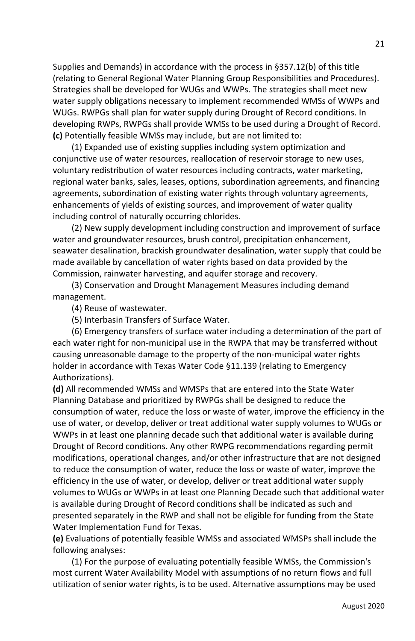Supplies and Demands) in accordance with the process in §357.12(b) of this title (relating to General Regional Water Planning Group Responsibilities and Procedures). Strategies shall be developed for WUGs and WWPs. The strategies shall meet new water supply obligations necessary to implement recommended WMSs of WWPs and WUGs. RWPGs shall plan for water supply during Drought of Record conditions. In developing RWPs, RWPGs shall provide WMSs to be used during a Drought of Record. **(c)** Potentially feasible WMSs may include, but are not limited to:

(1) Expanded use of existing supplies including system optimization and conjunctive use of water resources, reallocation of reservoir storage to new uses, voluntary redistribution of water resources including contracts, water marketing, regional water banks, sales, leases, options, subordination agreements, and financing agreements, subordination of existing water rights through voluntary agreements, enhancements of yields of existing sources, and improvement of water quality including control of naturally occurring chlorides.

(2) New supply development including construction and improvement of surface water and groundwater resources, brush control, precipitation enhancement, seawater desalination, brackish groundwater desalination, water supply that could be made available by cancellation of water rights based on data provided by the Commission, rainwater harvesting, and aquifer storage and recovery.

(3) Conservation and Drought Management Measures including demand management.

(4) Reuse of wastewater.

(5) Interbasin Transfers of Surface Water.

(6) Emergency transfers of surface water including a determination of the part of each water right for non-municipal use in the RWPA that may be transferred without causing unreasonable damage to the property of the non-municipal water rights holder in accordance with Texas Water Code §11.139 (relating to Emergency Authorizations).

**(d)** All recommended WMSs and WMSPs that are entered into the State Water Planning Database and prioritized by RWPGs shall be designed to reduce the consumption of water, reduce the loss or waste of water, improve the efficiency in the use of water, or develop, deliver or treat additional water supply volumes to WUGs or WWPs in at least one planning decade such that additional water is available during Drought of Record conditions. Any other RWPG recommendations regarding permit modifications, operational changes, and/or other infrastructure that are not designed to reduce the consumption of water, reduce the loss or waste of water, improve the efficiency in the use of water, or develop, deliver or treat additional water supply volumes to WUGs or WWPs in at least one Planning Decade such that additional water is available during Drought of Record conditions shall be indicated as such and presented separately in the RWP and shall not be eligible for funding from the State Water Implementation Fund for Texas.

**(e)** Evaluations of potentially feasible WMSs and associated WMSPs shall include the following analyses:

(1) For the purpose of evaluating potentially feasible WMSs, the Commission's most current Water Availability Model with assumptions of no return flows and full utilization of senior water rights, is to be used. Alternative assumptions may be used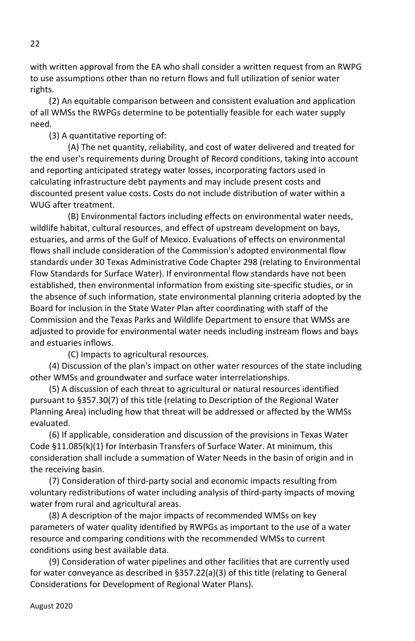with written approval from the EA who shall consider a written request from an RWPG to use assumptions other than no return flows and full utilization of senior water rights.

(2) An equitable comparison between and consistent evaluation and application of all WMSs the RWPGs determine to be potentially feasible for each water supply need.

(3) A quantitative reporting of:

 (A) The net quantity, reliability, and cost of water delivered and treated for the end user's requirements during Drought of Record conditions, taking into account and reporting anticipated strategy water losses, incorporating factors used in calculating infrastructure debt payments and may include present costs and discounted present value costs. Costs do not include distribution of water within a WUG after treatment.

 (B) Environmental factors including effects on environmental water needs, wildlife habitat, cultural resources, and effect of upstream development on bays, estuaries, and arms of the Gulf of Mexico. Evaluations of effects on environmental flows shall include consideration of the Commission's adopted environmental flow standards under 30 Texas Administrative Code Chapter 298 (relating to Environmental Flow Standards for Surface Water). If environmental flow standards have not been established, then environmental information from existing site-specific studies, or in the absence of such information, state environmental planning criteria adopted by the Board for inclusion in the State Water Plan after coordinating with staff of the Commission and the Texas Parks and Wildlife Department to ensure that WMSs are adjusted to provide for environmental water needs including instream flows and bays and estuaries inflows.

(C) Impacts to agricultural resources.

(4) Discussion of the plan's impact on other water resources of the state including other WMSs and groundwater and surface water interrelationships.

(5) A discussion of each threat to agricultural or natural resources identified pursuant to §357.30(7) of this title (relating to Description of the Regional Water Planning Area) including how that threat will be addressed or affected by the WMSs evaluated.

(6) If applicable, consideration and discussion of the provisions in Texas Water Code §11.085(k)(1) for Interbasin Transfers of Surface Water. At minimum, this consideration shall include a summation of Water Needs in the basin of origin and in the receiving basin.

(7) Consideration of third-party social and economic impacts resulting from voluntary redistributions of water including analysis of third-party impacts of moving water from rural and agricultural areas.

(8) A description of the major impacts of recommended WMSs on key parameters of water quality identified by RWPGs as important to the use of a water resource and comparing conditions with the recommended WMSs to current conditions using best available data.

(9) Consideration of water pipelines and other facilities that are currently used for water conveyance as described in §357.22(a)(3) of this title (relating to General Considerations for Development of Regional Water Plans).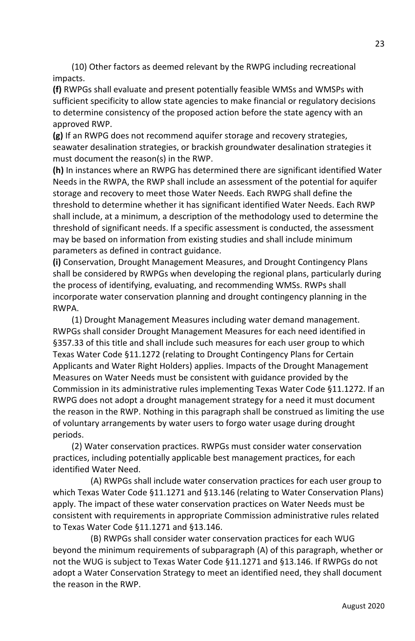(10) Other factors as deemed relevant by the RWPG including recreational impacts.

**(f)** RWPGs shall evaluate and present potentially feasible WMSs and WMSPs with sufficient specificity to allow state agencies to make financial or regulatory decisions to determine consistency of the proposed action before the state agency with an approved RWP.

**(g)** If an RWPG does not recommend aquifer storage and recovery strategies, seawater desalination strategies, or brackish groundwater desalination strategies it must document the reason(s) in the RWP.

**(h)** In instances where an RWPG has determined there are significant identified Water Needs in the RWPA, the RWP shall include an assessment of the potential for aquifer storage and recovery to meet those Water Needs. Each RWPG shall define the threshold to determine whether it has significant identified Water Needs. Each RWP shall include, at a minimum, a description of the methodology used to determine the threshold of significant needs. If a specific assessment is conducted, the assessment may be based on information from existing studies and shall include minimum parameters as defined in contract guidance.

**(i)** Conservation, Drought Management Measures, and Drought Contingency Plans shall be considered by RWPGs when developing the regional plans, particularly during the process of identifying, evaluating, and recommending WMSs. RWPs shall incorporate water conservation planning and drought contingency planning in the RWPA.

(1) Drought Management Measures including water demand management. RWPGs shall consider Drought Management Measures for each need identified in §357.33 of this title and shall include such measures for each user group to which Texas Water Code §11.1272 (relating to Drought Contingency Plans for Certain Applicants and Water Right Holders) applies. Impacts of the Drought Management Measures on Water Needs must be consistent with guidance provided by the Commission in its administrative rules implementing Texas Water Code §11.1272. If an RWPG does not adopt a drought management strategy for a need it must document the reason in the RWP. Nothing in this paragraph shall be construed as limiting the use of voluntary arrangements by water users to forgo water usage during drought periods.

(2) Water conservation practices. RWPGs must consider water conservation practices, including potentially applicable best management practices, for each identified Water Need.

 (A) RWPGs shall include water conservation practices for each user group to which Texas Water Code §11.1271 and §13.146 (relating to Water Conservation Plans) apply. The impact of these water conservation practices on Water Needs must be consistent with requirements in appropriate Commission administrative rules related to Texas Water Code §11.1271 and §13.146.

 (B) RWPGs shall consider water conservation practices for each WUG beyond the minimum requirements of subparagraph (A) of this paragraph, whether or not the WUG is subject to Texas Water Code §11.1271 and §13.146. If RWPGs do not adopt a Water Conservation Strategy to meet an identified need, they shall document the reason in the RWP.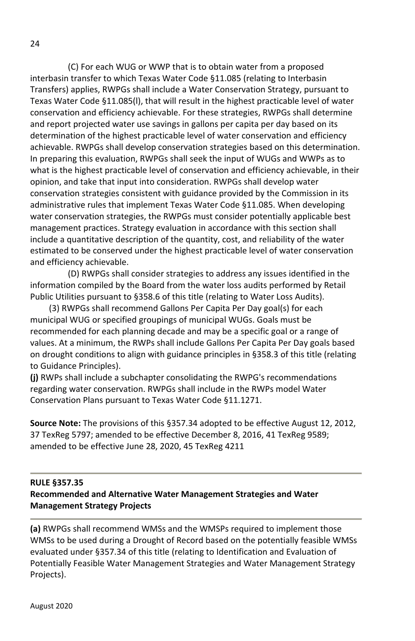(C) For each WUG or WWP that is to obtain water from a proposed interbasin transfer to which Texas Water Code §11.085 (relating to Interbasin Transfers) applies, RWPGs shall include a Water Conservation Strategy, pursuant to Texas Water Code §11.085(l), that will result in the highest practicable level of water conservation and efficiency achievable. For these strategies, RWPGs shall determine and report projected water use savings in gallons per capita per day based on its determination of the highest practicable level of water conservation and efficiency achievable. RWPGs shall develop conservation strategies based on this determination. In preparing this evaluation, RWPGs shall seek the input of WUGs and WWPs as to what is the highest practicable level of conservation and efficiency achievable, in their opinion, and take that input into consideration. RWPGs shall develop water conservation strategies consistent with guidance provided by the Commission in its administrative rules that implement Texas Water Code §11.085. When developing water conservation strategies, the RWPGs must consider potentially applicable best management practices. Strategy evaluation in accordance with this section shall include a quantitative description of the quantity, cost, and reliability of the water estimated to be conserved under the highest practicable level of water conservation and efficiency achievable.

 (D) RWPGs shall consider strategies to address any issues identified in the information compiled by the Board from the water loss audits performed by Retail Public Utilities pursuant to §358.6 of this title (relating to Water Loss Audits).

(3) RWPGs shall recommend Gallons Per Capita Per Day goal(s) for each municipal WUG or specified groupings of municipal WUGs. Goals must be recommended for each planning decade and may be a specific goal or a range of values. At a minimum, the RWPs shall include Gallons Per Capita Per Day goals based on drought conditions to align with guidance principles in §358.3 of this title (relating to Guidance Principles).

**(j)** RWPs shall include a subchapter consolidating the RWPG's recommendations regarding water conservation. RWPGs shall include in the RWPs model Water Conservation Plans pursuant to Texas Water Code §11.1271.

**Source Note:** The provisions of this §357.34 adopted to be effective August 12, 2012, 37 TexReg 5797; amended to be effective December 8, 2016, 41 TexReg 9589; amended to be effective June 28, 2020, 45 TexReg 4211

#### **RULE §357.35**

#### **Recommended and Alternative Water Management Strategies and Water Management Strategy Projects**

**(a)** RWPGs shall recommend WMSs and the WMSPs required to implement those WMSs to be used during a Drought of Record based on the potentially feasible WMSs evaluated under §357.34 of this title (relating to Identification and Evaluation of Potentially Feasible Water Management Strategies and Water Management Strategy Projects).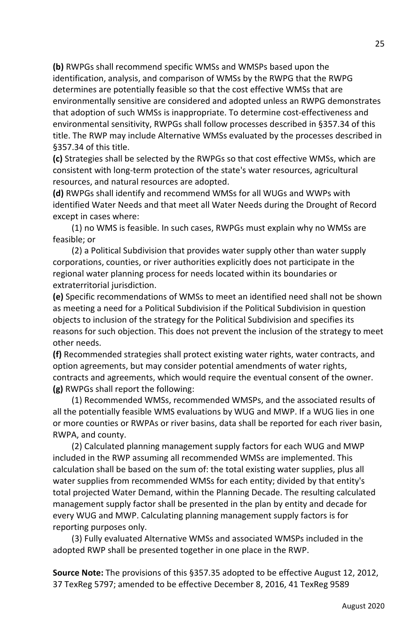**(b)** RWPGs shall recommend specific WMSs and WMSPs based upon the identification, analysis, and comparison of WMSs by the RWPG that the RWPG determines are potentially feasible so that the cost effective WMSs that are environmentally sensitive are considered and adopted unless an RWPG demonstrates that adoption of such WMSs is inappropriate. To determine cost-effectiveness and environmental sensitivity, RWPGs shall follow processes described in §357.34 of this title. The RWP may include Alternative WMSs evaluated by the processes described in §357.34 of this title.

**(c)** Strategies shall be selected by the RWPGs so that cost effective WMSs, which are consistent with long-term protection of the state's water resources, agricultural resources, and natural resources are adopted.

**(d)** RWPGs shall identify and recommend WMSs for all WUGs and WWPs with identified Water Needs and that meet all Water Needs during the Drought of Record except in cases where:

(1) no WMS is feasible. In such cases, RWPGs must explain why no WMSs are feasible; or

(2) a Political Subdivision that provides water supply other than water supply corporations, counties, or river authorities explicitly does not participate in the regional water planning process for needs located within its boundaries or extraterritorial jurisdiction.

**(e)** Specific recommendations of WMSs to meet an identified need shall not be shown as meeting a need for a Political Subdivision if the Political Subdivision in question objects to inclusion of the strategy for the Political Subdivision and specifies its reasons for such objection. This does not prevent the inclusion of the strategy to meet other needs.

**(f)** Recommended strategies shall protect existing water rights, water contracts, and option agreements, but may consider potential amendments of water rights, contracts and agreements, which would require the eventual consent of the owner. **(g)** RWPGs shall report the following:

(1) Recommended WMSs, recommended WMSPs, and the associated results of all the potentially feasible WMS evaluations by WUG and MWP. If a WUG lies in one or more counties or RWPAs or river basins, data shall be reported for each river basin, RWPA, and county.

(2) Calculated planning management supply factors for each WUG and MWP included in the RWP assuming all recommended WMSs are implemented. This calculation shall be based on the sum of: the total existing water supplies, plus all water supplies from recommended WMSs for each entity; divided by that entity's total projected Water Demand, within the Planning Decade. The resulting calculated management supply factor shall be presented in the plan by entity and decade for every WUG and MWP. Calculating planning management supply factors is for reporting purposes only.

(3) Fully evaluated Alternative WMSs and associated WMSPs included in the adopted RWP shall be presented together in one place in the RWP.

**Source Note:** The provisions of this §357.35 adopted to be effective August 12, 2012, 37 TexReg 5797; amended to be effective December 8, 2016, 41 TexReg 9589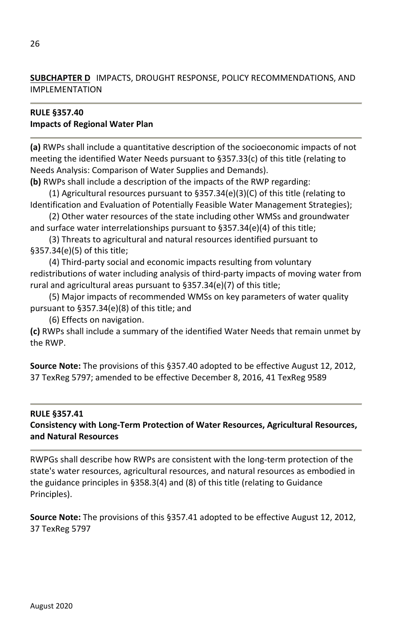**SUBCHAPTER D** IMPACTS, DROUGHT RESPONSE, POLICY RECOMMENDATIONS, AND IMPLEMENTATION

#### **RULE §357.40 Impacts of Regional Water Plan**

**(a)** RWPs shall include a quantitative description of the socioeconomic impacts of not meeting the identified Water Needs pursuant to §357.33(c) of this title (relating to Needs Analysis: Comparison of Water Supplies and Demands).

**(b)** RWPs shall include a description of the impacts of the RWP regarding:

(1) Agricultural resources pursuant to §357.34(e)(3)(C) of this title (relating to Identification and Evaluation of Potentially Feasible Water Management Strategies);

(2) Other water resources of the state including other WMSs and groundwater and surface water interrelationships pursuant to §357.34(e)(4) of this title;

(3) Threats to agricultural and natural resources identified pursuant to §357.34(e)(5) of this title;

(4) Third-party social and economic impacts resulting from voluntary redistributions of water including analysis of third-party impacts of moving water from rural and agricultural areas pursuant to §357.34(e)(7) of this title;

(5) Major impacts of recommended WMSs on key parameters of water quality pursuant to §357.34(e)(8) of this title; and

(6) Effects on navigation.

**(c)** RWPs shall include a summary of the identified Water Needs that remain unmet by the RWP.

**Source Note:** The provisions of this §357.40 adopted to be effective August 12, 2012, 37 TexReg 5797; amended to be effective December 8, 2016, 41 TexReg 9589

# **RULE §357.41**

# **Consistency with Long-Term Protection of Water Resources, Agricultural Resources, and Natural Resources**

RWPGs shall describe how RWPs are consistent with the long-term protection of the state's water resources, agricultural resources, and natural resources as embodied in the guidance principles in §358.3(4) and (8) of this title (relating to Guidance Principles).

**Source Note:** The provisions of this §357.41 adopted to be effective August 12, 2012, 37 TexReg 5797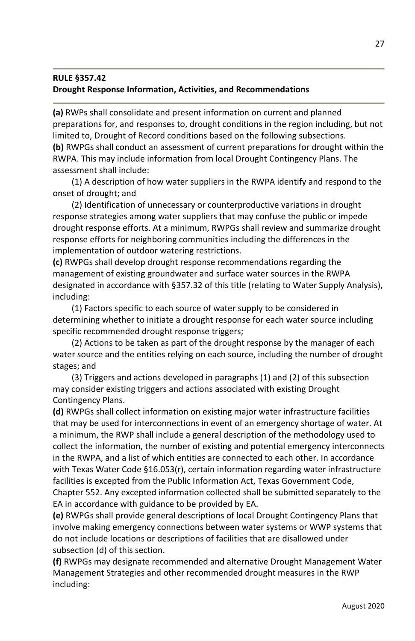#### **RULE §357.42 Drought Response Information, Activities, and Recommendations**

**(a)** RWPs shall consolidate and present information on current and planned preparations for, and responses to, drought conditions in the region including, but not limited to, Drought of Record conditions based on the following subsections. **(b)** RWPGs shall conduct an assessment of current preparations for drought within the RWPA. This may include information from local Drought Contingency Plans. The assessment shall include:

(1) A description of how water suppliers in the RWPA identify and respond to the onset of drought; and

(2) Identification of unnecessary or counterproductive variations in drought response strategies among water suppliers that may confuse the public or impede drought response efforts. At a minimum, RWPGs shall review and summarize drought response efforts for neighboring communities including the differences in the implementation of outdoor watering restrictions.

**(c)** RWPGs shall develop drought response recommendations regarding the management of existing groundwater and surface water sources in the RWPA designated in accordance with §357.32 of this title (relating to Water Supply Analysis), including:

(1) Factors specific to each source of water supply to be considered in determining whether to initiate a drought response for each water source including specific recommended drought response triggers;

(2) Actions to be taken as part of the drought response by the manager of each water source and the entities relying on each source, including the number of drought stages; and

(3) Triggers and actions developed in paragraphs (1) and (2) of this subsection may consider existing triggers and actions associated with existing Drought Contingency Plans.

**(d)** RWPGs shall collect information on existing major water infrastructure facilities that may be used for interconnections in event of an emergency shortage of water. At a minimum, the RWP shall include a general description of the methodology used to collect the information, the number of existing and potential emergency interconnects in the RWPA, and a list of which entities are connected to each other. In accordance with Texas Water Code §16.053(r), certain information regarding water infrastructure facilities is excepted from the Public Information Act, Texas Government Code, Chapter 552. Any excepted information collected shall be submitted separately to the EA in accordance with guidance to be provided by EA.

**(e)** RWPGs shall provide general descriptions of local Drought Contingency Plans that involve making emergency connections between water systems or WWP systems that do not include locations or descriptions of facilities that are disallowed under subsection (d) of this section.

**(f)** RWPGs may designate recommended and alternative Drought Management Water Management Strategies and other recommended drought measures in the RWP including: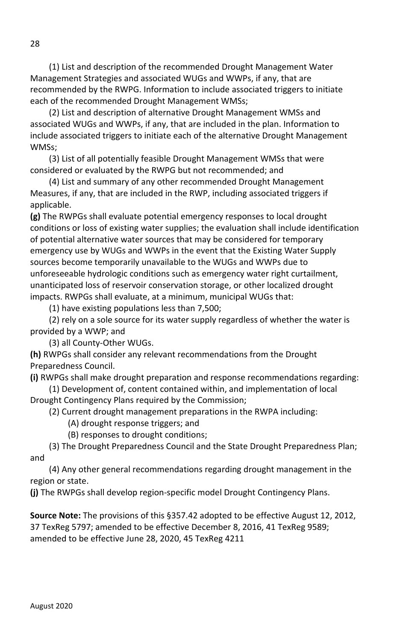(1) List and description of the recommended Drought Management Water Management Strategies and associated WUGs and WWPs, if any, that are recommended by the RWPG. Information to include associated triggers to initiate each of the recommended Drought Management WMSs;

(2) List and description of alternative Drought Management WMSs and associated WUGs and WWPs, if any, that are included in the plan. Information to include associated triggers to initiate each of the alternative Drought Management WMSs;

(3) List of all potentially feasible Drought Management WMSs that were considered or evaluated by the RWPG but not recommended; and

(4) List and summary of any other recommended Drought Management Measures, if any, that are included in the RWP, including associated triggers if applicable.

**(g)** The RWPGs shall evaluate potential emergency responses to local drought conditions or loss of existing water supplies; the evaluation shall include identification of potential alternative water sources that may be considered for temporary emergency use by WUGs and WWPs in the event that the Existing Water Supply sources become temporarily unavailable to the WUGs and WWPs due to unforeseeable hydrologic conditions such as emergency water right curtailment, unanticipated loss of reservoir conservation storage, or other localized drought impacts. RWPGs shall evaluate, at a minimum, municipal WUGs that:

(1) have existing populations less than 7,500;

(2) rely on a sole source for its water supply regardless of whether the water is provided by a WWP; and

(3) all County-Other WUGs.

**(h)** RWPGs shall consider any relevant recommendations from the Drought Preparedness Council.

**(i)** RWPGs shall make drought preparation and response recommendations regarding:

(1) Development of, content contained within, and implementation of local Drought Contingency Plans required by the Commission;

(2) Current drought management preparations in the RWPA including:

(A) drought response triggers; and

(B) responses to drought conditions;

(3) The Drought Preparedness Council and the State Drought Preparedness Plan; and

(4) Any other general recommendations regarding drought management in the region or state.

**(j)** The RWPGs shall develop region-specific model Drought Contingency Plans.

**Source Note:** The provisions of this §357.42 adopted to be effective August 12, 2012, 37 TexReg 5797; amended to be effective December 8, 2016, 41 TexReg 9589; amended to be effective June 28, 2020, 45 TexReg 4211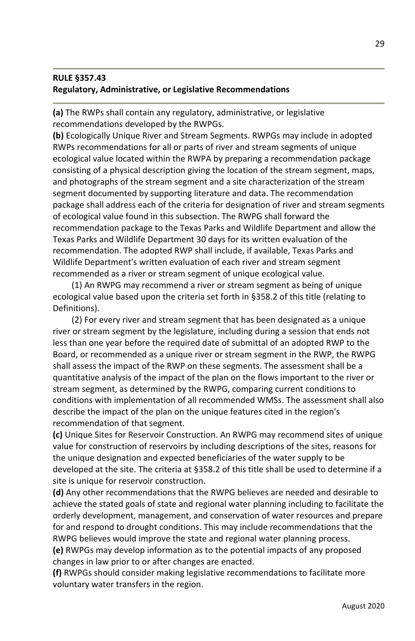# **RULE §357.43 Regulatory, Administrative, or Legislative Recommendations**

**(a)** The RWPs shall contain any regulatory, administrative, or legislative recommendations developed by the RWPGs.

**(b)** Ecologically Unique River and Stream Segments. RWPGs may include in adopted RWPs recommendations for all or parts of river and stream segments of unique ecological value located within the RWPA by preparing a recommendation package consisting of a physical description giving the location of the stream segment, maps, and photographs of the stream segment and a site characterization of the stream segment documented by supporting literature and data. The recommendation package shall address each of the criteria for designation of river and stream segments of ecological value found in this subsection. The RWPG shall forward the recommendation package to the Texas Parks and Wildlife Department and allow the Texas Parks and Wildlife Department 30 days for its written evaluation of the recommendation. The adopted RWP shall include, if available, Texas Parks and Wildlife Department's written evaluation of each river and stream segment recommended as a river or stream segment of unique ecological value.

(1) An RWPG may recommend a river or stream segment as being of unique ecological value based upon the criteria set forth in §358.2 of this title (relating to Definitions).

(2) For every river and stream segment that has been designated as a unique river or stream segment by the legislature, including during a session that ends not less than one year before the required date of submittal of an adopted RWP to the Board, or recommended as a unique river or stream segment in the RWP, the RWPG shall assess the impact of the RWP on these segments. The assessment shall be a quantitative analysis of the impact of the plan on the flows important to the river or stream segment, as determined by the RWPG, comparing current conditions to conditions with implementation of all recommended WMSs. The assessment shall also describe the impact of the plan on the unique features cited in the region's recommendation of that segment.

**(c)** Unique Sites for Reservoir Construction. An RWPG may recommend sites of unique value for construction of reservoirs by including descriptions of the sites, reasons for the unique designation and expected beneficiaries of the water supply to be developed at the site. The criteria at §358.2 of this title shall be used to determine if a site is unique for reservoir construction.

**(d)** Any other recommendations that the RWPG believes are needed and desirable to achieve the stated goals of state and regional water planning including to facilitate the orderly development, management, and conservation of water resources and prepare for and respond to drought conditions. This may include recommendations that the RWPG believes would improve the state and regional water planning process.

**(e)** RWPGs may develop information as to the potential impacts of any proposed changes in law prior to or after changes are enacted.

**(f)** RWPGs should consider making legislative recommendations to facilitate more voluntary water transfers in the region.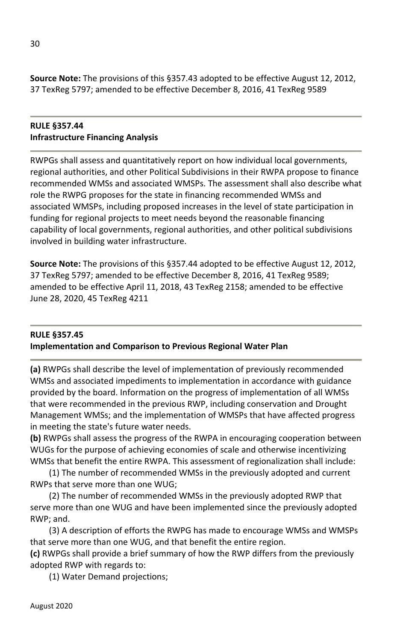**Source Note:** The provisions of this §357.43 adopted to be effective August 12, 2012, 37 TexReg 5797; amended to be effective December 8, 2016, 41 TexReg 9589

#### **RULE §357.44 Infrastructure Financing Analysis**

RWPGs shall assess and quantitatively report on how individual local governments, regional authorities, and other Political Subdivisions in their RWPA propose to finance recommended WMSs and associated WMSPs. The assessment shall also describe what role the RWPG proposes for the state in financing recommended WMSs and associated WMSPs, including proposed increases in the level of state participation in funding for regional projects to meet needs beyond the reasonable financing capability of local governments, regional authorities, and other political subdivisions involved in building water infrastructure.

**Source Note:** The provisions of this §357.44 adopted to be effective August 12, 2012, 37 TexReg 5797; amended to be effective December 8, 2016, 41 TexReg 9589; amended to be effective April 11, 2018, 43 TexReg 2158; amended to be effective June 28, 2020, 45 TexReg 4211

# **RULE §357.45 Implementation and Comparison to Previous Regional Water Plan**

**(a)** RWPGs shall describe the level of implementation of previously recommended WMSs and associated impediments to implementation in accordance with guidance provided by the board. Information on the progress of implementation of all WMSs that were recommended in the previous RWP, including conservation and Drought Management WMSs; and the implementation of WMSPs that have affected progress in meeting the state's future water needs.

**(b)** RWPGs shall assess the progress of the RWPA in encouraging cooperation between WUGs for the purpose of achieving economies of scale and otherwise incentivizing WMSs that benefit the entire RWPA. This assessment of regionalization shall include:

(1) The number of recommended WMSs in the previously adopted and current RWPs that serve more than one WUG;

(2) The number of recommended WMSs in the previously adopted RWP that serve more than one WUG and have been implemented since the previously adopted RWP; and.

(3) A description of efforts the RWPG has made to encourage WMSs and WMSPs that serve more than one WUG, and that benefit the entire region.

**(c)** RWPGs shall provide a brief summary of how the RWP differs from the previously adopted RWP with regards to:

(1) Water Demand projections;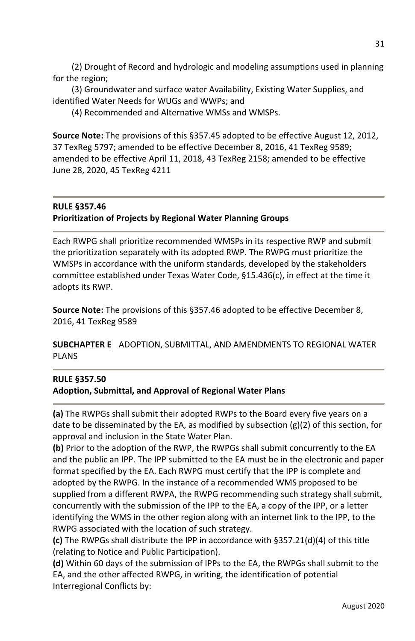(2) Drought of Record and hydrologic and modeling assumptions used in planning for the region;

(3) Groundwater and surface water Availability, Existing Water Supplies, and identified Water Needs for WUGs and WWPs; and

(4) Recommended and Alternative WMSs and WMSPs.

**Source Note:** The provisions of this §357.45 adopted to be effective August 12, 2012, 37 TexReg 5797; amended to be effective December 8, 2016, 41 TexReg 9589; amended to be effective April 11, 2018, 43 TexReg 2158; amended to be effective June 28, 2020, 45 TexReg 4211

#### **RULE §357.46 Prioritization of Projects by Regional Water Planning Groups**

Each RWPG shall prioritize recommended WMSPs in its respective RWP and submit the prioritization separately with its adopted RWP. The RWPG must prioritize the WMSPs in accordance with the uniform standards, developed by the stakeholders committee established under Texas Water Code, §15.436(c), in effect at the time it adopts its RWP.

**Source Note:** The provisions of this §357.46 adopted to be effective December 8, 2016, 41 TexReg 9589

**SUBCHAPTER E** ADOPTION, SUBMITTAL, AND AMENDMENTS TO REGIONAL WATER PLANS

# **RULE §357.50**

#### **Adoption, Submittal, and Approval of Regional Water Plans**

**(a)** The RWPGs shall submit their adopted RWPs to the Board every five years on a date to be disseminated by the EA, as modified by subsection  $(g)(2)$  of this section, for approval and inclusion in the State Water Plan.

**(b)** Prior to the adoption of the RWP, the RWPGs shall submit concurrently to the EA and the public an IPP. The IPP submitted to the EA must be in the electronic and paper format specified by the EA. Each RWPG must certify that the IPP is complete and adopted by the RWPG. In the instance of a recommended WMS proposed to be supplied from a different RWPA, the RWPG recommending such strategy shall submit, concurrently with the submission of the IPP to the EA, a copy of the IPP, or a letter identifying the WMS in the other region along with an internet link to the IPP, to the RWPG associated with the location of such strategy.

**(c)** The RWPGs shall distribute the IPP in accordance with §357.21(d)(4) of this title (relating to Notice and Public Participation).

**(d)** Within 60 days of the submission of IPPs to the EA, the RWPGs shall submit to the EA, and the other affected RWPG, in writing, the identification of potential Interregional Conflicts by: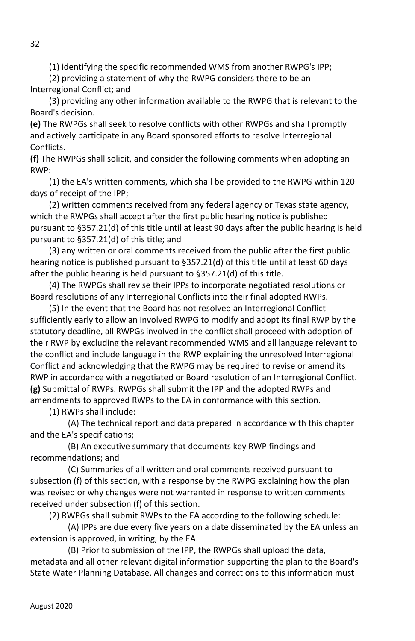(1) identifying the specific recommended WMS from another RWPG's IPP;

(2) providing a statement of why the RWPG considers there to be an Interregional Conflict; and

(3) providing any other information available to the RWPG that is relevant to the Board's decision.

**(e)** The RWPGs shall seek to resolve conflicts with other RWPGs and shall promptly and actively participate in any Board sponsored efforts to resolve Interregional Conflicts.

**(f)** The RWPGs shall solicit, and consider the following comments when adopting an RWP:

(1) the EA's written comments, which shall be provided to the RWPG within 120 days of receipt of the IPP;

(2) written comments received from any federal agency or Texas state agency, which the RWPGs shall accept after the first public hearing notice is published pursuant to §357.21(d) of this title until at least 90 days after the public hearing is held pursuant to §357.21(d) of this title; and

(3) any written or oral comments received from the public after the first public hearing notice is published pursuant to §357.21(d) of this title until at least 60 days after the public hearing is held pursuant to §357.21(d) of this title.

(4) The RWPGs shall revise their IPPs to incorporate negotiated resolutions or Board resolutions of any Interregional Conflicts into their final adopted RWPs.

(5) In the event that the Board has not resolved an Interregional Conflict sufficiently early to allow an involved RWPG to modify and adopt its final RWP by the statutory deadline, all RWPGs involved in the conflict shall proceed with adoption of their RWP by excluding the relevant recommended WMS and all language relevant to the conflict and include language in the RWP explaining the unresolved Interregional Conflict and acknowledging that the RWPG may be required to revise or amend its RWP in accordance with a negotiated or Board resolution of an Interregional Conflict. **(g)** Submittal of RWPs. RWPGs shall submit the IPP and the adopted RWPs and amendments to approved RWPs to the EA in conformance with this section.

(1) RWPs shall include:

 (A) The technical report and data prepared in accordance with this chapter and the EA's specifications;

 (B) An executive summary that documents key RWP findings and recommendations; and

 (C) Summaries of all written and oral comments received pursuant to subsection (f) of this section, with a response by the RWPG explaining how the plan was revised or why changes were not warranted in response to written comments received under subsection (f) of this section.

(2) RWPGs shall submit RWPs to the EA according to the following schedule:

 (A) IPPs are due every five years on a date disseminated by the EA unless an extension is approved, in writing, by the EA.

 (B) Prior to submission of the IPP, the RWPGs shall upload the data, metadata and all other relevant digital information supporting the plan to the Board's State Water Planning Database. All changes and corrections to this information must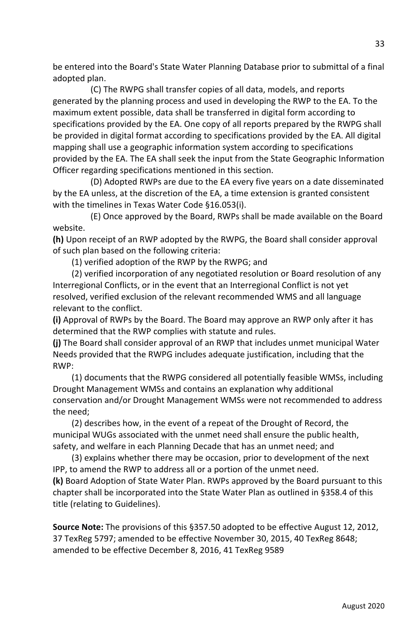be entered into the Board's State Water Planning Database prior to submittal of a final adopted plan.

 (C) The RWPG shall transfer copies of all data, models, and reports generated by the planning process and used in developing the RWP to the EA. To the maximum extent possible, data shall be transferred in digital form according to specifications provided by the EA. One copy of all reports prepared by the RWPG shall be provided in digital format according to specifications provided by the EA. All digital mapping shall use a geographic information system according to specifications provided by the EA. The EA shall seek the input from the State Geographic Information Officer regarding specifications mentioned in this section.

 (D) Adopted RWPs are due to the EA every five years on a date disseminated by the EA unless, at the discretion of the EA, a time extension is granted consistent with the timelines in Texas Water Code §16.053(i).

 (E) Once approved by the Board, RWPs shall be made available on the Board website.

**(h)** Upon receipt of an RWP adopted by the RWPG, the Board shall consider approval of such plan based on the following criteria:

(1) verified adoption of the RWP by the RWPG; and

(2) verified incorporation of any negotiated resolution or Board resolution of any Interregional Conflicts, or in the event that an Interregional Conflict is not yet resolved, verified exclusion of the relevant recommended WMS and all language relevant to the conflict.

**(i)** Approval of RWPs by the Board. The Board may approve an RWP only after it has determined that the RWP complies with statute and rules.

**(j)** The Board shall consider approval of an RWP that includes unmet municipal Water Needs provided that the RWPG includes adequate justification, including that the RWP:

(1) documents that the RWPG considered all potentially feasible WMSs, including Drought Management WMSs and contains an explanation why additional conservation and/or Drought Management WMSs were not recommended to address the need;

(2) describes how, in the event of a repeat of the Drought of Record, the municipal WUGs associated with the unmet need shall ensure the public health, safety, and welfare in each Planning Decade that has an unmet need; and

(3) explains whether there may be occasion, prior to development of the next IPP, to amend the RWP to address all or a portion of the unmet need.

**(k)** Board Adoption of State Water Plan. RWPs approved by the Board pursuant to this chapter shall be incorporated into the State Water Plan as outlined in §358.4 of this title (relating to Guidelines).

**Source Note:** The provisions of this §357.50 adopted to be effective August 12, 2012, 37 TexReg 5797; amended to be effective November 30, 2015, 40 TexReg 8648; amended to be effective December 8, 2016, 41 TexReg 9589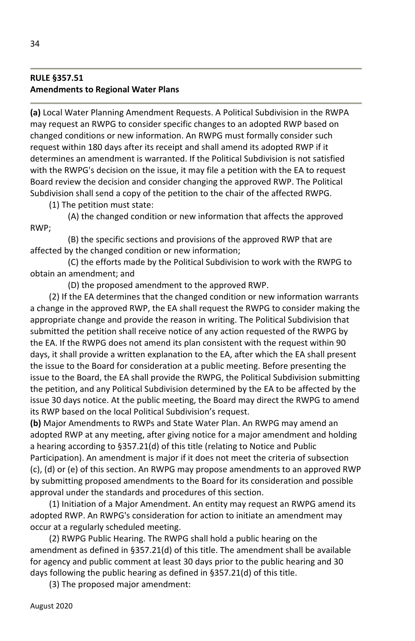## **RULE §357.51 Amendments to Regional Water Plans**

**(a)** Local Water Planning Amendment Requests. A Political Subdivision in the RWPA may request an RWPG to consider specific changes to an adopted RWP based on changed conditions or new information. An RWPG must formally consider such request within 180 days after its receipt and shall amend its adopted RWP if it determines an amendment is warranted. If the Political Subdivision is not satisfied with the RWPG's decision on the issue, it may file a petition with the EA to request Board review the decision and consider changing the approved RWP. The Political Subdivision shall send a copy of the petition to the chair of the affected RWPG.

(1) The petition must state:

 (A) the changed condition or new information that affects the approved RWP;

 (B) the specific sections and provisions of the approved RWP that are affected by the changed condition or new information;

 (C) the efforts made by the Political Subdivision to work with the RWPG to obtain an amendment; and

(D) the proposed amendment to the approved RWP.

(2) If the EA determines that the changed condition or new information warrants a change in the approved RWP, the EA shall request the RWPG to consider making the appropriate change and provide the reason in writing. The Political Subdivision that submitted the petition shall receive notice of any action requested of the RWPG by the EA. If the RWPG does not amend its plan consistent with the request within 90 days, it shall provide a written explanation to the EA, after which the EA shall present the issue to the Board for consideration at a public meeting. Before presenting the issue to the Board, the EA shall provide the RWPG, the Political Subdivision submitting the petition, and any Political Subdivision determined by the EA to be affected by the issue 30 days notice. At the public meeting, the Board may direct the RWPG to amend its RWP based on the local Political Subdivision's request.

**(b)** Major Amendments to RWPs and State Water Plan. An RWPG may amend an adopted RWP at any meeting, after giving notice for a major amendment and holding a hearing according to §357.21(d) of this title (relating to Notice and Public Participation). An amendment is major if it does not meet the criteria of subsection (c), (d) or (e) of this section. An RWPG may propose amendments to an approved RWP by submitting proposed amendments to the Board for its consideration and possible approval under the standards and procedures of this section.

(1) Initiation of a Major Amendment. An entity may request an RWPG amend its adopted RWP. An RWPG's consideration for action to initiate an amendment may occur at a regularly scheduled meeting.

(2) RWPG Public Hearing. The RWPG shall hold a public hearing on the amendment as defined in §357.21(d) of this title. The amendment shall be available for agency and public comment at least 30 days prior to the public hearing and 30 days following the public hearing as defined in §357.21(d) of this title.

(3) The proposed major amendment: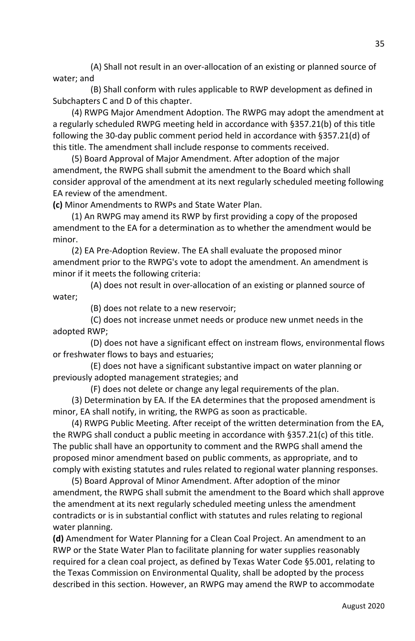(A) Shall not result in an over-allocation of an existing or planned source of water; and

 (B) Shall conform with rules applicable to RWP development as defined in Subchapters C and D of this chapter.

(4) RWPG Major Amendment Adoption. The RWPG may adopt the amendment at a regularly scheduled RWPG meeting held in accordance with §357.21(b) of this title following the 30-day public comment period held in accordance with §357.21(d) of this title. The amendment shall include response to comments received.

(5) Board Approval of Major Amendment. After adoption of the major amendment, the RWPG shall submit the amendment to the Board which shall consider approval of the amendment at its next regularly scheduled meeting following EA review of the amendment.

**(c)** Minor Amendments to RWPs and State Water Plan.

(1) An RWPG may amend its RWP by first providing a copy of the proposed amendment to the EA for a determination as to whether the amendment would be minor.

(2) EA Pre-Adoption Review. The EA shall evaluate the proposed minor amendment prior to the RWPG's vote to adopt the amendment. An amendment is minor if it meets the following criteria:

 (A) does not result in over-allocation of an existing or planned source of water;

(B) does not relate to a new reservoir;

 (C) does not increase unmet needs or produce new unmet needs in the adopted RWP;

 (D) does not have a significant effect on instream flows, environmental flows or freshwater flows to bays and estuaries;

 (E) does not have a significant substantive impact on water planning or previously adopted management strategies; and

(F) does not delete or change any legal requirements of the plan.

(3) Determination by EA. If the EA determines that the proposed amendment is minor, EA shall notify, in writing, the RWPG as soon as practicable.

(4) RWPG Public Meeting. After receipt of the written determination from the EA, the RWPG shall conduct a public meeting in accordance with  $\S 357.21(c)$  of this title. The public shall have an opportunity to comment and the RWPG shall amend the proposed minor amendment based on public comments, as appropriate, and to comply with existing statutes and rules related to regional water planning responses.

(5) Board Approval of Minor Amendment. After adoption of the minor amendment, the RWPG shall submit the amendment to the Board which shall approve the amendment at its next regularly scheduled meeting unless the amendment contradicts or is in substantial conflict with statutes and rules relating to regional water planning.

**(d)** Amendment for Water Planning for a Clean Coal Project. An amendment to an RWP or the State Water Plan to facilitate planning for water supplies reasonably required for a clean coal project, as defined by Texas Water Code §5.001, relating to the Texas Commission on Environmental Quality, shall be adopted by the process described in this section. However, an RWPG may amend the RWP to accommodate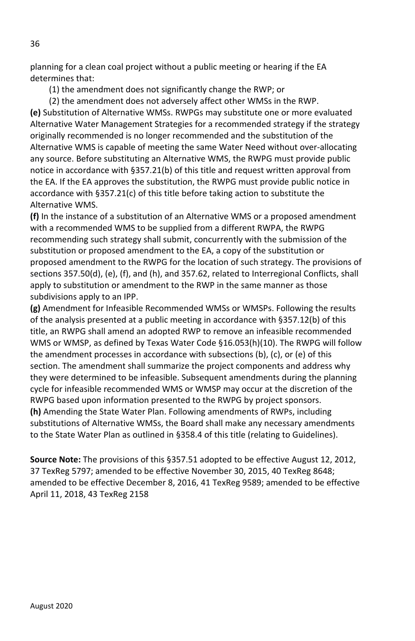planning for a clean coal project without a public meeting or hearing if the EA determines that:

(1) the amendment does not significantly change the RWP; or

(2) the amendment does not adversely affect other WMSs in the RWP. **(e)** Substitution of Alternative WMSs. RWPGs may substitute one or more evaluated Alternative Water Management Strategies for a recommended strategy if the strategy originally recommended is no longer recommended and the substitution of the Alternative WMS is capable of meeting the same Water Need without over-allocating any source. Before substituting an Alternative WMS, the RWPG must provide public notice in accordance with §357.21(b) of this title and request written approval from the EA. If the EA approves the substitution, the RWPG must provide public notice in accordance with §357.21(c) of this title before taking action to substitute the Alternative WMS.

**(f)** In the instance of a substitution of an Alternative WMS or a proposed amendment with a recommended WMS to be supplied from a different RWPA, the RWPG recommending such strategy shall submit, concurrently with the submission of the substitution or proposed amendment to the EA, a copy of the substitution or proposed amendment to the RWPG for the location of such strategy. The provisions of sections 357.50(d), (e), (f), and (h), and 357.62, related to Interregional Conflicts, shall apply to substitution or amendment to the RWP in the same manner as those subdivisions apply to an IPP.

**(g)** Amendment for Infeasible Recommended WMSs or WMSPs. Following the results of the analysis presented at a public meeting in accordance with §357.12(b) of this title, an RWPG shall amend an adopted RWP to remove an infeasible recommended WMS or WMSP, as defined by Texas Water Code §16.053(h)(10). The RWPG will follow the amendment processes in accordance with subsections (b), (c), or (e) of this section. The amendment shall summarize the project components and address why they were determined to be infeasible. Subsequent amendments during the planning cycle for infeasible recommended WMS or WMSP may occur at the discretion of the RWPG based upon information presented to the RWPG by project sponsors. **(h)** Amending the State Water Plan. Following amendments of RWPs, including substitutions of Alternative WMSs, the Board shall make any necessary amendments to the State Water Plan as outlined in §358.4 of this title (relating to Guidelines).

**Source Note:** The provisions of this §357.51 adopted to be effective August 12, 2012, 37 TexReg 5797; amended to be effective November 30, 2015, 40 TexReg 8648; amended to be effective December 8, 2016, 41 TexReg 9589; amended to be effective April 11, 2018, 43 TexReg 2158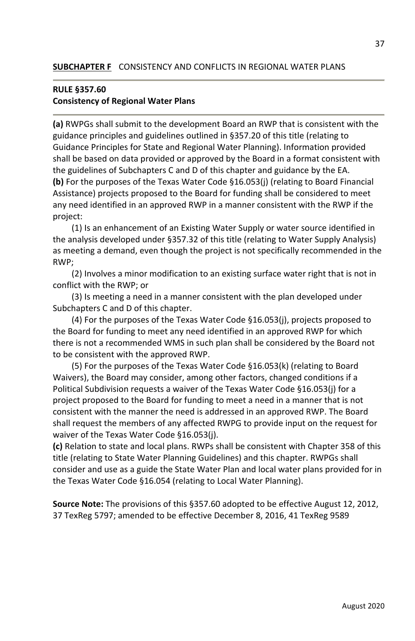### **RULE §357.60 Consistency of Regional Water Plans**

**(a)** RWPGs shall submit to the development Board an RWP that is consistent with the guidance principles and guidelines outlined in §357.20 of this title (relating to Guidance Principles for State and Regional Water Planning). Information provided shall be based on data provided or approved by the Board in a format consistent with the guidelines of Subchapters C and D of this chapter and guidance by the EA. **(b)** For the purposes of the Texas Water Code §16.053(j) (relating to Board Financial Assistance) projects proposed to the Board for funding shall be considered to meet any need identified in an approved RWP in a manner consistent with the RWP if the project:

(1) Is an enhancement of an Existing Water Supply or water source identified in the analysis developed under §357.32 of this title (relating to Water Supply Analysis) as meeting a demand, even though the project is not specifically recommended in the RWP;

(2) Involves a minor modification to an existing surface water right that is not in conflict with the RWP; or

(3) Is meeting a need in a manner consistent with the plan developed under Subchapters C and D of this chapter.

(4) For the purposes of the Texas Water Code §16.053(j), projects proposed to the Board for funding to meet any need identified in an approved RWP for which there is not a recommended WMS in such plan shall be considered by the Board not to be consistent with the approved RWP.

(5) For the purposes of the Texas Water Code §16.053(k) (relating to Board Waivers), the Board may consider, among other factors, changed conditions if a Political Subdivision requests a waiver of the Texas Water Code §16.053(j) for a project proposed to the Board for funding to meet a need in a manner that is not consistent with the manner the need is addressed in an approved RWP. The Board shall request the members of any affected RWPG to provide input on the request for waiver of the Texas Water Code §16.053(j).

**(c)** Relation to state and local plans. RWPs shall be consistent with Chapter 358 of this title (relating to State Water Planning Guidelines) and this chapter. RWPGs shall consider and use as a guide the State Water Plan and local water plans provided for in the Texas Water Code §16.054 (relating to Local Water Planning).

**Source Note:** The provisions of this §357.60 adopted to be effective August 12, 2012, 37 TexReg 5797; amended to be effective December 8, 2016, 41 TexReg 9589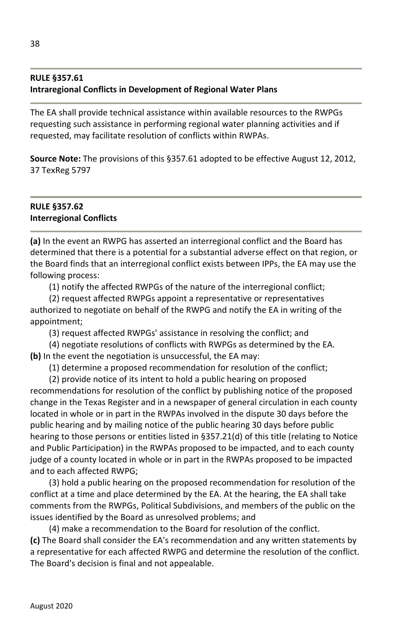## **RULE §357.61 Intraregional Conflicts in Development of Regional Water Plans**

The EA shall provide technical assistance within available resources to the RWPGs requesting such assistance in performing regional water planning activities and if requested, may facilitate resolution of conflicts within RWPAs.

**Source Note:** The provisions of this §357.61 adopted to be effective August 12, 2012, 37 TexReg 5797

## **RULE §357.62 Interregional Conflicts**

**(a)** In the event an RWPG has asserted an interregional conflict and the Board has determined that there is a potential for a substantial adverse effect on that region, or the Board finds that an interregional conflict exists between IPPs, the EA may use the following process:

(1) notify the affected RWPGs of the nature of the interregional conflict;

(2) request affected RWPGs appoint a representative or representatives authorized to negotiate on behalf of the RWPG and notify the EA in writing of the appointment;

(3) request affected RWPGs' assistance in resolving the conflict; and

(4) negotiate resolutions of conflicts with RWPGs as determined by the EA. **(b)** In the event the negotiation is unsuccessful, the EA may:

(1) determine a proposed recommendation for resolution of the conflict;

(2) provide notice of its intent to hold a public hearing on proposed recommendations for resolution of the conflict by publishing notice of the proposed change in the Texas Register and in a newspaper of general circulation in each county located in whole or in part in the RWPAs involved in the dispute 30 days before the public hearing and by mailing notice of the public hearing 30 days before public hearing to those persons or entities listed in §357.21(d) of this title (relating to Notice and Public Participation) in the RWPAs proposed to be impacted, and to each county judge of a county located in whole or in part in the RWPAs proposed to be impacted and to each affected RWPG;

(3) hold a public hearing on the proposed recommendation for resolution of the conflict at a time and place determined by the EA. At the hearing, the EA shall take comments from the RWPGs, Political Subdivisions, and members of the public on the issues identified by the Board as unresolved problems; and

(4) make a recommendation to the Board for resolution of the conflict. **(c)** The Board shall consider the EA's recommendation and any written statements by a representative for each affected RWPG and determine the resolution of the conflict. The Board's decision is final and not appealable.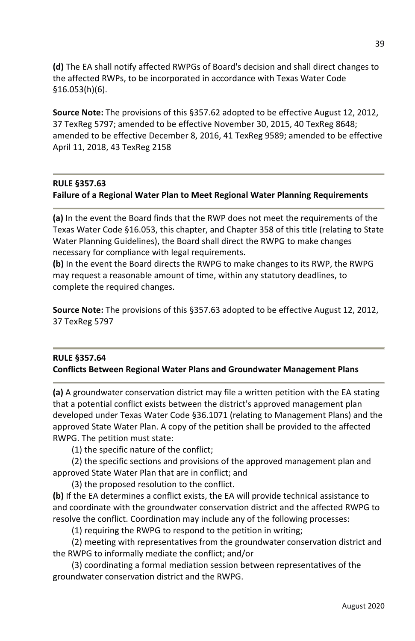**(d)** The EA shall notify affected RWPGs of Board's decision and shall direct changes to the affected RWPs, to be incorporated in accordance with Texas Water Code §16.053(h)(6).

**Source Note:** The provisions of this §357.62 adopted to be effective August 12, 2012, 37 TexReg 5797; amended to be effective November 30, 2015, 40 TexReg 8648; amended to be effective December 8, 2016, 41 TexReg 9589; amended to be effective April 11, 2018, 43 TexReg 2158

#### **RULE §357.63**

#### **Failure of a Regional Water Plan to Meet Regional Water Planning Requirements**

**(a)** In the event the Board finds that the RWP does not meet the requirements of the Texas Water Code §16.053, this chapter, and Chapter 358 of this title (relating to State Water Planning Guidelines), the Board shall direct the RWPG to make changes necessary for compliance with legal requirements.

**(b)** In the event the Board directs the RWPG to make changes to its RWP, the RWPG may request a reasonable amount of time, within any statutory deadlines, to complete the required changes.

**Source Note:** The provisions of this §357.63 adopted to be effective August 12, 2012, 37 TexReg 5797

## **RULE §357.64 Conflicts Between Regional Water Plans and Groundwater Management Plans**

**(a)** A groundwater conservation district may file a written petition with the EA stating that a potential conflict exists between the district's approved management plan developed under Texas Water Code §36.1071 (relating to Management Plans) and the approved State Water Plan. A copy of the petition shall be provided to the affected RWPG. The petition must state:

(1) the specific nature of the conflict;

(2) the specific sections and provisions of the approved management plan and approved State Water Plan that are in conflict; and

(3) the proposed resolution to the conflict.

**(b)** If the EA determines a conflict exists, the EA will provide technical assistance to and coordinate with the groundwater conservation district and the affected RWPG to resolve the conflict. Coordination may include any of the following processes:

(1) requiring the RWPG to respond to the petition in writing;

 (2) meeting with representatives from the groundwater conservation district and the RWPG to informally mediate the conflict; and/or

(3) coordinating a formal mediation session between representatives of the groundwater conservation district and the RWPG.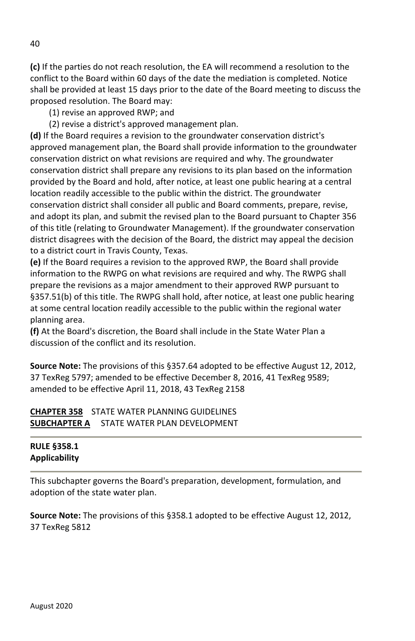**(c)** If the parties do not reach resolution, the EA will recommend a resolution to the conflict to the Board within 60 days of the date the mediation is completed. Notice shall be provided at least 15 days prior to the date of the Board meeting to discuss the proposed resolution. The Board may:

- (1) revise an approved RWP; and
- (2) revise a district's approved management plan.

**(d)** If the Board requires a revision to the groundwater conservation district's approved management plan, the Board shall provide information to the groundwater conservation district on what revisions are required and why. The groundwater conservation district shall prepare any revisions to its plan based on the information provided by the Board and hold, after notice, at least one public hearing at a central location readily accessible to the public within the district. The groundwater conservation district shall consider all public and Board comments, prepare, revise, and adopt its plan, and submit the revised plan to the Board pursuant to Chapter 356 of this title (relating to Groundwater Management). If the groundwater conservation district disagrees with the decision of the Board, the district may appeal the decision to a district court in Travis County, Texas.

**(e)** If the Board requires a revision to the approved RWP, the Board shall provide information to the RWPG on what revisions are required and why. The RWPG shall prepare the revisions as a major amendment to their approved RWP pursuant to §357.51(b) of this title. The RWPG shall hold, after notice, at least one public hearing at some central location readily accessible to the public within the regional water planning area.

**(f)** At the Board's discretion, the Board shall include in the State Water Plan a discussion of the conflict and its resolution.

**Source Note:** The provisions of this §357.64 adopted to be effective August 12, 2012, 37 TexReg 5797; amended to be effective December 8, 2016, 41 TexReg 9589; amended to be effective April 11, 2018, 43 TexReg 2158

## **CHAPTER 358** STATE WATER PLANNING GUIDELINES **SUBCHAPTER A** STATE WATER PLAN DEVELOPMENT

### **RULE §358.1 Applicability**

This subchapter governs the Board's preparation, development, formulation, and adoption of the state water plan.

**Source Note:** The provisions of this §358.1 adopted to be effective August 12, 2012, 37 TexReg 5812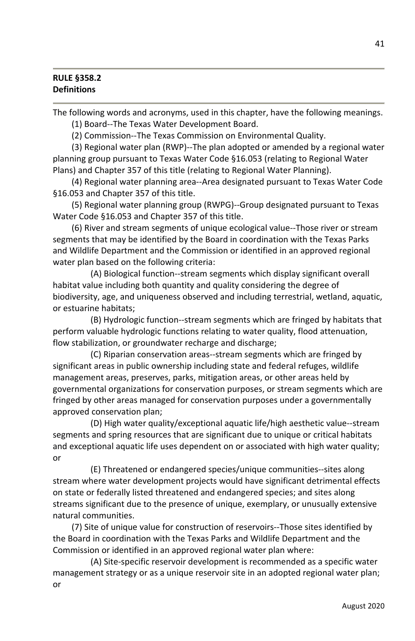### **RULE §358.2 Definitions**

The following words and acronyms, used in this chapter, have the following meanings.

(1) Board--The Texas Water Development Board.

(2) Commission--The Texas Commission on Environmental Quality.

(3) Regional water plan (RWP)--The plan adopted or amended by a regional water planning group pursuant to Texas Water Code §16.053 (relating to Regional Water Plans) and Chapter 357 of this title (relating to Regional Water Planning).

(4) Regional water planning area--Area designated pursuant to Texas Water Code §16.053 and Chapter 357 of this title.

(5) Regional water planning group (RWPG)--Group designated pursuant to Texas Water Code §16.053 and Chapter 357 of this title.

(6) River and stream segments of unique ecological value--Those river or stream segments that may be identified by the Board in coordination with the Texas Parks and Wildlife Department and the Commission or identified in an approved regional water plan based on the following criteria:

 (A) Biological function--stream segments which display significant overall habitat value including both quantity and quality considering the degree of biodiversity, age, and uniqueness observed and including terrestrial, wetland, aquatic, or estuarine habitats;

 (B) Hydrologic function--stream segments which are fringed by habitats that perform valuable hydrologic functions relating to water quality, flood attenuation, flow stabilization, or groundwater recharge and discharge;

 (C) Riparian conservation areas--stream segments which are fringed by significant areas in public ownership including state and federal refuges, wildlife management areas, preserves, parks, mitigation areas, or other areas held by governmental organizations for conservation purposes, or stream segments which are fringed by other areas managed for conservation purposes under a governmentally approved conservation plan;

 (D) High water quality/exceptional aquatic life/high aesthetic value--stream segments and spring resources that are significant due to unique or critical habitats and exceptional aquatic life uses dependent on or associated with high water quality; or

 (E) Threatened or endangered species/unique communities--sites along stream where water development projects would have significant detrimental effects on state or federally listed threatened and endangered species; and sites along streams significant due to the presence of unique, exemplary, or unusually extensive natural communities.

(7) Site of unique value for construction of reservoirs--Those sites identified by the Board in coordination with the Texas Parks and Wildlife Department and the Commission or identified in an approved regional water plan where:

 (A) Site-specific reservoir development is recommended as a specific water management strategy or as a unique reservoir site in an adopted regional water plan; or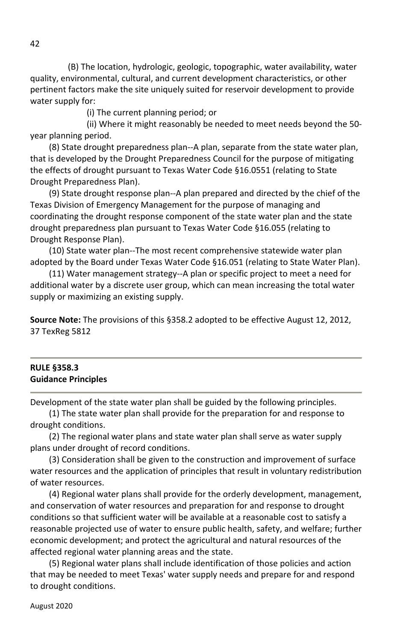(B) The location, hydrologic, geologic, topographic, water availability, water quality, environmental, cultural, and current development characteristics, or other pertinent factors make the site uniquely suited for reservoir development to provide water supply for:

(i) The current planning period; or

 (ii) Where it might reasonably be needed to meet needs beyond the 50 year planning period.

(8) State drought preparedness plan--A plan, separate from the state water plan, that is developed by the Drought Preparedness Council for the purpose of mitigating the effects of drought pursuant to Texas Water Code §16.0551 (relating to State Drought Preparedness Plan).

(9) State drought response plan--A plan prepared and directed by the chief of the Texas Division of Emergency Management for the purpose of managing and coordinating the drought response component of the state water plan and the state drought preparedness plan pursuant to Texas Water Code §16.055 (relating to Drought Response Plan).

(10) State water plan--The most recent comprehensive statewide water plan adopted by the Board under Texas Water Code §16.051 (relating to State Water Plan).

(11) Water management strategy--A plan or specific project to meet a need for additional water by a discrete user group, which can mean increasing the total water supply or maximizing an existing supply.

**Source Note:** The provisions of this §358.2 adopted to be effective August 12, 2012, 37 TexReg 5812

### **RULE §358.3 Guidance Principles**

Development of the state water plan shall be guided by the following principles.

(1) The state water plan shall provide for the preparation for and response to drought conditions.

(2) The regional water plans and state water plan shall serve as water supply plans under drought of record conditions.

(3) Consideration shall be given to the construction and improvement of surface water resources and the application of principles that result in voluntary redistribution of water resources.

(4) Regional water plans shall provide for the orderly development, management, and conservation of water resources and preparation for and response to drought conditions so that sufficient water will be available at a reasonable cost to satisfy a reasonable projected use of water to ensure public health, safety, and welfare; further economic development; and protect the agricultural and natural resources of the affected regional water planning areas and the state.

(5) Regional water plans shall include identification of those policies and action that may be needed to meet Texas' water supply needs and prepare for and respond to drought conditions.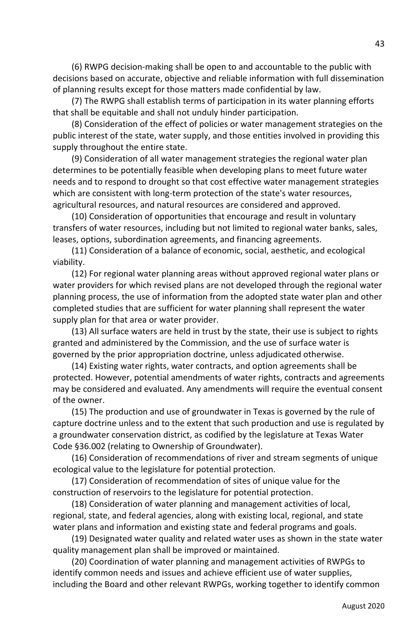(6) RWPG decision-making shall be open to and accountable to the public with decisions based on accurate, objective and reliable information with full dissemination of planning results except for those matters made confidential by law.

(7) The RWPG shall establish terms of participation in its water planning efforts that shall be equitable and shall not unduly hinder participation.

(8) Consideration of the effect of policies or water management strategies on the public interest of the state, water supply, and those entities involved in providing this supply throughout the entire state.

(9) Consideration of all water management strategies the regional water plan determines to be potentially feasible when developing plans to meet future water needs and to respond to drought so that cost effective water management strategies which are consistent with long-term protection of the state's water resources, agricultural resources, and natural resources are considered and approved.

(10) Consideration of opportunities that encourage and result in voluntary transfers of water resources, including but not limited to regional water banks, sales, leases, options, subordination agreements, and financing agreements.

(11) Consideration of a balance of economic, social, aesthetic, and ecological viability.

(12) For regional water planning areas without approved regional water plans or water providers for which revised plans are not developed through the regional water planning process, the use of information from the adopted state water plan and other completed studies that are sufficient for water planning shall represent the water supply plan for that area or water provider.

(13) All surface waters are held in trust by the state, their use is subject to rights granted and administered by the Commission, and the use of surface water is governed by the prior appropriation doctrine, unless adjudicated otherwise.

(14) Existing water rights, water contracts, and option agreements shall be protected. However, potential amendments of water rights, contracts and agreements may be considered and evaluated. Any amendments will require the eventual consent of the owner.

(15) The production and use of groundwater in Texas is governed by the rule of capture doctrine unless and to the extent that such production and use is regulated by a groundwater conservation district, as codified by the legislature at Texas Water Code §36.002 (relating to Ownership of Groundwater).

(16) Consideration of recommendations of river and stream segments of unique ecological value to the legislature for potential protection.

(17) Consideration of recommendation of sites of unique value for the construction of reservoirs to the legislature for potential protection.

(18) Consideration of water planning and management activities of local, regional, state, and federal agencies, along with existing local, regional, and state water plans and information and existing state and federal programs and goals.

(19) Designated water quality and related water uses as shown in the state water quality management plan shall be improved or maintained.

 (20) Coordination of water planning and management activities of RWPGs to identify common needs and issues and achieve efficient use of water supplies, including the Board and other relevant RWPGs, working together to identify common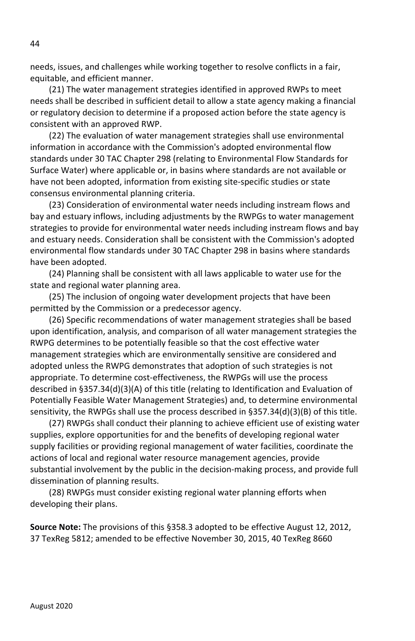needs, issues, and challenges while working together to resolve conflicts in a fair, equitable, and efficient manner.

(21) The water management strategies identified in approved RWPs to meet needs shall be described in sufficient detail to allow a state agency making a financial or regulatory decision to determine if a proposed action before the state agency is consistent with an approved RWP.

(22) The evaluation of water management strategies shall use environmental information in accordance with the Commission's adopted environmental flow standards under 30 TAC Chapter 298 (relating to Environmental Flow Standards for Surface Water) where applicable or, in basins where standards are not available or have not been adopted, information from existing site-specific studies or state consensus environmental planning criteria.

(23) Consideration of environmental water needs including instream flows and bay and estuary inflows, including adjustments by the RWPGs to water management strategies to provide for environmental water needs including instream flows and bay and estuary needs. Consideration shall be consistent with the Commission's adopted environmental flow standards under 30 TAC Chapter 298 in basins where standards have been adopted.

(24) Planning shall be consistent with all laws applicable to water use for the state and regional water planning area.

(25) The inclusion of ongoing water development projects that have been permitted by the Commission or a predecessor agency.

(26) Specific recommendations of water management strategies shall be based upon identification, analysis, and comparison of all water management strategies the RWPG determines to be potentially feasible so that the cost effective water management strategies which are environmentally sensitive are considered and adopted unless the RWPG demonstrates that adoption of such strategies is not appropriate. To determine cost-effectiveness, the RWPGs will use the process described in §357.34(d)(3)(A) of this title (relating to Identification and Evaluation of Potentially Feasible Water Management Strategies) and, to determine environmental sensitivity, the RWPGs shall use the process described in §357.34(d)(3)(B) of this title.

(27) RWPGs shall conduct their planning to achieve efficient use of existing water supplies, explore opportunities for and the benefits of developing regional water supply facilities or providing regional management of water facilities, coordinate the actions of local and regional water resource management agencies, provide substantial involvement by the public in the decision-making process, and provide full dissemination of planning results.

(28) RWPGs must consider existing regional water planning efforts when developing their plans.

**Source Note:** The provisions of this §358.3 adopted to be effective August 12, 2012, 37 TexReg 5812; amended to be effective November 30, 2015, 40 TexReg 8660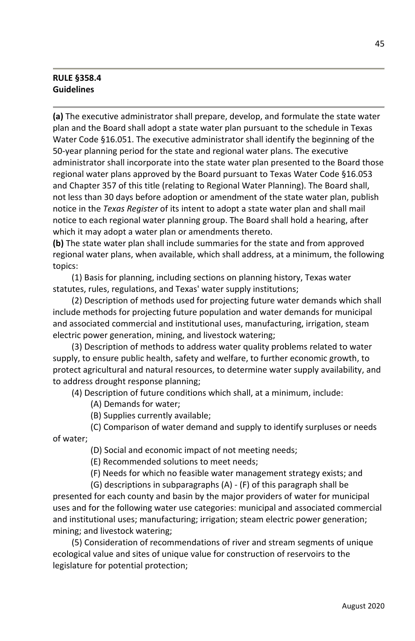### **RULE §358.4 Guidelines**

**(a)** The executive administrator shall prepare, develop, and formulate the state water plan and the Board shall adopt a state water plan pursuant to the schedule in Texas Water Code §16.051. The executive administrator shall identify the beginning of the 50-year planning period for the state and regional water plans. The executive administrator shall incorporate into the state water plan presented to the Board those regional water plans approved by the Board pursuant to Texas Water Code §16.053 and Chapter 357 of this title (relating to Regional Water Planning). The Board shall, not less than 30 days before adoption or amendment of the state water plan, publish notice in the *Texas Register* of its intent to adopt a state water plan and shall mail notice to each regional water planning group. The Board shall hold a hearing, after which it may adopt a water plan or amendments thereto.

**(b)** The state water plan shall include summaries for the state and from approved regional water plans, when available, which shall address, at a minimum, the following topics:

(1) Basis for planning, including sections on planning history, Texas water statutes, rules, regulations, and Texas' water supply institutions;

(2) Description of methods used for projecting future water demands which shall include methods for projecting future population and water demands for municipal and associated commercial and institutional uses, manufacturing, irrigation, steam electric power generation, mining, and livestock watering;

(3) Description of methods to address water quality problems related to water supply, to ensure public health, safety and welfare, to further economic growth, to protect agricultural and natural resources, to determine water supply availability, and to address drought response planning;

(4) Description of future conditions which shall, at a minimum, include:

- (A) Demands for water;
- (B) Supplies currently available;

 (C) Comparison of water demand and supply to identify surpluses or needs of water;

(D) Social and economic impact of not meeting needs;

(E) Recommended solutions to meet needs;

(F) Needs for which no feasible water management strategy exists; and

 (G) descriptions in subparagraphs (A) - (F) of this paragraph shall be presented for each county and basin by the major providers of water for municipal uses and for the following water use categories: municipal and associated commercial and institutional uses; manufacturing; irrigation; steam electric power generation; mining; and livestock watering;

(5) Consideration of recommendations of river and stream segments of unique ecological value and sites of unique value for construction of reservoirs to the legislature for potential protection;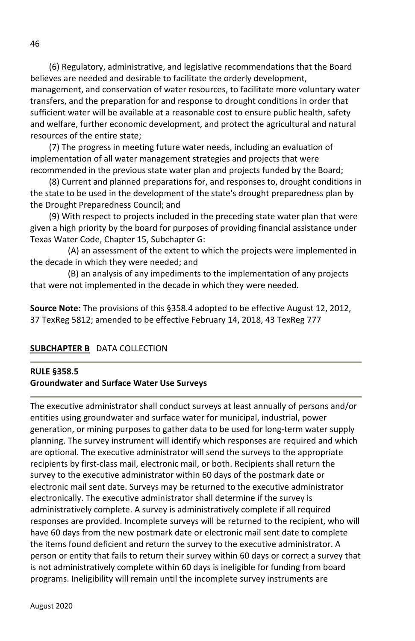(6) Regulatory, administrative, and legislative recommendations that the Board believes are needed and desirable to facilitate the orderly development, management, and conservation of water resources, to facilitate more voluntary water transfers, and the preparation for and response to drought conditions in order that sufficient water will be available at a reasonable cost to ensure public health, safety and welfare, further economic development, and protect the agricultural and natural resources of the entire state;

(7) The progress in meeting future water needs, including an evaluation of implementation of all water management strategies and projects that were recommended in the previous state water plan and projects funded by the Board;

(8) Current and planned preparations for, and responses to, drought conditions in the state to be used in the development of the state's drought preparedness plan by the Drought Preparedness Council; and

(9) With respect to projects included in the preceding state water plan that were given a high priority by the board for purposes of providing financial assistance under Texas Water Code, Chapter 15, Subchapter G:

(A) an assessment of the extent to which the projects were implemented in the decade in which they were needed; and

(B) an analysis of any impediments to the implementation of any projects that were not implemented in the decade in which they were needed.

**Source Note:** The provisions of this §358.4 adopted to be effective August 12, 2012, 37 TexReg 5812; amended to be effective February 14, 2018, 43 TexReg 777

## **SUBCHAPTER B** DATA COLLECTION

### **RULE §358.5 Groundwater and Surface Water Use Surveys**

The executive administrator shall conduct surveys at least annually of persons and/or entities using groundwater and surface water for municipal, industrial, power generation, or mining purposes to gather data to be used for long-term water supply planning. The survey instrument will identify which responses are required and which are optional. The executive administrator will send the surveys to the appropriate recipients by first-class mail, electronic mail, or both. Recipients shall return the survey to the executive administrator within 60 days of the postmark date or electronic mail sent date. Surveys may be returned to the executive administrator electronically. The executive administrator shall determine if the survey is administratively complete. A survey is administratively complete if all required responses are provided. Incomplete surveys will be returned to the recipient, who will have 60 days from the new postmark date or electronic mail sent date to complete the items found deficient and return the survey to the executive administrator. A person or entity that fails to return their survey within 60 days or correct a survey that is not administratively complete within 60 days is ineligible for funding from board programs. Ineligibility will remain until the incomplete survey instruments are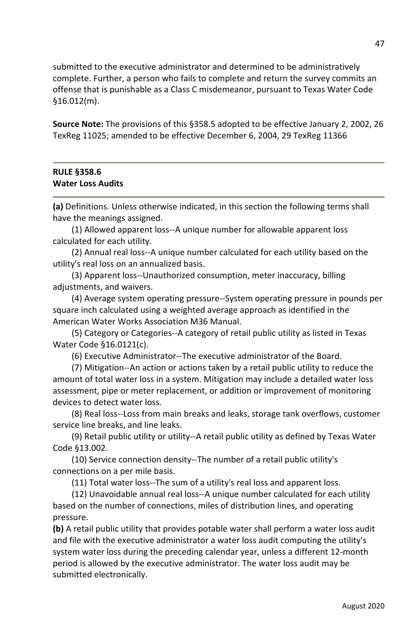submitted to the executive administrator and determined to be administratively complete. Further, a person who fails to complete and return the survey commits an offense that is punishable as a Class C misdemeanor, pursuant to Texas Water Code §16.012(m).

**Source Note:** The provisions of this §358.5 adopted to be effective January 2, 2002, 26 TexReg 11025; amended to be effective December 6, 2004, 29 TexReg 11366

#### **RULE §358.6 Water Loss Audits**

**(a)** Definitions. Unless otherwise indicated, in this section the following terms shall have the meanings assigned.

(1) Allowed apparent loss--A unique number for allowable apparent loss calculated for each utility.

(2) Annual real loss--A unique number calculated for each utility based on the utility's real loss on an annualized basis.

(3) Apparent loss--Unauthorized consumption, meter inaccuracy, billing adjustments, and waivers.

(4) Average system operating pressure--System operating pressure in pounds per square inch calculated using a weighted average approach as identified in the American Water Works Association M36 Manual.

(5) Category or Categories--A category of retail public utility as listed in Texas Water Code §16.0121(c).

(6) Executive Administrator--The executive administrator of the Board.

(7) Mitigation--An action or actions taken by a retail public utility to reduce the amount of total water loss in a system. Mitigation may include a detailed water loss assessment, pipe or meter replacement, or addition or improvement of monitoring devices to detect water loss.

(8) Real loss--Loss from main breaks and leaks, storage tank overflows, customer service line breaks, and line leaks.

(9) Retail public utility or utility--A retail public utility as defined by Texas Water Code §13.002.

(10) Service connection density--The number of a retail public utility's connections on a per mile basis.

(11) Total water loss--The sum of a utility's real loss and apparent loss.

(12) Unavoidable annual real loss--A unique number calculated for each utility based on the number of connections, miles of distribution lines, and operating pressure.

**(b)** A retail public utility that provides potable water shall perform a water loss audit and file with the executive administrator a water loss audit computing the utility's system water loss during the preceding calendar year, unless a different 12-month period is allowed by the executive administrator. The water loss audit may be submitted electronically.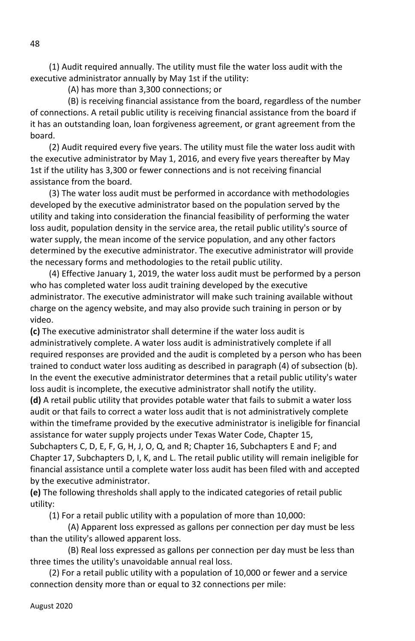(1) Audit required annually. The utility must file the water loss audit with the executive administrator annually by May 1st if the utility:

(A) has more than 3,300 connections; or

 (B) is receiving financial assistance from the board, regardless of the number of connections. A retail public utility is receiving financial assistance from the board if it has an outstanding loan, loan forgiveness agreement, or grant agreement from the board.

(2) Audit required every five years. The utility must file the water loss audit with the executive administrator by May 1, 2016, and every five years thereafter by May 1st if the utility has 3,300 or fewer connections and is not receiving financial assistance from the board.

(3) The water loss audit must be performed in accordance with methodologies developed by the executive administrator based on the population served by the utility and taking into consideration the financial feasibility of performing the water loss audit, population density in the service area, the retail public utility's source of water supply, the mean income of the service population, and any other factors determined by the executive administrator. The executive administrator will provide the necessary forms and methodologies to the retail public utility.

(4) Effective January 1, 2019, the water loss audit must be performed by a person who has completed water loss audit training developed by the executive administrator. The executive administrator will make such training available without charge on the agency website, and may also provide such training in person or by video.

**(c)** The executive administrator shall determine if the water loss audit is administratively complete. A water loss audit is administratively complete if all required responses are provided and the audit is completed by a person who has been trained to conduct water loss auditing as described in paragraph (4) of subsection (b). In the event the executive administrator determines that a retail public utility's water loss audit is incomplete, the executive administrator shall notify the utility.

**(d)** A retail public utility that provides potable water that fails to submit a water loss audit or that fails to correct a water loss audit that is not administratively complete within the timeframe provided by the executive administrator is ineligible for financial assistance for water supply projects under Texas Water Code, Chapter 15, Subchapters C, D, E, F, G, H, J, O, Q, and R; Chapter 16, Subchapters E and F; and

Chapter 17, Subchapters D, I, K, and L. The retail public utility will remain ineligible for financial assistance until a complete water loss audit has been filed with and accepted by the executive administrator.

**(e)** The following thresholds shall apply to the indicated categories of retail public utility:

(1) For a retail public utility with a population of more than 10,000:

 (A) Apparent loss expressed as gallons per connection per day must be less than the utility's allowed apparent loss.

 (B) Real loss expressed as gallons per connection per day must be less than three times the utility's unavoidable annual real loss.

(2) For a retail public utility with a population of 10,000 or fewer and a service connection density more than or equal to 32 connections per mile:

48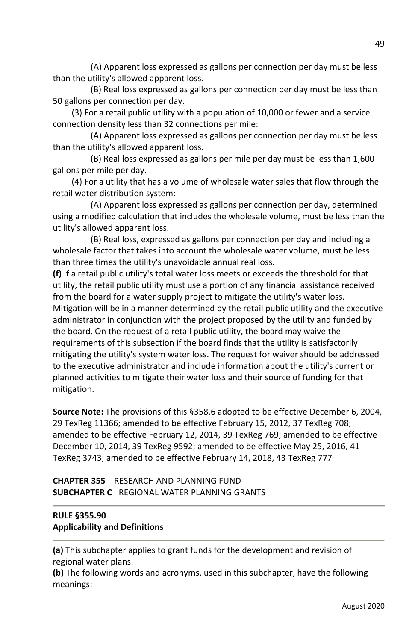(A) Apparent loss expressed as gallons per connection per day must be less than the utility's allowed apparent loss.

 (B) Real loss expressed as gallons per connection per day must be less than 50 gallons per connection per day.

(3) For a retail public utility with a population of 10,000 or fewer and a service connection density less than 32 connections per mile:

 (A) Apparent loss expressed as gallons per connection per day must be less than the utility's allowed apparent loss.

 (B) Real loss expressed as gallons per mile per day must be less than 1,600 gallons per mile per day.

(4) For a utility that has a volume of wholesale water sales that flow through the retail water distribution system:

 (A) Apparent loss expressed as gallons per connection per day, determined using a modified calculation that includes the wholesale volume, must be less than the utility's allowed apparent loss.

 (B) Real loss, expressed as gallons per connection per day and including a wholesale factor that takes into account the wholesale water volume, must be less than three times the utility's unavoidable annual real loss.

**(f)** If a retail public utility's total water loss meets or exceeds the threshold for that utility, the retail public utility must use a portion of any financial assistance received from the board for a water supply project to mitigate the utility's water loss. Mitigation will be in a manner determined by the retail public utility and the executive administrator in conjunction with the project proposed by the utility and funded by the board. On the request of a retail public utility, the board may waive the requirements of this subsection if the board finds that the utility is satisfactorily mitigating the utility's system water loss. The request for waiver should be addressed to the executive administrator and include information about the utility's current or planned activities to mitigate their water loss and their source of funding for that mitigation.

**Source Note:** The provisions of this §358.6 adopted to be effective December 6, 2004, 29 TexReg 11366; amended to be effective February 15, 2012, 37 TexReg 708; amended to be effective February 12, 2014, 39 TexReg 769; amended to be effective December 10, 2014, 39 TexReg 9592; amended to be effective May 25, 2016, 41 TexReg 3743; amended to be effective February 14, 2018, 43 TexReg 777

**CHAPTER 355** RESEARCH AND PLANNING FUND **SUBCHAPTER C** REGIONAL WATER PLANNING GRANTS

## **RULE §355.90 Applicability and Definitions**

**(a)** This subchapter applies to grant funds for the development and revision of regional water plans.

**(b)** The following words and acronyms, used in this subchapter, have the following meanings: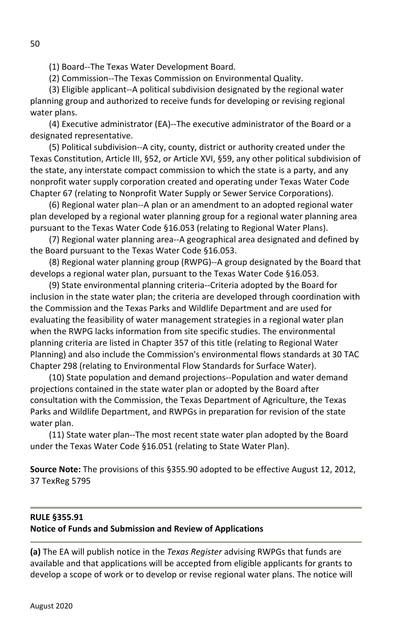(1) Board--The Texas Water Development Board.

(2) Commission--The Texas Commission on Environmental Quality.

(3) Eligible applicant--A political subdivision designated by the regional water planning group and authorized to receive funds for developing or revising regional water plans.

(4) Executive administrator (EA)--The executive administrator of the Board or a designated representative.

(5) Political subdivision--A city, county, district or authority created under the Texas Constitution, Article III, §52, or Article XVI, §59, any other political subdivision of the state, any interstate compact commission to which the state is a party, and any nonprofit water supply corporation created and operating under Texas Water Code Chapter 67 (relating to Nonprofit Water Supply or Sewer Service Corporations).

(6) Regional water plan--A plan or an amendment to an adopted regional water plan developed by a regional water planning group for a regional water planning area pursuant to the Texas Water Code §16.053 (relating to Regional Water Plans).

(7) Regional water planning area--A geographical area designated and defined by the Board pursuant to the Texas Water Code §16.053.

(8) Regional water planning group (RWPG)--A group designated by the Board that develops a regional water plan, pursuant to the Texas Water Code §16.053.

(9) State environmental planning criteria--Criteria adopted by the Board for inclusion in the state water plan; the criteria are developed through coordination with the Commission and the Texas Parks and Wildlife Department and are used for evaluating the feasibility of water management strategies in a regional water plan when the RWPG lacks information from site specific studies. The environmental planning criteria are listed in Chapter 357 of this title (relating to Regional Water Planning) and also include the Commission's environmental flows standards at 30 TAC Chapter 298 (relating to Environmental Flow Standards for Surface Water).

(10) State population and demand projections--Population and water demand projections contained in the state water plan or adopted by the Board after consultation with the Commission, the Texas Department of Agriculture, the Texas Parks and Wildlife Department, and RWPGs in preparation for revision of the state water plan.

(11) State water plan--The most recent state water plan adopted by the Board under the Texas Water Code §16.051 (relating to State Water Plan).

**Source Note:** The provisions of this §355.90 adopted to be effective August 12, 2012, 37 TexReg 5795

# **RULE §355.91 Notice of Funds and Submission and Review of Applications**

**(a)** The EA will publish notice in the *Texas Register* advising RWPGs that funds are available and that applications will be accepted from eligible applicants for grants to develop a scope of work or to develop or revise regional water plans. The notice will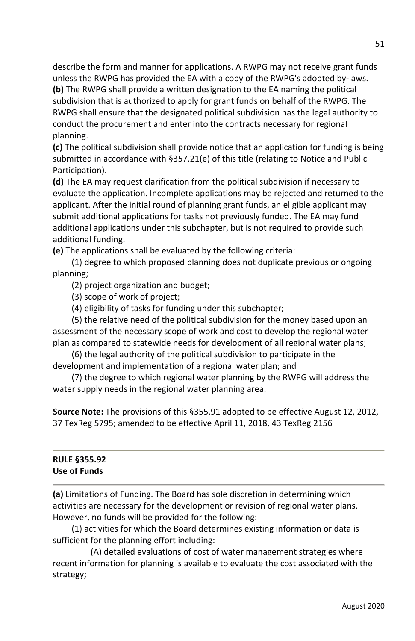describe the form and manner for applications. A RWPG may not receive grant funds unless the RWPG has provided the EA with a copy of the RWPG's adopted by-laws.

**(b)** The RWPG shall provide a written designation to the EA naming the political subdivision that is authorized to apply for grant funds on behalf of the RWPG. The RWPG shall ensure that the designated political subdivision has the legal authority to conduct the procurement and enter into the contracts necessary for regional planning.

**(c)** The political subdivision shall provide notice that an application for funding is being submitted in accordance with §357.21(e) of this title (relating to Notice and Public Participation).

**(d)** The EA may request clarification from the political subdivision if necessary to evaluate the application. Incomplete applications may be rejected and returned to the applicant. After the initial round of planning grant funds, an eligible applicant may submit additional applications for tasks not previously funded. The EA may fund additional applications under this subchapter, but is not required to provide such additional funding.

**(e)** The applications shall be evaluated by the following criteria:

(1) degree to which proposed planning does not duplicate previous or ongoing planning;

(2) project organization and budget;

(3) scope of work of project;

(4) eligibility of tasks for funding under this subchapter;

(5) the relative need of the political subdivision for the money based upon an assessment of the necessary scope of work and cost to develop the regional water plan as compared to statewide needs for development of all regional water plans;

(6) the legal authority of the political subdivision to participate in the development and implementation of a regional water plan; and

(7) the degree to which regional water planning by the RWPG will address the water supply needs in the regional water planning area.

**Source Note:** The provisions of this §355.91 adopted to be effective August 12, 2012, 37 TexReg 5795; amended to be effective April 11, 2018, 43 TexReg 2156

| <b>RULE §355.92</b> |  |  |  |
|---------------------|--|--|--|
| Use of Funds        |  |  |  |

**(a)** Limitations of Funding. The Board has sole discretion in determining which activities are necessary for the development or revision of regional water plans. However, no funds will be provided for the following:

(1) activities for which the Board determines existing information or data is sufficient for the planning effort including:

 (A) detailed evaluations of cost of water management strategies where recent information for planning is available to evaluate the cost associated with the strategy;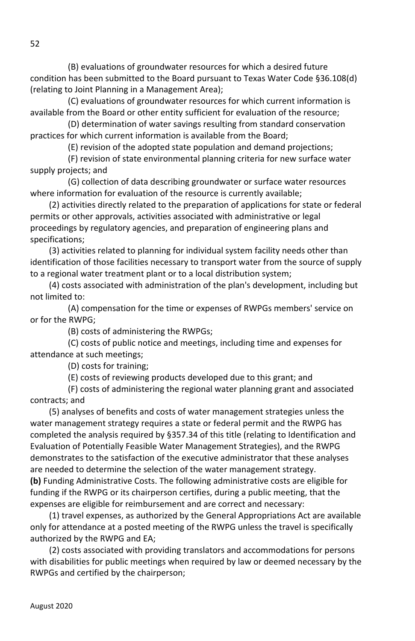(B) evaluations of groundwater resources for which a desired future condition has been submitted to the Board pursuant to Texas Water Code §36.108(d) (relating to Joint Planning in a Management Area);

 (C) evaluations of groundwater resources for which current information is available from the Board or other entity sufficient for evaluation of the resource;

 (D) determination of water savings resulting from standard conservation practices for which current information is available from the Board;

(E) revision of the adopted state population and demand projections;

 (F) revision of state environmental planning criteria for new surface water supply projects; and

 (G) collection of data describing groundwater or surface water resources where information for evaluation of the resource is currently available;

(2) activities directly related to the preparation of applications for state or federal permits or other approvals, activities associated with administrative or legal proceedings by regulatory agencies, and preparation of engineering plans and specifications;

(3) activities related to planning for individual system facility needs other than identification of those facilities necessary to transport water from the source of supply to a regional water treatment plant or to a local distribution system;

(4) costs associated with administration of the plan's development, including but not limited to:

 (A) compensation for the time or expenses of RWPGs members' service on or for the RWPG;

(B) costs of administering the RWPGs;

 (C) costs of public notice and meetings, including time and expenses for attendance at such meetings;

(D) costs for training;

(E) costs of reviewing products developed due to this grant; and

 (F) costs of administering the regional water planning grant and associated contracts; and

(5) analyses of benefits and costs of water management strategies unless the water management strategy requires a state or federal permit and the RWPG has completed the analysis required by §357.34 of this title (relating to Identification and Evaluation of Potentially Feasible Water Management Strategies), and the RWPG demonstrates to the satisfaction of the executive administrator that these analyses are needed to determine the selection of the water management strategy. **(b)** Funding Administrative Costs. The following administrative costs are eligible for funding if the RWPG or its chairperson certifies, during a public meeting, that the

expenses are eligible for reimbursement and are correct and necessary:

(1) travel expenses, as authorized by the General Appropriations Act are available only for attendance at a posted meeting of the RWPG unless the travel is specifically authorized by the RWPG and EA;

(2) costs associated with providing translators and accommodations for persons with disabilities for public meetings when required by law or deemed necessary by the RWPGs and certified by the chairperson;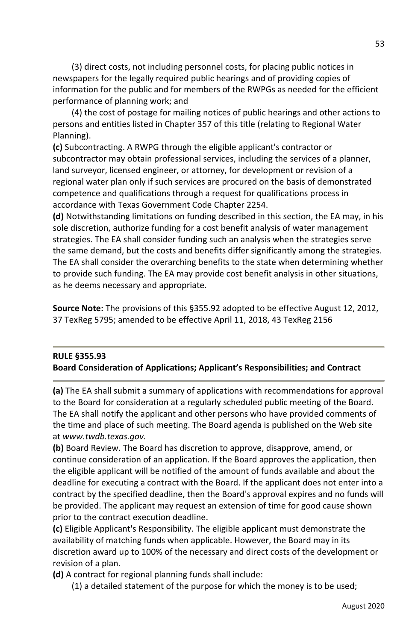(3) direct costs, not including personnel costs, for placing public notices in newspapers for the legally required public hearings and of providing copies of information for the public and for members of the RWPGs as needed for the efficient performance of planning work; and

(4) the cost of postage for mailing notices of public hearings and other actions to persons and entities listed in Chapter 357 of this title (relating to Regional Water Planning).

**(c)** Subcontracting. A RWPG through the eligible applicant's contractor or subcontractor may obtain professional services, including the services of a planner, land surveyor, licensed engineer, or attorney, for development or revision of a regional water plan only if such services are procured on the basis of demonstrated competence and qualifications through a request for qualifications process in accordance with Texas Government Code Chapter 2254.

**(d)** Notwithstanding limitations on funding described in this section, the EA may, in his sole discretion, authorize funding for a cost benefit analysis of water management strategies. The EA shall consider funding such an analysis when the strategies serve the same demand, but the costs and benefits differ significantly among the strategies. The EA shall consider the overarching benefits to the state when determining whether to provide such funding. The EA may provide cost benefit analysis in other situations, as he deems necessary and appropriate.

**Source Note:** The provisions of this §355.92 adopted to be effective August 12, 2012, 37 TexReg 5795; amended to be effective April 11, 2018, 43 TexReg 2156

## **RULE §355.93 Board Consideration of Applications; Applicant's Responsibilities; and Contract**

**(a)** The EA shall submit a summary of applications with recommendations for approval to the Board for consideration at a regularly scheduled public meeting of the Board. The EA shall notify the applicant and other persons who have provided comments of the time and place of such meeting. The Board agenda is published on the Web site at *www.twdb.texas.gov.*

**(b)** Board Review. The Board has discretion to approve, disapprove, amend, or continue consideration of an application. If the Board approves the application, then the eligible applicant will be notified of the amount of funds available and about the deadline for executing a contract with the Board. If the applicant does not enter into a contract by the specified deadline, then the Board's approval expires and no funds will be provided. The applicant may request an extension of time for good cause shown prior to the contract execution deadline.

**(c)** Eligible Applicant's Responsibility. The eligible applicant must demonstrate the availability of matching funds when applicable. However, the Board may in its discretion award up to 100% of the necessary and direct costs of the development or revision of a plan.

**(d)** A contract for regional planning funds shall include:

(1) a detailed statement of the purpose for which the money is to be used;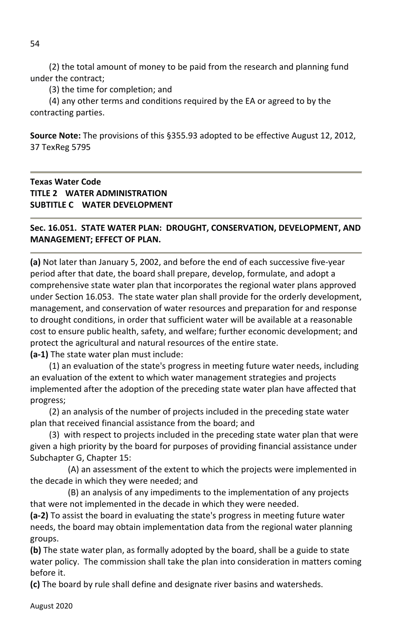(2) the total amount of money to be paid from the research and planning fund under the contract;

(3) the time for completion; and

(4) any other terms and conditions required by the EA or agreed to by the contracting parties.

**Source Note:** The provisions of this §355.93 adopted to be effective August 12, 2012, 37 TexReg 5795

## **Texas Water Code TITLE 2 WATER ADMINISTRATION SUBTITLE C WATER DEVELOPMENT**

**Sec. 16.051. STATE WATER PLAN: DROUGHT, CONSERVATION, DEVELOPMENT, AND MANAGEMENT; EFFECT OF PLAN.**

**(a)** Not later than January 5, 2002, and before the end of each successive five-year period after that date, the board shall prepare, develop, formulate, and adopt a comprehensive state water plan that incorporates the regional water plans approved under Section 16.053. The state water plan shall provide for the orderly development, management, and conservation of water resources and preparation for and response to drought conditions, in order that sufficient water will be available at a reasonable cost to ensure public health, safety, and welfare; further economic development; and protect the agricultural and natural resources of the entire state. **(a-1)** The state water plan must include:

 (1) an evaluation of the state's progress in meeting future water needs, including an evaluation of the extent to which water management strategies and projects implemented after the adoption of the preceding state water plan have affected that progress;

(2) an analysis of the number of projects included in the preceding state water plan that received financial assistance from the board; and

(3) with respect to projects included in the preceding state water plan that were given a high priority by the board for purposes of providing financial assistance under Subchapter G, Chapter 15:

(A) an assessment of the extent to which the projects were implemented in the decade in which they were needed; and

(B) an analysis of any impediments to the implementation of any projects that were not implemented in the decade in which they were needed.

**(a-2)** To assist the board in evaluating the state's progress in meeting future water needs, the board may obtain implementation data from the regional water planning groups.

**(b)** The state water plan, as formally adopted by the board, shall be a guide to state water policy. The commission shall take the plan into consideration in matters coming before it.

**(c)** The board by rule shall define and designate river basins and watersheds.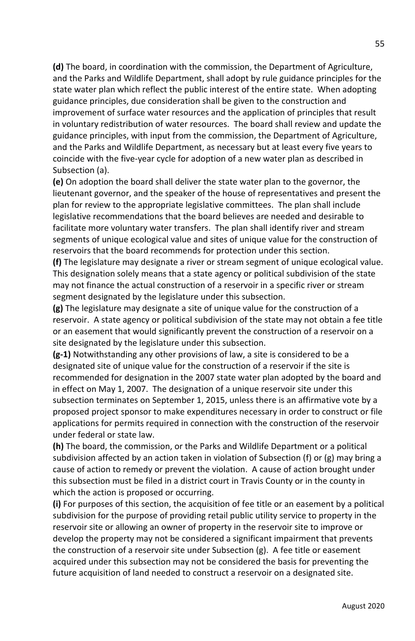**(d)** The board, in coordination with the commission, the Department of Agriculture, and the Parks and Wildlife Department, shall adopt by rule guidance principles for the state water plan which reflect the public interest of the entire state. When adopting guidance principles, due consideration shall be given to the construction and improvement of surface water resources and the application of principles that result in voluntary redistribution of water resources. The board shall review and update the guidance principles, with input from the commission, the Department of Agriculture, and the Parks and Wildlife Department, as necessary but at least every five years to coincide with the five-year cycle for adoption of a new water plan as described in Subsection (a).

**(e)** On adoption the board shall deliver the state water plan to the governor, the lieutenant governor, and the speaker of the house of representatives and present the plan for review to the appropriate legislative committees. The plan shall include legislative recommendations that the board believes are needed and desirable to facilitate more voluntary water transfers. The plan shall identify river and stream segments of unique ecological value and sites of unique value for the construction of reservoirs that the board recommends for protection under this section.

**(f)** The legislature may designate a river or stream segment of unique ecological value. This designation solely means that a state agency or political subdivision of the state may not finance the actual construction of a reservoir in a specific river or stream segment designated by the legislature under this subsection.

**(g)** The legislature may designate a site of unique value for the construction of a reservoir. A state agency or political subdivision of the state may not obtain a fee title or an easement that would significantly prevent the construction of a reservoir on a site designated by the legislature under this subsection.

**(g-1)** Notwithstanding any other provisions of law, a site is considered to be a designated site of unique value for the construction of a reservoir if the site is recommended for designation in the 2007 state water plan adopted by the board and in effect on May 1, 2007. The designation of a unique reservoir site under this subsection terminates on September 1, 2015, unless there is an affirmative vote by a proposed project sponsor to make expenditures necessary in order to construct or file applications for permits required in connection with the construction of the reservoir under federal or state law.

**(h)** The board, the commission, or the Parks and Wildlife Department or a political subdivision affected by an action taken in violation of Subsection (f) or (g) may bring a cause of action to remedy or prevent the violation. A cause of action brought under this subsection must be filed in a district court in Travis County or in the county in which the action is proposed or occurring.

**(i)** For purposes of this section, the acquisition of fee title or an easement by a political subdivision for the purpose of providing retail public utility service to property in the reservoir site or allowing an owner of property in the reservoir site to improve or develop the property may not be considered a significant impairment that prevents the construction of a reservoir site under Subsection (g). A fee title or easement acquired under this subsection may not be considered the basis for preventing the future acquisition of land needed to construct a reservoir on a designated site.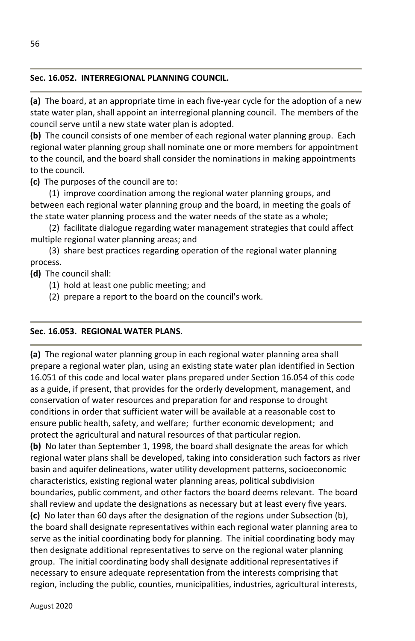## **Sec. 16.052. INTERREGIONAL PLANNING COUNCIL.**

**(a)** The board, at an appropriate time in each five-year cycle for the adoption of a new state water plan, shall appoint an interregional planning council. The members of the council serve until a new state water plan is adopted.

**(b)** The council consists of one member of each regional water planning group. Each regional water planning group shall nominate one or more members for appointment to the council, and the board shall consider the nominations in making appointments to the council.

**(c)** The purposes of the council are to:

(1) improve coordination among the regional water planning groups, and between each regional water planning group and the board, in meeting the goals of the state water planning process and the water needs of the state as a whole;

(2) facilitate dialogue regarding water management strategies that could affect multiple regional water planning areas; and

(3) share best practices regarding operation of the regional water planning process.

**(d)** The council shall:

- (1) hold at least one public meeting; and
- (2) prepare a report to the board on the council's work.

## **Sec. 16.053. REGIONAL WATER PLANS**.

**(a)** The regional water planning group in each regional water planning area shall prepare a regional water plan, using an existing state water plan identified in Section 16.051 of this code and local water plans prepared under Section 16.054 of this code as a guide, if present, that provides for the orderly development, management, and conservation of water resources and preparation for and response to drought conditions in order that sufficient water will be available at a reasonable cost to ensure public health, safety, and welfare; further economic development; and protect the agricultural and natural resources of that particular region.

**(b)** No later than September 1, 1998, the board shall designate the areas for which regional water plans shall be developed, taking into consideration such factors as river basin and aquifer delineations, water utility development patterns, socioeconomic characteristics, existing regional water planning areas, political subdivision boundaries, public comment, and other factors the board deems relevant. The board shall review and update the designations as necessary but at least every five years. **(c)** No later than 60 days after the designation of the regions under Subsection (b), the board shall designate representatives within each regional water planning area to serve as the initial coordinating body for planning. The initial coordinating body may then designate additional representatives to serve on the regional water planning group. The initial coordinating body shall designate additional representatives if necessary to ensure adequate representation from the interests comprising that region, including the public, counties, municipalities, industries, agricultural interests,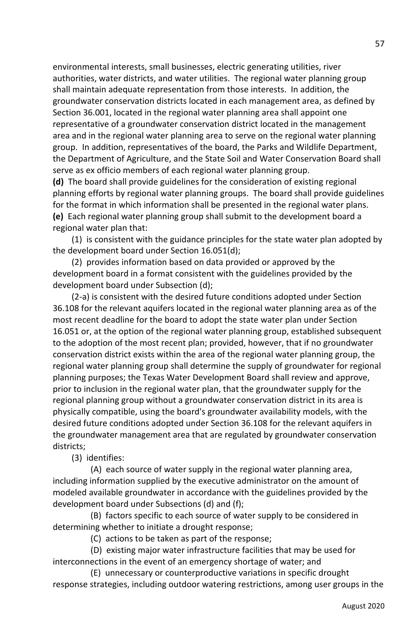environmental interests, small businesses, electric generating utilities, river authorities, water districts, and water utilities. The regional water planning group shall maintain adequate representation from those interests. In addition, the groundwater conservation districts located in each management area, as defined by Section 36.001, located in the regional water planning area shall appoint one representative of a groundwater conservation district located in the management area and in the regional water planning area to serve on the regional water planning group. In addition, representatives of the board, the Parks and Wildlife Department, the Department of Agriculture, and the State Soil and Water Conservation Board shall serve as ex officio members of each regional water planning group.

**(d)** The board shall provide guidelines for the consideration of existing regional planning efforts by regional water planning groups. The board shall provide guidelines for the format in which information shall be presented in the regional water plans. **(e)** Each regional water planning group shall submit to the development board a regional water plan that:

(1) is consistent with the guidance principles for the state water plan adopted by the development board under Section 16.051(d);

(2) provides information based on data provided or approved by the development board in a format consistent with the guidelines provided by the development board under Subsection (d);

(2-a) is consistent with the desired future conditions adopted under Section 36.108 for the relevant aquifers located in the regional water planning area as of the most recent deadline for the board to adopt the state water plan under Section 16.051 or, at the option of the regional water planning group, established subsequent to the adoption of the most recent plan; provided, however, that if no groundwater conservation district exists within the area of the regional water planning group, the regional water planning group shall determine the supply of groundwater for regional planning purposes; the Texas Water Development Board shall review and approve, prior to inclusion in the regional water plan, that the groundwater supply for the regional planning group without a groundwater conservation district in its area is physically compatible, using the board's groundwater availability models, with the desired future conditions adopted under Section 36.108 for the relevant aquifers in the groundwater management area that are regulated by groundwater conservation districts;

(3) identifies:

 (A) each source of water supply in the regional water planning area, including information supplied by the executive administrator on the amount of modeled available groundwater in accordance with the guidelines provided by the development board under Subsections (d) and (f);

 (B) factors specific to each source of water supply to be considered in determining whether to initiate a drought response;

(C) actions to be taken as part of the response;

 (D) existing major water infrastructure facilities that may be used for interconnections in the event of an emergency shortage of water; and

 (E) unnecessary or counterproductive variations in specific drought response strategies, including outdoor watering restrictions, among user groups in the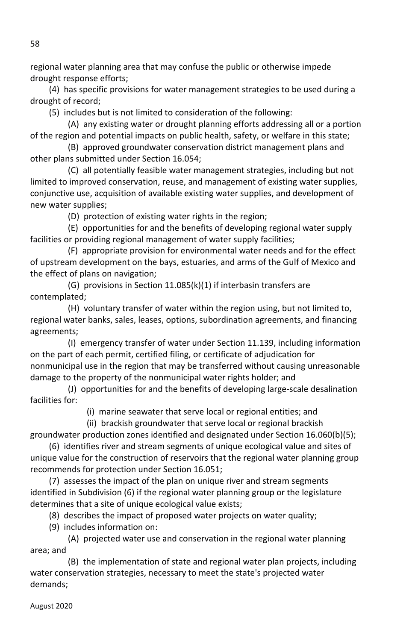regional water planning area that may confuse the public or otherwise impede drought response efforts;

(4) has specific provisions for water management strategies to be used during a drought of record;

(5) includes but is not limited to consideration of the following:

 (A) any existing water or drought planning efforts addressing all or a portion of the region and potential impacts on public health, safety, or welfare in this state;

 (B) approved groundwater conservation district management plans and other plans submitted under Section 16.054;

 (C) all potentially feasible water management strategies, including but not limited to improved conservation, reuse, and management of existing water supplies, conjunctive use, acquisition of available existing water supplies, and development of new water supplies;

(D) protection of existing water rights in the region;

 (E) opportunities for and the benefits of developing regional water supply facilities or providing regional management of water supply facilities;

 (F) appropriate provision for environmental water needs and for the effect of upstream development on the bays, estuaries, and arms of the Gulf of Mexico and the effect of plans on navigation;

 (G) provisions in Section 11.085(k)(1) if interbasin transfers are contemplated;

 (H) voluntary transfer of water within the region using, but not limited to, regional water banks, sales, leases, options, subordination agreements, and financing agreements;

 (I) emergency transfer of water under Section 11.139, including information on the part of each permit, certified filing, or certificate of adjudication for nonmunicipal use in the region that may be transferred without causing unreasonable damage to the property of the nonmunicipal water rights holder; and

 (J) opportunities for and the benefits of developing large-scale desalination facilities for:

(i) marine seawater that serve local or regional entities; and

(ii) brackish groundwater that serve local or regional brackish

groundwater production zones identified and designated under Section 16.060(b)(5);

(6) identifies river and stream segments of unique ecological value and sites of unique value for the construction of reservoirs that the regional water planning group recommends for protection under Section 16.051;

(7) assesses the impact of the plan on unique river and stream segments identified in Subdivision (6) if the regional water planning group or the legislature determines that a site of unique ecological value exists;

(8) describes the impact of proposed water projects on water quality;

(9) includes information on:

 (A) projected water use and conservation in the regional water planning area; and

 (B) the implementation of state and regional water plan projects, including water conservation strategies, necessary to meet the state's projected water demands;

August 2020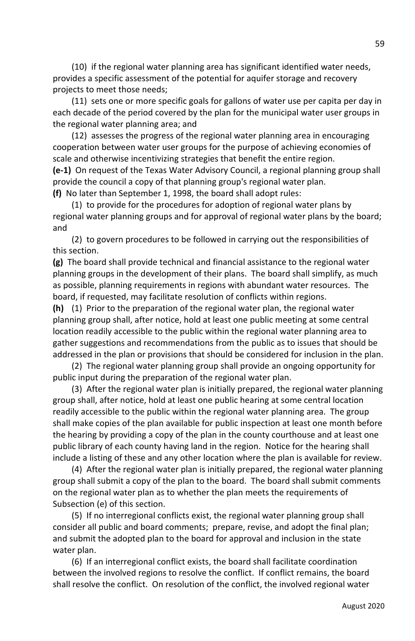(10) if the regional water planning area has significant identified water needs, provides a specific assessment of the potential for aquifer storage and recovery projects to meet those needs;

(11) sets one or more specific goals for gallons of water use per capita per day in each decade of the period covered by the plan for the municipal water user groups in the regional water planning area; and

(12) assesses the progress of the regional water planning area in encouraging cooperation between water user groups for the purpose of achieving economies of scale and otherwise incentivizing strategies that benefit the entire region.

**(e-1)** On request of the Texas Water Advisory Council, a regional planning group shall provide the council a copy of that planning group's regional water plan.

**(f)** No later than September 1, 1998, the board shall adopt rules:

(1) to provide for the procedures for adoption of regional water plans by regional water planning groups and for approval of regional water plans by the board; and

(2) to govern procedures to be followed in carrying out the responsibilities of this section.

**(g)** The board shall provide technical and financial assistance to the regional water planning groups in the development of their plans. The board shall simplify, as much as possible, planning requirements in regions with abundant water resources. The board, if requested, may facilitate resolution of conflicts within regions.

**(h)** (1) Prior to the preparation of the regional water plan, the regional water planning group shall, after notice, hold at least one public meeting at some central location readily accessible to the public within the regional water planning area to gather suggestions and recommendations from the public as to issues that should be addressed in the plan or provisions that should be considered for inclusion in the plan.

(2) The regional water planning group shall provide an ongoing opportunity for public input during the preparation of the regional water plan.

(3) After the regional water plan is initially prepared, the regional water planning group shall, after notice, hold at least one public hearing at some central location readily accessible to the public within the regional water planning area. The group shall make copies of the plan available for public inspection at least one month before the hearing by providing a copy of the plan in the county courthouse and at least one public library of each county having land in the region. Notice for the hearing shall include a listing of these and any other location where the plan is available for review.

(4) After the regional water plan is initially prepared, the regional water planning group shall submit a copy of the plan to the board. The board shall submit comments on the regional water plan as to whether the plan meets the requirements of Subsection (e) of this section.

(5) If no interregional conflicts exist, the regional water planning group shall consider all public and board comments; prepare, revise, and adopt the final plan; and submit the adopted plan to the board for approval and inclusion in the state water plan.

(6) If an interregional conflict exists, the board shall facilitate coordination between the involved regions to resolve the conflict. If conflict remains, the board shall resolve the conflict. On resolution of the conflict, the involved regional water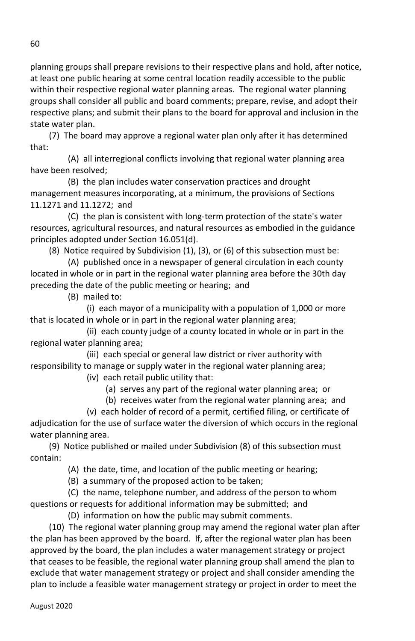planning groups shall prepare revisions to their respective plans and hold, after notice, at least one public hearing at some central location readily accessible to the public within their respective regional water planning areas. The regional water planning groups shall consider all public and board comments; prepare, revise, and adopt their respective plans; and submit their plans to the board for approval and inclusion in the state water plan.

(7) The board may approve a regional water plan only after it has determined that:

 (A) all interregional conflicts involving that regional water planning area have been resolved;

 (B) the plan includes water conservation practices and drought management measures incorporating, at a minimum, the provisions of Sections 11.1271 and 11.1272; and

 (C) the plan is consistent with long-term protection of the state's water resources, agricultural resources, and natural resources as embodied in the guidance principles adopted under Section 16.051(d).

(8) Notice required by Subdivision (1), (3), or (6) of this subsection must be:

 (A) published once in a newspaper of general circulation in each county located in whole or in part in the regional water planning area before the 30th day preceding the date of the public meeting or hearing; and

(B) mailed to:

 (i) each mayor of a municipality with a population of 1,000 or more that is located in whole or in part in the regional water planning area;

 (ii) each county judge of a county located in whole or in part in the regional water planning area;

 (iii) each special or general law district or river authority with responsibility to manage or supply water in the regional water planning area;

(iv) each retail public utility that:

(a) serves any part of the regional water planning area; or

(b) receives water from the regional water planning area; and

 (v) each holder of record of a permit, certified filing, or certificate of adjudication for the use of surface water the diversion of which occurs in the regional water planning area.

(9) Notice published or mailed under Subdivision (8) of this subsection must contain:

(A) the date, time, and location of the public meeting or hearing;

(B) a summary of the proposed action to be taken;

 (C) the name, telephone number, and address of the person to whom questions or requests for additional information may be submitted; and

(D) information on how the public may submit comments.

(10) The regional water planning group may amend the regional water plan after the plan has been approved by the board. If, after the regional water plan has been approved by the board, the plan includes a water management strategy or project that ceases to be feasible, the regional water planning group shall amend the plan to exclude that water management strategy or project and shall consider amending the plan to include a feasible water management strategy or project in order to meet the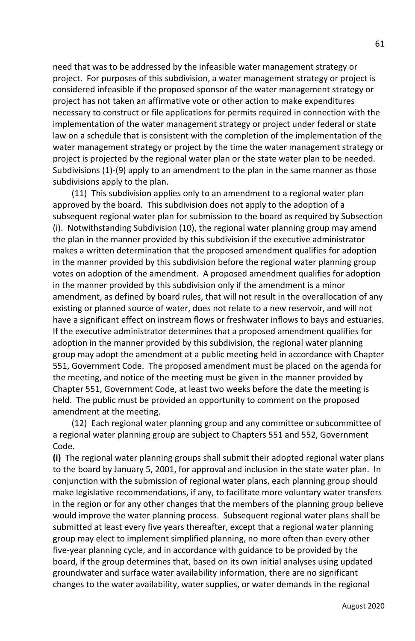need that was to be addressed by the infeasible water management strategy or project. For purposes of this subdivision, a water management strategy or project is considered infeasible if the proposed sponsor of the water management strategy or project has not taken an affirmative vote or other action to make expenditures necessary to construct or file applications for permits required in connection with the implementation of the water management strategy or project under federal or state law on a schedule that is consistent with the completion of the implementation of the water management strategy or project by the time the water management strategy or project is projected by the regional water plan or the state water plan to be needed. Subdivisions (1)-(9) apply to an amendment to the plan in the same manner as those subdivisions apply to the plan.

(11) This subdivision applies only to an amendment to a regional water plan approved by the board. This subdivision does not apply to the adoption of a subsequent regional water plan for submission to the board as required by Subsection (i). Notwithstanding Subdivision (10), the regional water planning group may amend the plan in the manner provided by this subdivision if the executive administrator makes a written determination that the proposed amendment qualifies for adoption in the manner provided by this subdivision before the regional water planning group votes on adoption of the amendment. A proposed amendment qualifies for adoption in the manner provided by this subdivision only if the amendment is a minor amendment, as defined by board rules, that will not result in the overallocation of any existing or planned source of water, does not relate to a new reservoir, and will not have a significant effect on instream flows or freshwater inflows to bays and estuaries. If the executive administrator determines that a proposed amendment qualifies for adoption in the manner provided by this subdivision, the regional water planning group may adopt the amendment at a public meeting held in accordance with Chapter 551, Government Code. The proposed amendment must be placed on the agenda for the meeting, and notice of the meeting must be given in the manner provided by Chapter 551, Government Code, at least two weeks before the date the meeting is held. The public must be provided an opportunity to comment on the proposed amendment at the meeting.

(12) Each regional water planning group and any committee or subcommittee of a regional water planning group are subject to Chapters 551 and 552, Government Code.

**(i)** The regional water planning groups shall submit their adopted regional water plans to the board by January 5, 2001, for approval and inclusion in the state water plan. In conjunction with the submission of regional water plans, each planning group should make legislative recommendations, if any, to facilitate more voluntary water transfers in the region or for any other changes that the members of the planning group believe would improve the water planning process. Subsequent regional water plans shall be submitted at least every five years thereafter, except that a regional water planning group may elect to implement simplified planning, no more often than every other five-year planning cycle, and in accordance with guidance to be provided by the board, if the group determines that, based on its own initial analyses using updated groundwater and surface water availability information, there are no significant changes to the water availability, water supplies, or water demands in the regional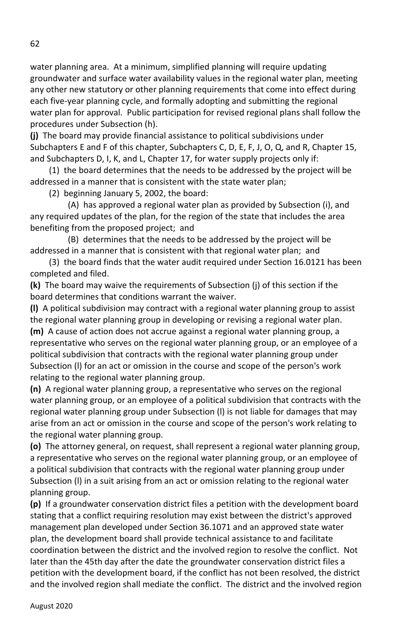water planning area. At a minimum, simplified planning will require updating groundwater and surface water availability values in the regional water plan, meeting any other new statutory or other planning requirements that come into effect during each five-year planning cycle, and formally adopting and submitting the regional water plan for approval. Public participation for revised regional plans shall follow the procedures under Subsection (h).

**(j)** The board may provide financial assistance to political subdivisions under Subchapters E and F of this chapter, Subchapters C, D, E, F, J, O, Q, and R, Chapter 15, and Subchapters D, I, K, and L, Chapter 17, for water supply projects only if:

(1) the board determines that the needs to be addressed by the project will be addressed in a manner that is consistent with the state water plan;

(2) beginning January 5, 2002, the board:

 (A) has approved a regional water plan as provided by Subsection (i), and any required updates of the plan, for the region of the state that includes the area benefiting from the proposed project; and

 (B) determines that the needs to be addressed by the project will be addressed in a manner that is consistent with that regional water plan; and

(3) the board finds that the water audit required under Section 16.0121 has been completed and filed.

**(k)** The board may waive the requirements of Subsection (j) of this section if the board determines that conditions warrant the waiver.

**(l)** A political subdivision may contract with a regional water planning group to assist the regional water planning group in developing or revising a regional water plan. **(m)** A cause of action does not accrue against a regional water planning group, a representative who serves on the regional water planning group, or an employee of a political subdivision that contracts with the regional water planning group under Subsection (l) for an act or omission in the course and scope of the person's work relating to the regional water planning group.

**(n)** A regional water planning group, a representative who serves on the regional water planning group, or an employee of a political subdivision that contracts with the regional water planning group under Subsection (l) is not liable for damages that may arise from an act or omission in the course and scope of the person's work relating to the regional water planning group.

**(o)** The attorney general, on request, shall represent a regional water planning group, a representative who serves on the regional water planning group, or an employee of a political subdivision that contracts with the regional water planning group under Subsection (l) in a suit arising from an act or omission relating to the regional water planning group.

**(p)** If a groundwater conservation district files a petition with the development board stating that a conflict requiring resolution may exist between the district's approved management plan developed under Section 36.1071 and an approved state water plan, the development board shall provide technical assistance to and facilitate coordination between the district and the involved region to resolve the conflict. Not later than the 45th day after the date the groundwater conservation district files a petition with the development board, if the conflict has not been resolved, the district and the involved region shall mediate the conflict. The district and the involved region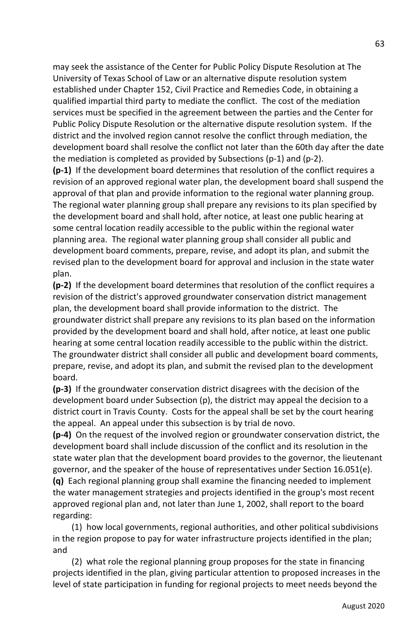may seek the assistance of the Center for Public Policy Dispute Resolution at The University of Texas School of Law or an alternative dispute resolution system established under Chapter 152, Civil Practice and Remedies Code, in obtaining a qualified impartial third party to mediate the conflict. The cost of the mediation services must be specified in the agreement between the parties and the Center for Public Policy Dispute Resolution or the alternative dispute resolution system. If the district and the involved region cannot resolve the conflict through mediation, the development board shall resolve the conflict not later than the 60th day after the date the mediation is completed as provided by Subsections (p-1) and (p-2).

**(p-1)** If the development board determines that resolution of the conflict requires a revision of an approved regional water plan, the development board shall suspend the approval of that plan and provide information to the regional water planning group. The regional water planning group shall prepare any revisions to its plan specified by the development board and shall hold, after notice, at least one public hearing at some central location readily accessible to the public within the regional water planning area. The regional water planning group shall consider all public and development board comments, prepare, revise, and adopt its plan, and submit the revised plan to the development board for approval and inclusion in the state water plan.

**(p-2)** If the development board determines that resolution of the conflict requires a revision of the district's approved groundwater conservation district management plan, the development board shall provide information to the district. The groundwater district shall prepare any revisions to its plan based on the information provided by the development board and shall hold, after notice, at least one public hearing at some central location readily accessible to the public within the district. The groundwater district shall consider all public and development board comments, prepare, revise, and adopt its plan, and submit the revised plan to the development board.

**(p-3)** If the groundwater conservation district disagrees with the decision of the development board under Subsection (p), the district may appeal the decision to a district court in Travis County. Costs for the appeal shall be set by the court hearing the appeal. An appeal under this subsection is by trial de novo.

**(p-4)** On the request of the involved region or groundwater conservation district, the development board shall include discussion of the conflict and its resolution in the state water plan that the development board provides to the governor, the lieutenant governor, and the speaker of the house of representatives under Section 16.051(e). **(q)** Each regional planning group shall examine the financing needed to implement the water management strategies and projects identified in the group's most recent approved regional plan and, not later than June 1, 2002, shall report to the board regarding:

(1) how local governments, regional authorities, and other political subdivisions in the region propose to pay for water infrastructure projects identified in the plan; and

(2) what role the regional planning group proposes for the state in financing projects identified in the plan, giving particular attention to proposed increases in the level of state participation in funding for regional projects to meet needs beyond the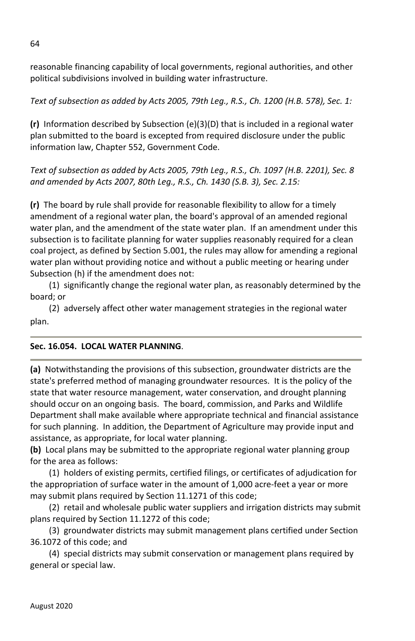reasonable financing capability of local governments, regional authorities, and other political subdivisions involved in building water infrastructure.

*Text of subsection as added by Acts 2005, 79th Leg., R.S., Ch. 1200 (H.B. 578), Sec. 1:* 

**(r)** Information described by Subsection (e)(3)(D) that is included in a regional water plan submitted to the board is excepted from required disclosure under the public information law, Chapter 552, Government Code.

*Text of subsection as added by Acts 2005, 79th Leg., R.S., Ch. 1097 (H.B. 2201), Sec. 8 and amended by Acts 2007, 80th Leg., R.S., Ch. 1430 (S.B. 3), Sec. 2.15:* 

**(r)** The board by rule shall provide for reasonable flexibility to allow for a timely amendment of a regional water plan, the board's approval of an amended regional water plan, and the amendment of the state water plan. If an amendment under this subsection is to facilitate planning for water supplies reasonably required for a clean coal project, as defined by Section 5.001, the rules may allow for amending a regional water plan without providing notice and without a public meeting or hearing under Subsection (h) if the amendment does not:

(1) significantly change the regional water plan, as reasonably determined by the board; or

(2) adversely affect other water management strategies in the regional water plan.

## **Sec. 16.054. LOCAL WATER PLANNING**.

**(a)** Notwithstanding the provisions of this subsection, groundwater districts are the state's preferred method of managing groundwater resources. It is the policy of the state that water resource management, water conservation, and drought planning should occur on an ongoing basis. The board, commission, and Parks and Wildlife Department shall make available where appropriate technical and financial assistance for such planning. In addition, the Department of Agriculture may provide input and assistance, as appropriate, for local water planning.

**(b)** Local plans may be submitted to the appropriate regional water planning group for the area as follows:

(1) holders of existing permits, certified filings, or certificates of adjudication for the appropriation of surface water in the amount of 1,000 acre-feet a year or more may submit plans required by Section 11.1271 of this code;

(2) retail and wholesale public water suppliers and irrigation districts may submit plans required by Section 11.1272 of this code;

(3) groundwater districts may submit management plans certified under Section 36.1072 of this code; and

(4) special districts may submit conservation or management plans required by general or special law.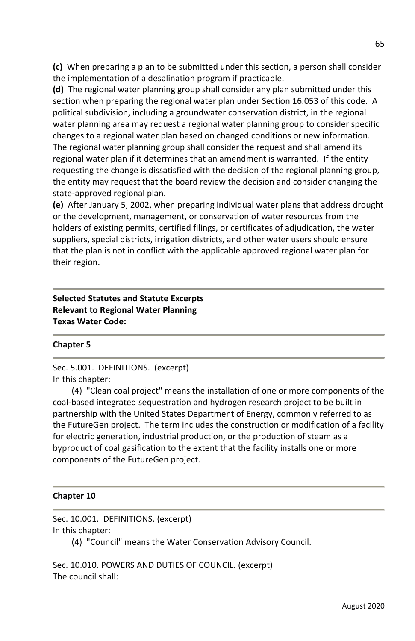**(c)** When preparing a plan to be submitted under this section, a person shall consider the implementation of a desalination program if practicable.

**(d)** The regional water planning group shall consider any plan submitted under this section when preparing the regional water plan under Section 16.053 of this code. A political subdivision, including a groundwater conservation district, in the regional water planning area may request a regional water planning group to consider specific changes to a regional water plan based on changed conditions or new information. The regional water planning group shall consider the request and shall amend its regional water plan if it determines that an amendment is warranted. If the entity requesting the change is dissatisfied with the decision of the regional planning group, the entity may request that the board review the decision and consider changing the state-approved regional plan.

**(e)** After January 5, 2002, when preparing individual water plans that address drought or the development, management, or conservation of water resources from the holders of existing permits, certified filings, or certificates of adjudication, the water suppliers, special districts, irrigation districts, and other water users should ensure that the plan is not in conflict with the applicable approved regional water plan for their region.

**Selected Statutes and Statute Excerpts Relevant to Regional Water Planning Texas Water Code:**

#### **Chapter 5**

Sec. 5.001. DEFINITIONS. (excerpt) In this chapter:

(4) "Clean coal project" means the installation of one or more components of the coal-based integrated sequestration and hydrogen research project to be built in partnership with the United States Department of Energy, commonly referred to as the FutureGen project. The term includes the construction or modification of a facility for electric generation, industrial production, or the production of steam as a byproduct of coal gasification to the extent that the facility installs one or more components of the FutureGen project.

### **Chapter 10**

Sec. 10.001. DEFINITIONS. (excerpt) In this chapter:

(4) "Council" means the Water Conservation Advisory Council.

Sec. 10.010. POWERS AND DUTIES OF COUNCIL. (excerpt) The council shall: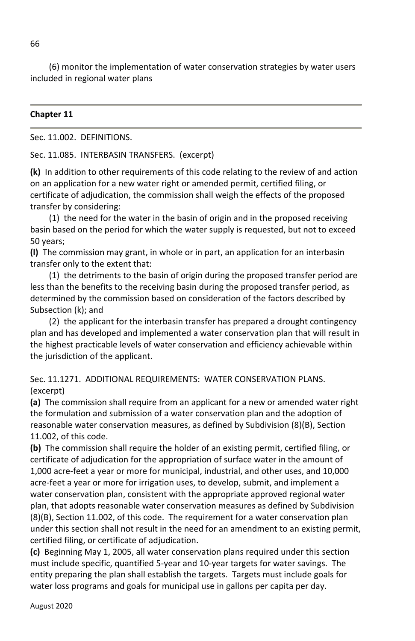(6) monitor the implementation of water conservation strategies by water users included in regional water plans

#### **Chapter 11**

Sec. 11.002. DEFINITIONS.

Sec. 11.085. INTERBASIN TRANSFERS. (excerpt)

**(k)** In addition to other requirements of this code relating to the review of and action on an application for a new water right or amended permit, certified filing, or certificate of adjudication, the commission shall weigh the effects of the proposed transfer by considering:

(1) the need for the water in the basin of origin and in the proposed receiving basin based on the period for which the water supply is requested, but not to exceed 50 years;

**(l)** The commission may grant, in whole or in part, an application for an interbasin transfer only to the extent that:

(1) the detriments to the basin of origin during the proposed transfer period are less than the benefits to the receiving basin during the proposed transfer period, as determined by the commission based on consideration of the factors described by Subsection (k); and

(2) the applicant for the interbasin transfer has prepared a drought contingency plan and has developed and implemented a water conservation plan that will result in the highest practicable levels of water conservation and efficiency achievable within the jurisdiction of the applicant.

Sec. 11.1271. ADDITIONAL REQUIREMENTS: WATER CONSERVATION PLANS. (excerpt)

**(a)** The commission shall require from an applicant for a new or amended water right the formulation and submission of a water conservation plan and the adoption of reasonable water conservation measures, as defined by Subdivision (8)(B), Section 11.002, of this code.

**(b)** The commission shall require the holder of an existing permit, certified filing, or certificate of adjudication for the appropriation of surface water in the amount of 1,000 acre-feet a year or more for municipal, industrial, and other uses, and 10,000 acre-feet a year or more for irrigation uses, to develop, submit, and implement a water conservation plan, consistent with the appropriate approved regional water plan, that adopts reasonable water conservation measures as defined by Subdivision (8)(B), Section 11.002, of this code. The requirement for a water conservation plan under this section shall not result in the need for an amendment to an existing permit, certified filing, or certificate of adjudication.

**(c)** Beginning May 1, 2005, all water conservation plans required under this section must include specific, quantified 5-year and 10-year targets for water savings. The entity preparing the plan shall establish the targets. Targets must include goals for water loss programs and goals for municipal use in gallons per capita per day.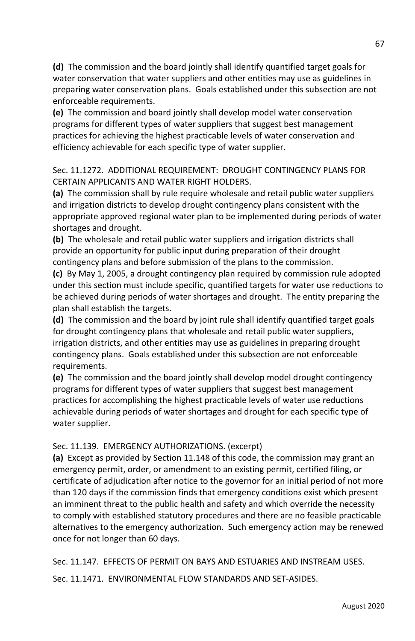**(d)** The commission and the board jointly shall identify quantified target goals for water conservation that water suppliers and other entities may use as guidelines in preparing water conservation plans. Goals established under this subsection are not enforceable requirements.

**(e)** The commission and board jointly shall develop model water conservation programs for different types of water suppliers that suggest best management practices for achieving the highest practicable levels of water conservation and efficiency achievable for each specific type of water supplier.

Sec. 11.1272. ADDITIONAL REQUIREMENT: DROUGHT CONTINGENCY PLANS FOR CERTAIN APPLICANTS AND WATER RIGHT HOLDERS.

**(a)** The commission shall by rule require wholesale and retail public water suppliers and irrigation districts to develop drought contingency plans consistent with the appropriate approved regional water plan to be implemented during periods of water shortages and drought.

**(b)** The wholesale and retail public water suppliers and irrigation districts shall provide an opportunity for public input during preparation of their drought contingency plans and before submission of the plans to the commission.

**(c)** By May 1, 2005, a drought contingency plan required by commission rule adopted under this section must include specific, quantified targets for water use reductions to be achieved during periods of water shortages and drought. The entity preparing the plan shall establish the targets.

**(d)** The commission and the board by joint rule shall identify quantified target goals for drought contingency plans that wholesale and retail public water suppliers, irrigation districts, and other entities may use as guidelines in preparing drought contingency plans. Goals established under this subsection are not enforceable requirements.

**(e)** The commission and the board jointly shall develop model drought contingency programs for different types of water suppliers that suggest best management practices for accomplishing the highest practicable levels of water use reductions achievable during periods of water shortages and drought for each specific type of water supplier.

Sec. 11.139. EMERGENCY AUTHORIZATIONS. (excerpt)

**(a)** Except as provided by Section 11.148 of this code, the commission may grant an emergency permit, order, or amendment to an existing permit, certified filing, or certificate of adjudication after notice to the governor for an initial period of not more than 120 days if the commission finds that emergency conditions exist which present an imminent threat to the public health and safety and which override the necessity to comply with established statutory procedures and there are no feasible practicable alternatives to the emergency authorization. Such emergency action may be renewed once for not longer than 60 days.

Sec. 11.147. EFFECTS OF PERMIT ON BAYS AND ESTUARIES AND INSTREAM USES.

Sec. 11.1471. ENVIRONMENTAL FLOW STANDARDS AND SET-ASIDES.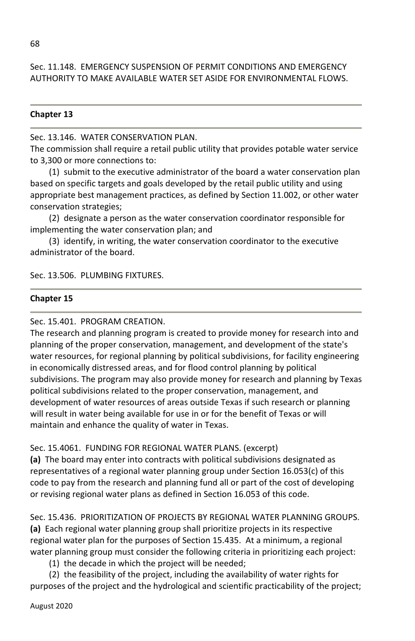Sec. 11.148. EMERGENCY SUSPENSION OF PERMIT CONDITIONS AND EMERGENCY AUTHORITY TO MAKE AVAILABLE WATER SET ASIDE FOR ENVIRONMENTAL FLOWS.

#### **Chapter 13**

Sec. 13.146. WATER CONSERVATION PLAN.

The commission shall require a retail public utility that provides potable water service to 3,300 or more connections to:

(1) submit to the executive administrator of the board a water conservation plan based on specific targets and goals developed by the retail public utility and using appropriate best management practices, as defined by Section 11.002, or other water conservation strategies;

(2) designate a person as the water conservation coordinator responsible for implementing the water conservation plan; and

(3) identify, in writing, the water conservation coordinator to the executive administrator of the board.

Sec. 13.506. PLUMBING FIXTURES.

#### **Chapter 15**

Sec. 15.401. PROGRAM CREATION.

The research and planning program is created to provide money for research into and planning of the proper conservation, management, and development of the state's water resources, for regional planning by political subdivisions, for facility engineering in economically distressed areas, and for flood control planning by political subdivisions. The program may also provide money for research and planning by Texas political subdivisions related to the proper conservation, management, and development of water resources of areas outside Texas if such research or planning will result in water being available for use in or for the benefit of Texas or will maintain and enhance the quality of water in Texas.

Sec. 15.4061. FUNDING FOR REGIONAL WATER PLANS. (excerpt)

**(a)** The board may enter into contracts with political subdivisions designated as representatives of a regional water planning group under Section 16.053(c) of this code to pay from the research and planning fund all or part of the cost of developing or revising regional water plans as defined in Section 16.053 of this code.

Sec. 15.436. PRIORITIZATION OF PROJECTS BY REGIONAL WATER PLANNING GROUPS. **(a)** Each regional water planning group shall prioritize projects in its respective regional water plan for the purposes of Section 15.435. At a minimum, a regional water planning group must consider the following criteria in prioritizing each project:

(1) the decade in which the project will be needed;

(2) the feasibility of the project, including the availability of water rights for purposes of the project and the hydrological and scientific practicability of the project;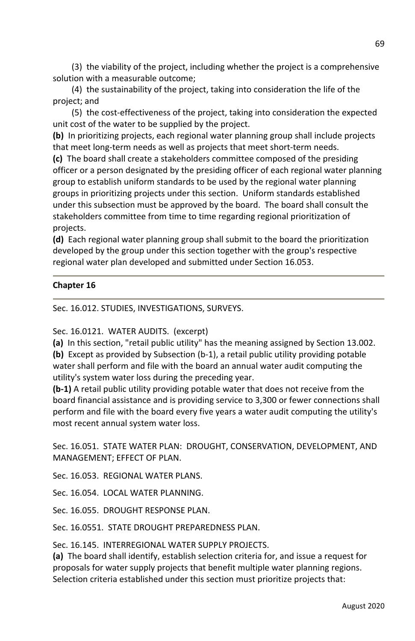(3) the viability of the project, including whether the project is a comprehensive solution with a measurable outcome;

(4) the sustainability of the project, taking into consideration the life of the project; and

(5) the cost-effectiveness of the project, taking into consideration the expected unit cost of the water to be supplied by the project.

**(b)** In prioritizing projects, each regional water planning group shall include projects that meet long-term needs as well as projects that meet short-term needs.

**(c)** The board shall create a stakeholders committee composed of the presiding officer or a person designated by the presiding officer of each regional water planning group to establish uniform standards to be used by the regional water planning groups in prioritizing projects under this section. Uniform standards established under this subsection must be approved by the board. The board shall consult the stakeholders committee from time to time regarding regional prioritization of projects.

**(d)** Each regional water planning group shall submit to the board the prioritization developed by the group under this section together with the group's respective regional water plan developed and submitted under Section 16.053.

## **Chapter 16**

Sec. 16.012. STUDIES, INVESTIGATIONS, SURVEYS.

Sec. 16.0121. WATER AUDITS. (excerpt)

**(a)** In this section, "retail public utility" has the meaning assigned by Section 13.002. **(b)** Except as provided by Subsection (b-1), a retail public utility providing potable water shall perform and file with the board an annual water audit computing the utility's system water loss during the preceding year.

**(b-1)** A retail public utility providing potable water that does not receive from the board financial assistance and is providing service to 3,300 or fewer connections shall perform and file with the board every five years a water audit computing the utility's most recent annual system water loss.

Sec. 16.051. STATE WATER PLAN: DROUGHT, CONSERVATION, DEVELOPMENT, AND MANAGEMENT; EFFECT OF PLAN.

Sec. 16.053. REGIONAL WATER PLANS.

Sec. 16.054. LOCAL WATER PLANNING.

Sec. 16.055. DROUGHT RESPONSE PLAN.

Sec. 16.0551. STATE DROUGHT PREPAREDNESS PLAN.

Sec. 16.145. INTERREGIONAL WATER SUPPLY PROJECTS.

**(a)** The board shall identify, establish selection criteria for, and issue a request for proposals for water supply projects that benefit multiple water planning regions. Selection criteria established under this section must prioritize projects that: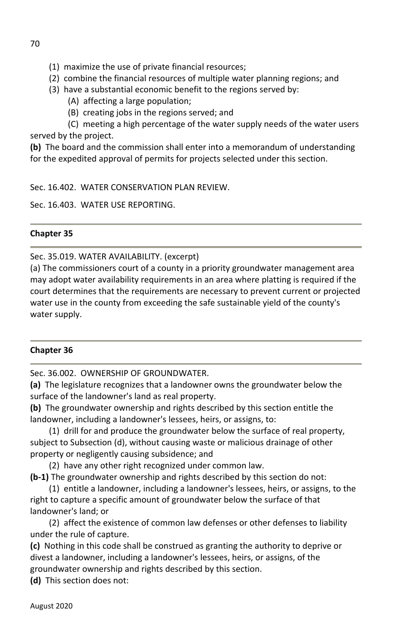- (1) maximize the use of private financial resources;
- (2) combine the financial resources of multiple water planning regions; and
- (3) have a substantial economic benefit to the regions served by:
	- (A) affecting a large population;
	- (B) creating jobs in the regions served; and

 (C) meeting a high percentage of the water supply needs of the water users served by the project.

**(b)** The board and the commission shall enter into a memorandum of understanding for the expedited approval of permits for projects selected under this section.

Sec. 16.402. WATER CONSERVATION PLAN REVIEW.

Sec. 16.403. WATER USE REPORTING.

# **Chapter 35**

Sec. 35.019. WATER AVAILABILITY. (excerpt)

(a) The commissioners court of a county in a priority groundwater management area may adopt water availability requirements in an area where platting is required if the court determines that the requirements are necessary to prevent current or projected water use in the county from exceeding the safe sustainable yield of the county's water supply.

# **Chapter 36**

Sec. 36.002. OWNERSHIP OF GROUNDWATER.

**(a)** The legislature recognizes that a landowner owns the groundwater below the surface of the landowner's land as real property.

**(b)** The groundwater ownership and rights described by this section entitle the landowner, including a landowner's lessees, heirs, or assigns, to:

(1) drill for and produce the groundwater below the surface of real property, subject to Subsection (d), without causing waste or malicious drainage of other property or negligently causing subsidence; and

(2) have any other right recognized under common law.

**(b-1)** The groundwater ownership and rights described by this section do not:

(1) entitle a landowner, including a landowner's lessees, heirs, or assigns, to the right to capture a specific amount of groundwater below the surface of that landowner's land; or

(2) affect the existence of common law defenses or other defenses to liability under the rule of capture.

**(c)** Nothing in this code shall be construed as granting the authority to deprive or divest a landowner, including a landowner's lessees, heirs, or assigns, of the groundwater ownership and rights described by this section.

**(d)** This section does not: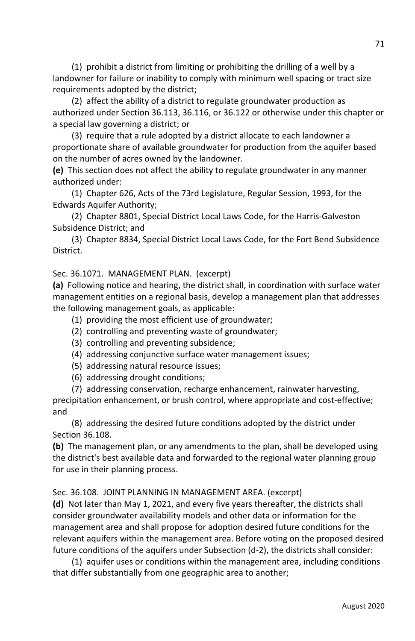(1) prohibit a district from limiting or prohibiting the drilling of a well by a landowner for failure or inability to comply with minimum well spacing or tract size requirements adopted by the district;

(2) affect the ability of a district to regulate groundwater production as authorized under Section 36.113, 36.116, or 36.122 or otherwise under this chapter or a special law governing a district; or

(3) require that a rule adopted by a district allocate to each landowner a proportionate share of available groundwater for production from the aquifer based on the number of acres owned by the landowner.

**(e)** This section does not affect the ability to regulate groundwater in any manner authorized under:

(1) Chapter 626, Acts of the 73rd Legislature, Regular Session, 1993, for the Edwards Aquifer Authority;

(2) Chapter 8801, Special District Local Laws Code, for the Harris-Galveston Subsidence District; and

(3) Chapter 8834, Special District Local Laws Code, for the Fort Bend Subsidence District.

## Sec. 36.1071. MANAGEMENT PLAN. (excerpt)

**(a)** Following notice and hearing, the district shall, in coordination with surface water management entities on a regional basis, develop a management plan that addresses the following management goals, as applicable:

- (1) providing the most efficient use of groundwater;
- (2) controlling and preventing waste of groundwater;
- (3) controlling and preventing subsidence;
- (4) addressing conjunctive surface water management issues;
- (5) addressing natural resource issues;
- (6) addressing drought conditions;

(7) addressing conservation, recharge enhancement, rainwater harvesting, precipitation enhancement, or brush control, where appropriate and cost-effective; and

(8) addressing the desired future conditions adopted by the district under Section 36.108.

**(b)** The management plan, or any amendments to the plan, shall be developed using the district's best available data and forwarded to the regional water planning group for use in their planning process.

Sec. 36.108. JOINT PLANNING IN MANAGEMENT AREA. (excerpt)

**(d)** Not later than May 1, 2021, and every five years thereafter, the districts shall consider groundwater availability models and other data or information for the management area and shall propose for adoption desired future conditions for the relevant aquifers within the management area. Before voting on the proposed desired future conditions of the aquifers under Subsection (d-2), the districts shall consider:

(1) aquifer uses or conditions within the management area, including conditions that differ substantially from one geographic area to another;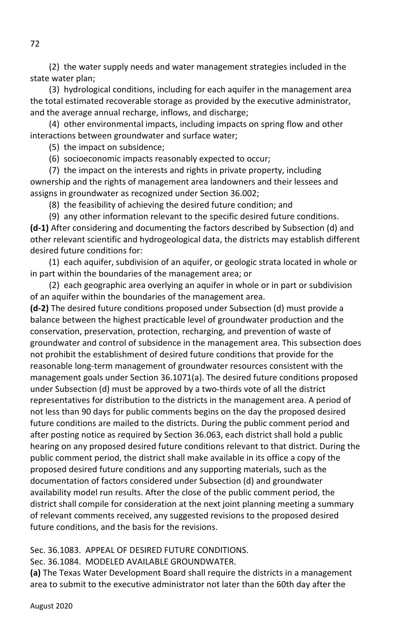(2) the water supply needs and water management strategies included in the state water plan;

(3) hydrological conditions, including for each aquifer in the management area the total estimated recoverable storage as provided by the executive administrator, and the average annual recharge, inflows, and discharge;

(4) other environmental impacts, including impacts on spring flow and other interactions between groundwater and surface water;

(5) the impact on subsidence;

(6) socioeconomic impacts reasonably expected to occur;

(7) the impact on the interests and rights in private property, including ownership and the rights of management area landowners and their lessees and assigns in groundwater as recognized under Section 36.002;

(8) the feasibility of achieving the desired future condition; and

(9) any other information relevant to the specific desired future conditions. **(d-1)** After considering and documenting the factors described by Subsection (d) and other relevant scientific and hydrogeological data, the districts may establish different desired future conditions for:

(1) each aquifer, subdivision of an aquifer, or geologic strata located in whole or in part within the boundaries of the management area; or

(2) each geographic area overlying an aquifer in whole or in part or subdivision of an aquifer within the boundaries of the management area.

**(d-2)** The desired future conditions proposed under Subsection (d) must provide a balance between the highest practicable level of groundwater production and the conservation, preservation, protection, recharging, and prevention of waste of groundwater and control of subsidence in the management area. This subsection does not prohibit the establishment of desired future conditions that provide for the reasonable long-term management of groundwater resources consistent with the management goals under Section 36.1071(a). The desired future conditions proposed under Subsection (d) must be approved by a two-thirds vote of all the district representatives for distribution to the districts in the management area. A period of not less than 90 days for public comments begins on the day the proposed desired future conditions are mailed to the districts. During the public comment period and after posting notice as required by Section 36.063, each district shall hold a public hearing on any proposed desired future conditions relevant to that district. During the public comment period, the district shall make available in its office a copy of the proposed desired future conditions and any supporting materials, such as the documentation of factors considered under Subsection (d) and groundwater availability model run results. After the close of the public comment period, the district shall compile for consideration at the next joint planning meeting a summary of relevant comments received, any suggested revisions to the proposed desired future conditions, and the basis for the revisions.

Sec. 36.1083. APPEAL OF DESIRED FUTURE CONDITIONS.

Sec. 36.1084. MODELED AVAILABLE GROUNDWATER.

**(a)** The Texas Water Development Board shall require the districts in a management area to submit to the executive administrator not later than the 60th day after the

August 2020

72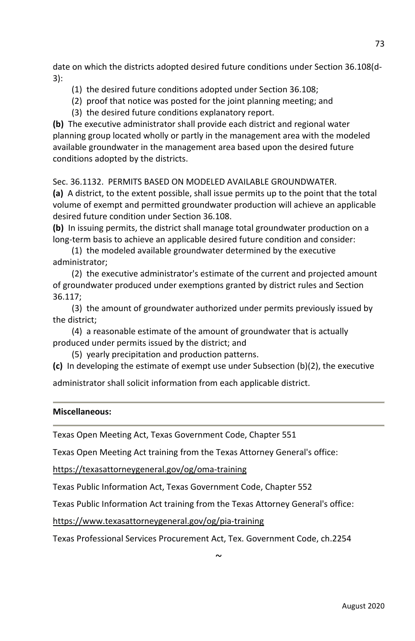date on which the districts adopted desired future conditions under Section 36.108(d-3):

- (1) the desired future conditions adopted under Section 36.108;
- (2) proof that notice was posted for the joint planning meeting; and
- (3) the desired future conditions explanatory report.

**(b)** The executive administrator shall provide each district and regional water planning group located wholly or partly in the management area with the modeled available groundwater in the management area based upon the desired future conditions adopted by the districts.

Sec. 36.1132. PERMITS BASED ON MODELED AVAILABLE GROUNDWATER.

**(a)** A district, to the extent possible, shall issue permits up to the point that the total volume of exempt and permitted groundwater production will achieve an applicable desired future condition under Section 36.108.

**(b)** In issuing permits, the district shall manage total groundwater production on a long-term basis to achieve an applicable desired future condition and consider:

 (1) the modeled available groundwater determined by the executive administrator;

 (2) the executive administrator's estimate of the current and projected amount of groundwater produced under exemptions granted by district rules and Section 36.117;

 (3) the amount of groundwater authorized under permits previously issued by the district;

 (4) a reasonable estimate of the amount of groundwater that is actually produced under permits issued by the district; and

(5) yearly precipitation and production patterns.

**(c)** In developing the estimate of exempt use under Subsection (b)(2), the executive

administrator shall solicit information from each applicable district.

### **Miscellaneous:**

Texas Open Meeting Act, Texas Government Code, Chapter 551

Texas Open Meeting Act training from the Texas Attorney General's office:

https://texasattorneygeneral.gov/og/oma-training

Texas Public Information Act, Texas Government Code, Chapter 552

Texas Public Information Act training from the Texas Attorney General's office:

https://www.texasattorneygeneral.gov/og/pia-training

Texas Professional Services Procurement Act, Tex. Government Code, ch.2254

 $\sim$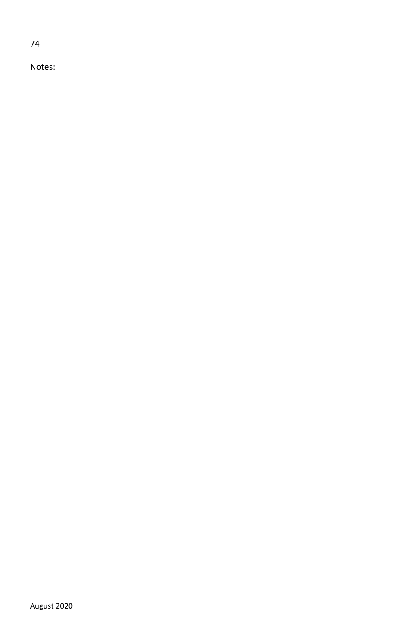74

Notes: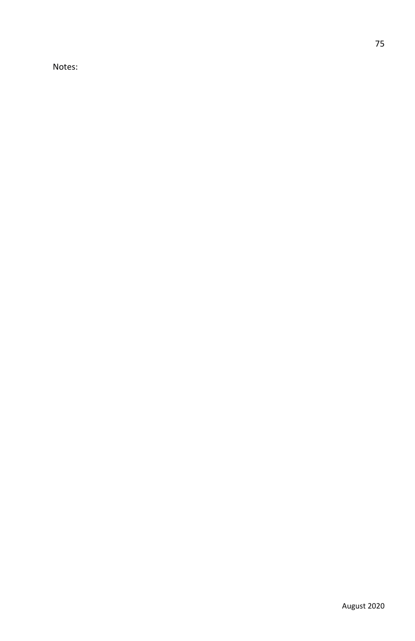Notes: